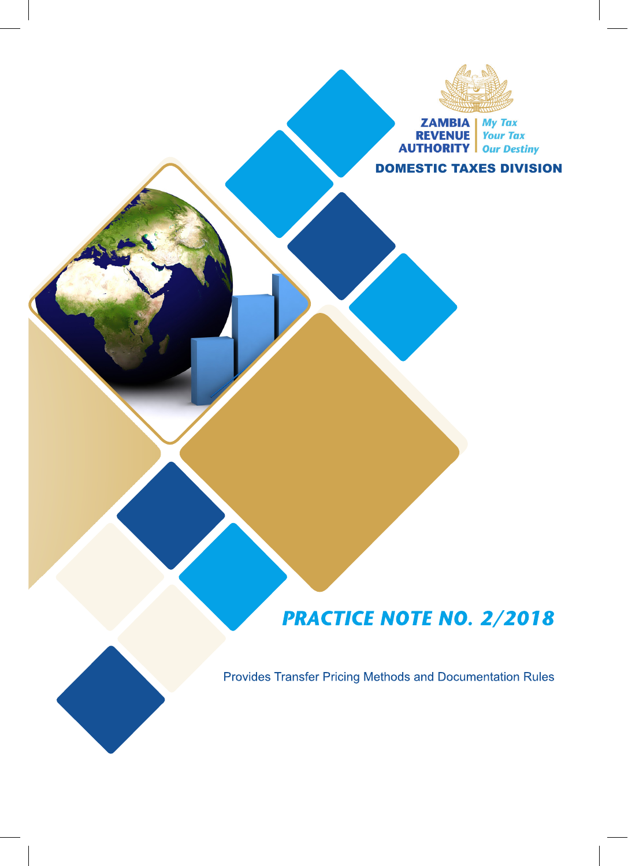

**ZAMBIA** My Tax<br> **REVENUE** Your Tax<br> **AUTHORITY** Our Destiny

DOMESTIC TAXES DIVISION

# **PRACTICE NOTE NO. 2/2018**

Provides Transfer Pricing Methods and Documentation Rules

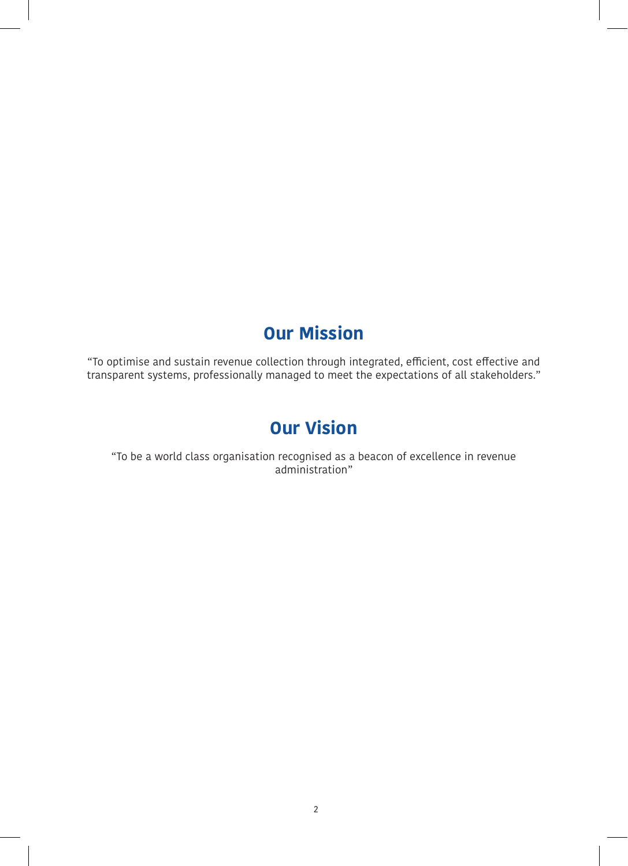# **Our Mission**

"To optimise and sustain revenue collection through integrated, efficient, cost effective and transparent systems, professionally managed to meet the expectations of all stakeholders."

# **Our Vision**

"To be a world class organisation recognised as a beacon of excellence in revenue administration"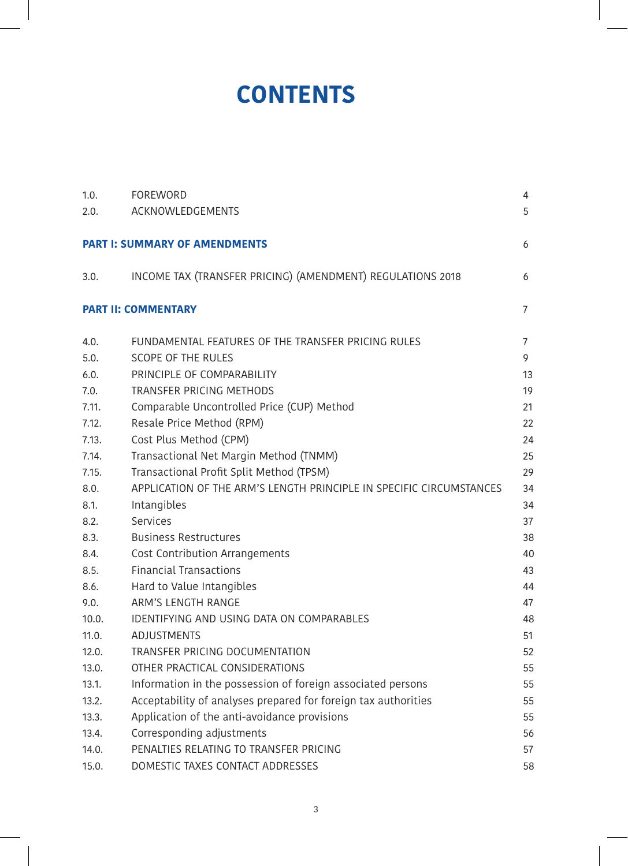# **CONTENTS**

| 1.0.  | <b>FOREWORD</b>                                                     | 4              |
|-------|---------------------------------------------------------------------|----------------|
| 2.0.  | ACKNOWLEDGEMENTS                                                    | 5              |
|       |                                                                     |                |
|       | <b>PART I: SUMMARY OF AMENDMENTS</b>                                | 6              |
| 3.0.  | INCOME TAX (TRANSFER PRICING) (AMENDMENT) REGULATIONS 2018          | 6              |
|       |                                                                     |                |
|       | <b>PART II: COMMENTARY</b>                                          | $\overline{7}$ |
| 4.0.  | FUNDAMENTAL FEATURES OF THE TRANSFER PRICING RULES                  | 7              |
| 5.0.  | <b>SCOPE OF THE RULES</b>                                           | 9              |
| 6.0.  | PRINCIPLE OF COMPARABILITY                                          | 13             |
| 7.0.  | <b>TRANSFER PRICING METHODS</b>                                     | 19             |
| 7.11. | Comparable Uncontrolled Price (CUP) Method                          | 21             |
| 7.12. | Resale Price Method (RPM)                                           | 22             |
| 7.13. | Cost Plus Method (CPM)                                              | 24             |
| 7.14. | Transactional Net Margin Method (TNMM)                              | 25             |
| 7.15. | Transactional Profit Split Method (TPSM)                            | 29             |
| 8.0.  | APPLICATION OF THE ARM'S LENGTH PRINCIPLE IN SPECIFIC CIRCUMSTANCES | 34             |
| 8.1.  | Intangibles                                                         | 34             |
| 8.2.  | Services                                                            | 37             |
| 8.3.  | <b>Business Restructures</b>                                        | 38             |
| 8.4.  | Cost Contribution Arrangements                                      | 40             |
| 8.5.  | <b>Financial Transactions</b>                                       | 43             |
| 8.6.  | Hard to Value Intangibles                                           | 44             |
| 9.0.  | ARM'S LENGTH RANGE                                                  | 47             |
| 10.0. | IDENTIFYING AND USING DATA ON COMPARABLES                           | 48             |
| 11.0. | <b>ADJUSTMENTS</b>                                                  | 51             |
| 12.0. | TRANSFER PRICING DOCUMENTATION                                      | 52             |
| 13.0. | OTHER PRACTICAL CONSIDERATIONS                                      | 55             |
| 13.1. | Information in the possession of foreign associated persons         | 55             |
| 13.2. | Acceptability of analyses prepared for foreign tax authorities      | 55             |
| 13.3. | Application of the anti-avoidance provisions                        | 55             |
| 13.4. | Corresponding adjustments                                           | 56             |
| 14.0. | PENALTIES RELATING TO TRANSFER PRICING                              | 57             |
| 15.0. | DOMESTIC TAXES CONTACT ADDRESSES                                    | 58             |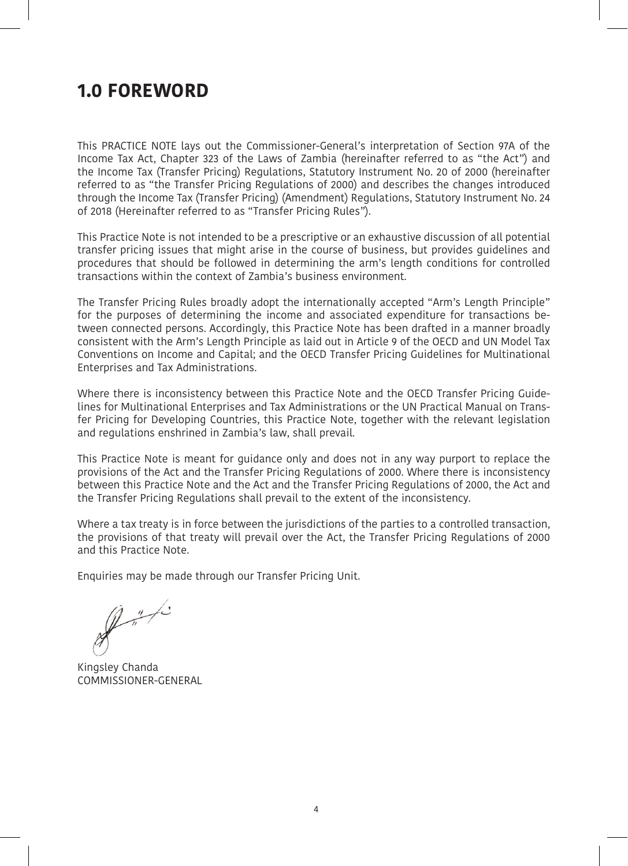# **1.0 FOREWORD**

This PRACTICE NOTE lays out the Commissioner-General's interpretation of Section 97A of the Income Tax Act, Chapter 323 of the Laws of Zambia (hereinafter referred to as "the Act") and the Income Tax (Transfer Pricing) Regulations, Statutory Instrument No. 20 of 2000 (hereinafter referred to as "the Transfer Pricing Regulations of 2000) and describes the changes introduced through the Income Tax (Transfer Pricing) (Amendment) Regulations, Statutory Instrument No. 24 of 2018 (Hereinafter referred to as "Transfer Pricing Rules").

This Practice Note is not intended to be a prescriptive or an exhaustive discussion of all potential transfer pricing issues that might arise in the course of business, but provides guidelines and procedures that should be followed in determining the arm's length conditions for controlled transactions within the context of Zambia's business environment.

The Transfer Pricing Rules broadly adopt the internationally accepted "Arm's Length Principle" for the purposes of determining the income and associated expenditure for transactions between connected persons. Accordingly, this Practice Note has been drafted in a manner broadly consistent with the Arm's Length Principle as laid out in Article 9 of the OECD and UN Model Tax Conventions on Income and Capital; and the OECD Transfer Pricing Guidelines for Multinational Enterprises and Tax Administrations.

Where there is inconsistency between this Practice Note and the OECD Transfer Pricing Guidelines for Multinational Enterprises and Tax Administrations or the UN Practical Manual on Transfer Pricing for Developing Countries, this Practice Note, together with the relevant legislation and regulations enshrined in Zambia's law, shall prevail.

This Practice Note is meant for guidance only and does not in any way purport to replace the provisions of the Act and the Transfer Pricing Regulations of 2000. Where there is inconsistency between this Practice Note and the Act and the Transfer Pricing Regulations of 2000, the Act and the Transfer Pricing Regulations shall prevail to the extent of the inconsistency.

Where a tax treaty is in force between the jurisdictions of the parties to a controlled transaction, the provisions of that treaty will prevail over the Act, the Transfer Pricing Regulations of 2000 and this Practice Note.

Enquiries may be made through our Transfer Pricing Unit.

 $\mathbb{R}^n$ 

Kingsley Chanda COMMISSIONER-GENERAL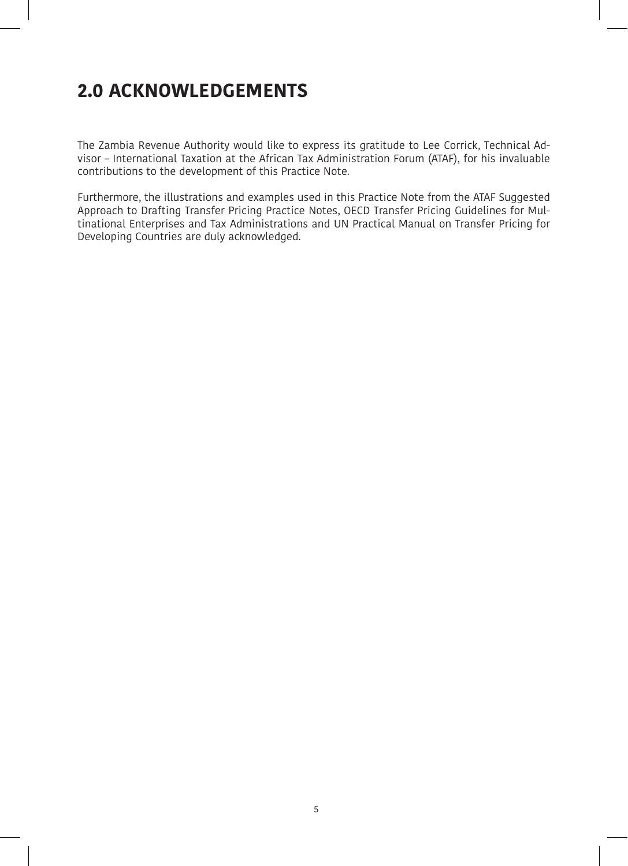# **2.0 ACKNOWLEDGEMENTS**

The Zambia Revenue Authority would like to express its gratitude to Lee Corrick, Technical Advisor – International Taxation at the African Tax Administration Forum (ATAF), for his invaluable contributions to the development of this Practice Note.

Furthermore, the illustrations and examples used in this Practice Note from the ATAF Suggested Approach to Drafting Transfer Pricing Practice Notes, OECD Transfer Pricing Guidelines for Multinational Enterprises and Tax Administrations and UN Practical Manual on Transfer Pricing for Developing Countries are duly acknowledged.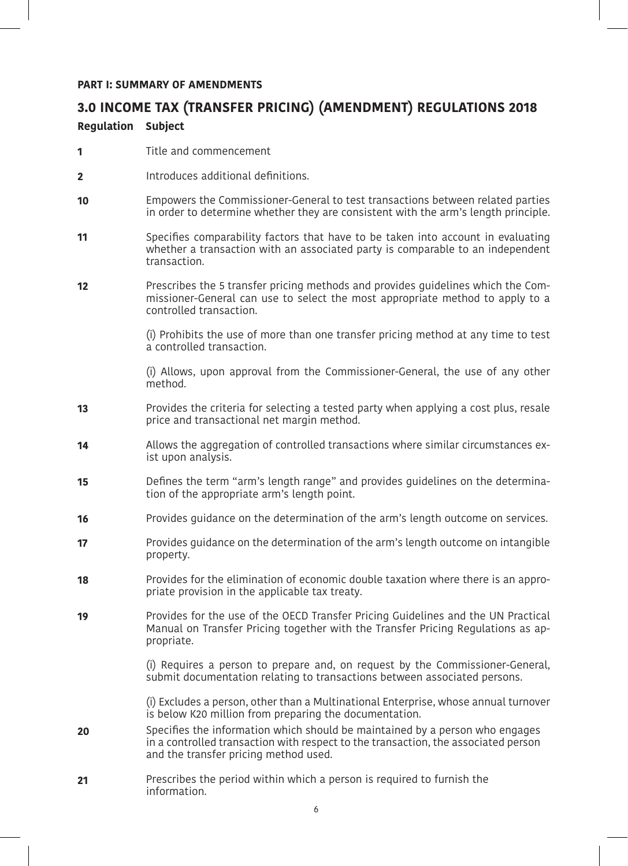## **PART I: SUMMARY OF AMENDMENTS**

# **3.0 INCOME TAX (TRANSFER PRICING) (AMENDMENT) REGULATIONS 2018 Regulation Subject**

- Title and commencement **1**
- Introduces additional definitions. **2**
- Empowers the Commissioner-General to test transactions between related parties in order to determine whether they are consistent with the arm's length principle. **10**
- Specifies comparability factors that have to be taken into account in evaluating whether a transaction with an associated party is comparable to an independent transaction. **11**
- Prescribes the 5 transfer pricing methods and provides guidelines which the Commissioner-General can use to select the most appropriate method to apply to a controlled transaction. **12**

(i) Prohibits the use of more than one transfer pricing method at any time to test a controlled transaction.

(i) Allows, upon approval from the Commissioner-General, the use of any other method.

- Provides the criteria for selecting a tested party when applying a cost plus, resale price and transactional net margin method. **13**
- Allows the aggregation of controlled transactions where similar circumstances exist upon analysis. **14**
- Defines the term "arm's length range" and provides guidelines on the determination of the appropriate arm's length point. **15**
- Provides guidance on the determination of the arm's length outcome on services. **16**
- Provides guidance on the determination of the arm's length outcome on intangible property. **17**
- Provides for the elimination of economic double taxation where there is an appropriate provision in the applicable tax treaty. **18**
- Provides for the use of the OECD Transfer Pricing Guidelines and the UN Practical Manual on Transfer Pricing together with the Transfer Pricing Regulations as appropriate. **19**

(i) Requires a person to prepare and, on request by the Commissioner-General, submit documentation relating to transactions between associated persons.

(i) Excludes a person, other than a Multinational Enterprise, whose annual turnover is below K20 million from preparing the documentation.

- Specifies the information which should be maintained by a person who engages in a controlled transaction with respect to the transaction, the associated person and the transfer pricing method used. **20**
- Prescribes the period within which a person is required to furnish the information. **21**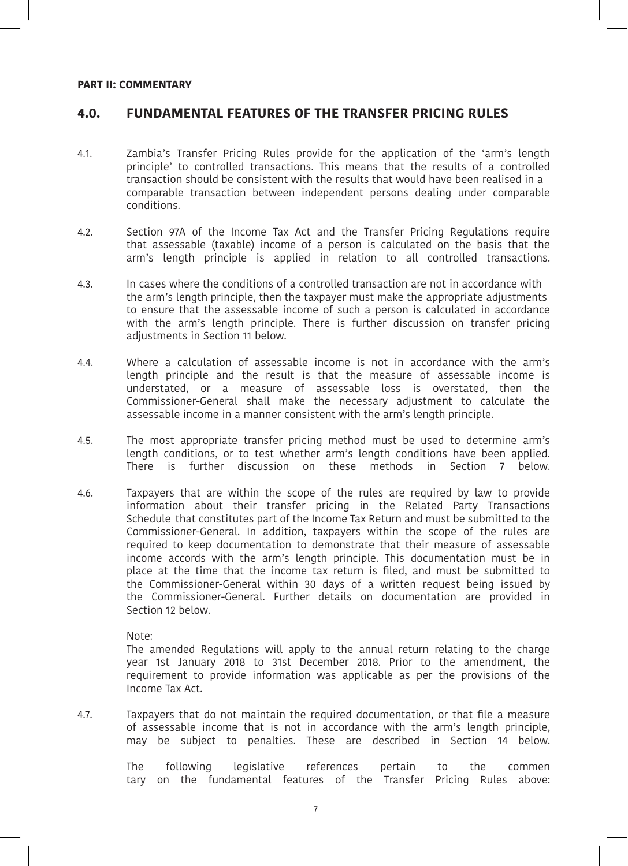#### **PART II: COMMENTARY**

## **4.0. FUNDAMENTAL FEATURES OF THE TRANSFER PRICING RULES**

- 4.1. Zambia's Transfer Pricing Rules provide for the application of the 'arm's length principle' to controlled transactions. This means that the results of a controlled transaction should be consistent with the results that would have been realised in a comparable transaction between independent persons dealing under comparable conditions.
- 4.2. Section 97A of the Income Tax Act and the Transfer Pricing Regulations require that assessable (taxable) income of a person is calculated on the basis that the arm's length principle is applied in relation to all controlled transactions.
- 4.3. In cases where the conditions of a controlled transaction are not in accordance with the arm's length principle, then the taxpayer must make the appropriate adjustments to ensure that the assessable income of such a person is calculated in accordance with the arm's length principle. There is further discussion on transfer pricing adjustments in Section 11 below.
- 4.4. Where a calculation of assessable income is not in accordance with the arm's length principle and the result is that the measure of assessable income is understated, or a measure of assessable loss is overstated, then the Commissioner-General shall make the necessary adjustment to calculate the assessable income in a manner consistent with the arm's length principle.
- 4.5. The most appropriate transfer pricing method must be used to determine arm's length conditions, or to test whether arm's length conditions have been applied. There is further discussion on these methods in Section 7 below.
- 4.6. Taxpayers that are within the scope of the rules are required by law to provide information about their transfer pricing in the Related Party Transactions Schedule that constitutes part of the Income Tax Return and must be submitted to the Commissioner-General. In addition, taxpayers within the scope of the rules are required to keep documentation to demonstrate that their measure of assessable income accords with the arm's length principle. This documentation must be in place at the time that the income tax return is filed, and must be submitted to the Commissioner-General within 30 days of a written request being issued by the Commissioner-General. Further details on documentation are provided in Section 12 below.

Note:

The amended Regulations will apply to the annual return relating to the charge year 1st January 2018 to 31st December 2018. Prior to the amendment, the requirement to provide information was applicable as per the provisions of the Income Tax Act.

4.7. Taxpayers that do not maintain the required documentation, or that file a measure of assessable income that is not in accordance with the arm's length principle, may be subject to penalties. These are described in Section 14 below.

> The following legislative references pertain to the commen tary on the fundamental features of the Transfer Pricing Rules above: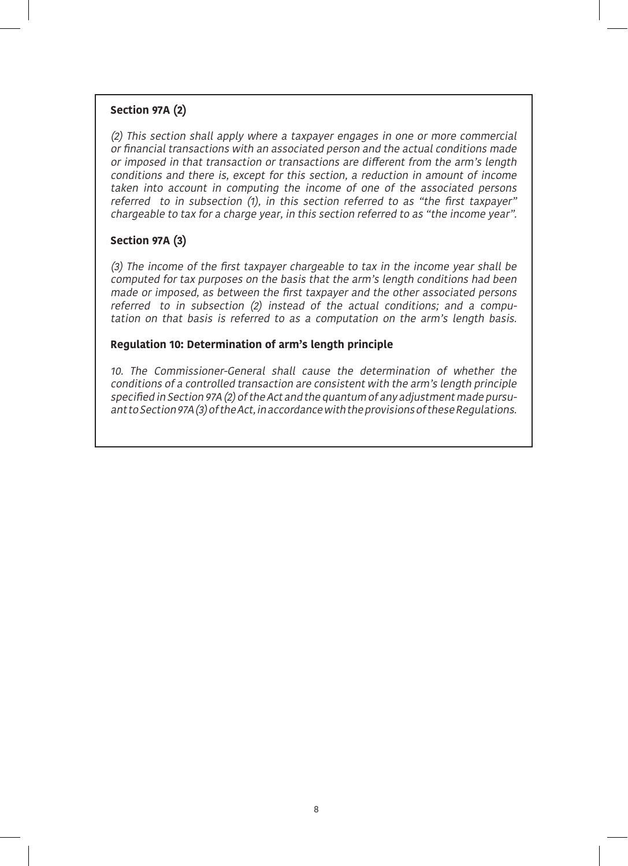## **Section 97A (2)**

(2) This section shall apply where a taxpayer engages in one or more commercial or financial transactions with an associated person and the actual conditions made or imposed in that transaction or transactions are different from the arm's length conditions and there is, except for this section, a reduction in amount of income taken into account in computing the income of one of the associated persons referred to in subsection (1), in this section referred to as "the first taxpayer" chargeable to tax for a charge year, in this section referred to as "the income year".

## **Section 97A (3)**

(3) The income of the first taxpayer chargeable to tax in the income year shall be computed for tax purposes on the basis that the arm's length conditions had been made or imposed, as between the first taxpayer and the other associated persons referred to in subsection (2) instead of the actual conditions; and a computation on that basis is referred to as a computation on the arm's length basis.

## **Regulation 10: Determination of arm's length principle**

10. The Commissioner-General shall cause the determination of whether the conditions of a controlled transaction are consistent with the arm's length principle specified in Section 97A (2) of the Act and the quantum of any adjustment made pursuant to Section 97A (3) of the Act, in accordance with the provisions of these Regulations.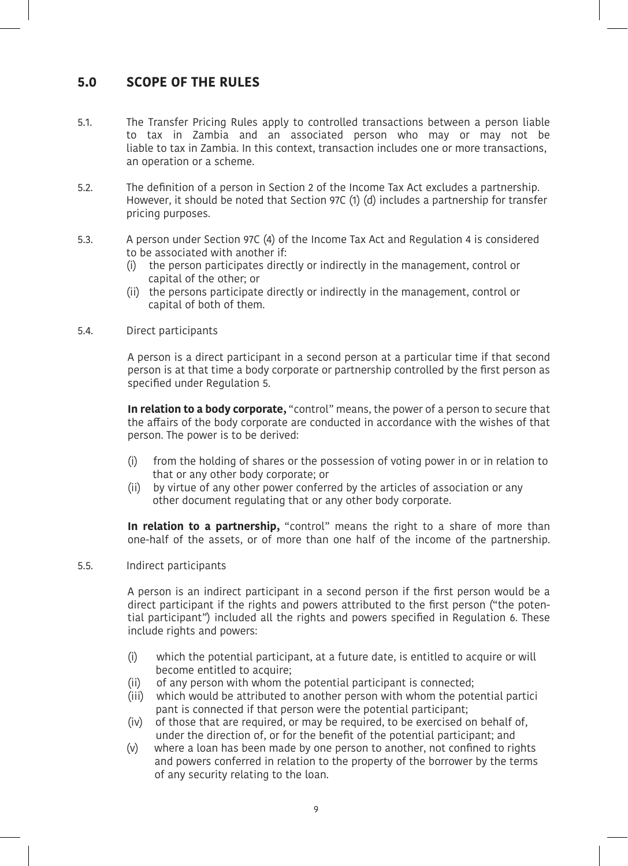# **5.0 SCOPE OF THE RULES**

- 5.1. The Transfer Pricing Rules apply to controlled transactions between a person liable to tax in Zambia and an associated person who may or may not be liable to tax in Zambia. In this context, transaction includes one or more transactions, an operation or a scheme.
- 5.2. The definition of a person in Section 2 of the Income Tax Act excludes a partnership. However, it should be noted that Section 97C (1) (d) includes a partnership for transfer pricing purposes.
- 5.3. A person under Section 97C (4) of the Income Tax Act and Regulation 4 is considered to be associated with another if:
	- (i) the person participates directly or indirectly in the management, control or capital of the other; or
	- (ii) the persons participate directly or indirectly in the management, control or capital of both of them.
- 5.4. Direct participants

A person is a direct participant in a second person at a particular time if that second person is at that time a body corporate or partnership controlled by the first person as specified under Regulation 5.

**In relation to a body corporate,** "control" means, the power of a person to secure that the affairs of the body corporate are conducted in accordance with the wishes of that person. The power is to be derived:

- (i) from the holding of shares or the possession of voting power in or in relation to that or any other body corporate; or
- (ii) by virtue of any other power conferred by the articles of association or any other document regulating that or any other body corporate.

**In relation to a partnership,** "control" means the right to a share of more than one-half of the assets, or of more than one half of the income of the partnership.

5.5. Indirect participants

A person is an indirect participant in a second person if the first person would be a direct participant if the rights and powers attributed to the first person ("the potential participant") included all the rights and powers specified in Regulation 6. These include rights and powers:

- (i) which the potential participant, at a future date, is entitled to acquire or will become entitled to acquire;
- (ii) of any person with whom the potential participant is connected;
- (iii) which would be attributed to another person with whom the potential partici pant is connected if that person were the potential participant;
- (iv) of those that are required, or may be required, to be exercised on behalf of, under the direction of, or for the benefit of the potential participant; and
- (v) where a loan has been made by one person to another, not confined to rights and powers conferred in relation to the property of the borrower by the terms of any security relating to the loan.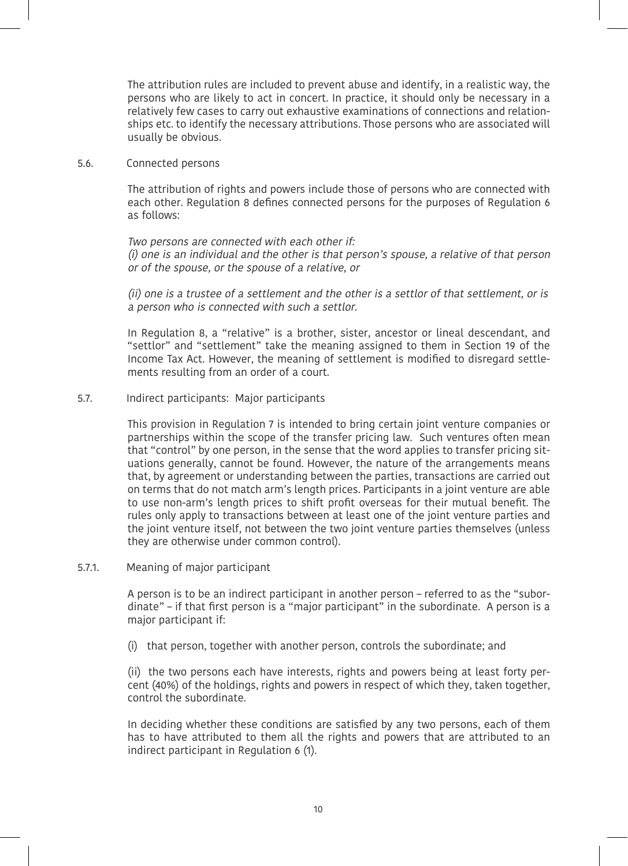The attribution rules are included to prevent abuse and identify, in a realistic way, the persons who are likely to act in concert. In practice, it should only be necessary in a relatively few cases to carry out exhaustive examinations of connections and relationships etc. to identify the necessary attributions. Those persons who are associated will usually be obvious.

#### 5.6. Connected persons

The attribution of rights and powers include those of persons who are connected with each other. Regulation 8 defines connected persons for the purposes of Regulation 6 as follows:

Two persons are connected with each other if: (i) one is an individual and the other is that person's spouse, a relative of that person or of the spouse, or the spouse of a relative, or

(ii) one is a trustee of a settlement and the other is a settlor of that settlement, or is a person who is connected with such a settlor.

In Regulation 8, a "relative" is a brother, sister, ancestor or lineal descendant, and "settlor" and "settlement" take the meaning assigned to them in Section 19 of the Income Tax Act. However, the meaning of settlement is modified to disregard settlements resulting from an order of a court.

#### 5.7. Indirect participants: Major participants

This provision in Regulation 7 is intended to bring certain joint venture companies or partnerships within the scope of the transfer pricing law. Such ventures often mean that "control" by one person, in the sense that the word applies to transfer pricing situations generally, cannot be found. However, the nature of the arrangements means that, by agreement or understanding between the parties, transactions are carried out on terms that do not match arm's length prices. Participants in a joint venture are able to use non-arm's length prices to shift profit overseas for their mutual benefit. The rules only apply to transactions between at least one of the joint venture parties and the joint venture itself, not between the two joint venture parties themselves (unless they are otherwise under common control).

#### 5.7.1. Meaning of major participant

A person is to be an indirect participant in another person – referred to as the "subordinate" – if that first person is a "major participant" in the subordinate. A person is a major participant if:

(i) that person, together with another person, controls the subordinate; and

(ii) the two persons each have interests, rights and powers being at least forty percent (40%) of the holdings, rights and powers in respect of which they, taken together, control the subordinate.

In deciding whether these conditions are satisfied by any two persons, each of them has to have attributed to them all the rights and powers that are attributed to an indirect participant in Regulation 6 (1).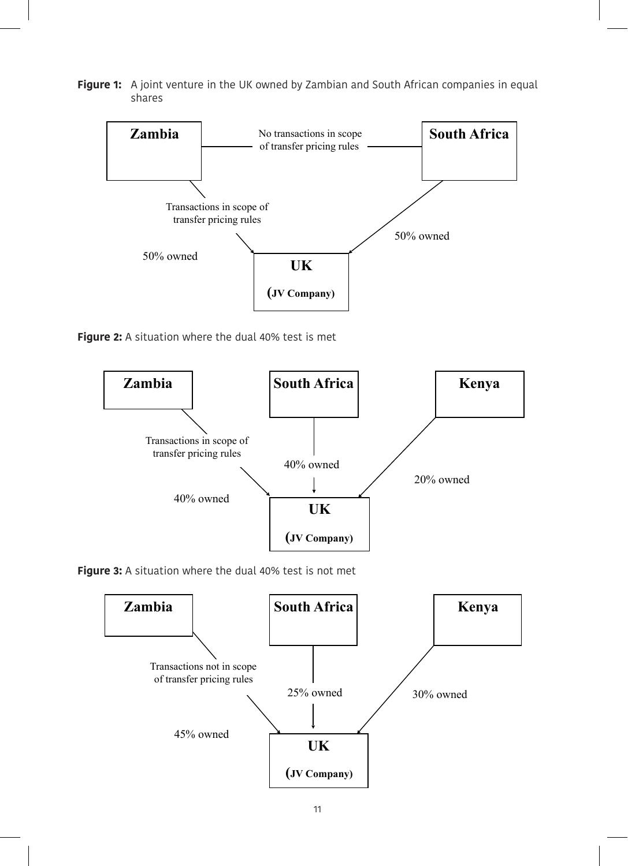**Figure 1:** A joint venture in the UK owned by Zambian and South African companies in equal shares



**Figure 2:** A situation where the dual 40% test is met



**Figure 3:** A situation where the dual 40% test is not met

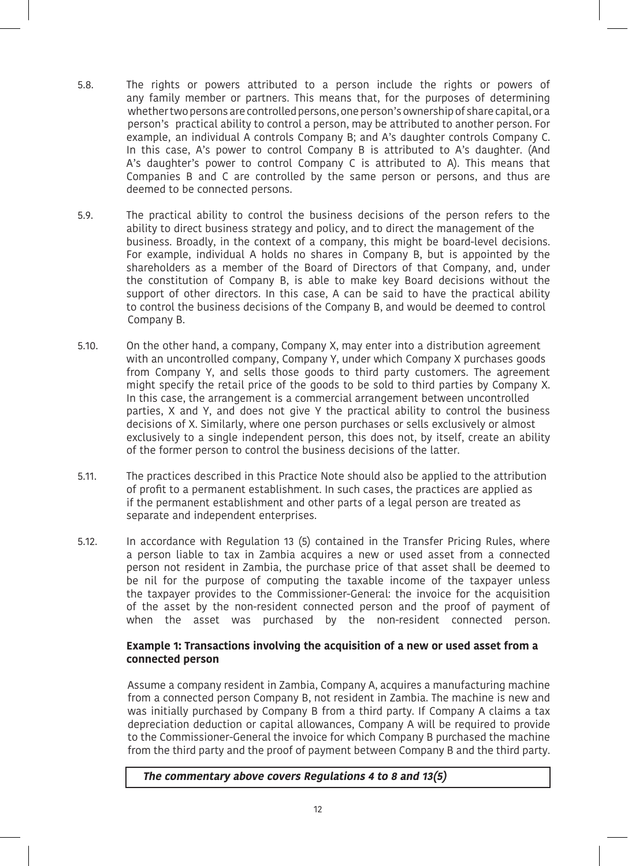- 5.8. The rights or powers attributed to a person include the rights or powers of any family member or partners. This means that, for the purposes of determining whether two persons are controlled persons, one person's ownership of share capital, or a person's practical ability to control a person, may be attributed to another person. For example, an individual A controls Company B; and A's daughter controls Company C. In this case, A's power to control Company B is attributed to A's daughter. (And A's daughter's power to control Company C is attributed to A). This means that Companies B and C are controlled by the same person or persons, and thus are deemed to be connected persons.
- 5.9. The practical ability to control the business decisions of the person refers to the ability to direct business strategy and policy, and to direct the management of the business. Broadly, in the context of a company, this might be board-level decisions. For example, individual A holds no shares in Company B, but is appointed by the shareholders as a member of the Board of Directors of that Company, and, under the constitution of Company B, is able to make key Board decisions without the support of other directors. In this case, A can be said to have the practical ability to control the business decisions of the Company B, and would be deemed to control Company B.
- 5.10. On the other hand, a company, Company X, may enter into a distribution agreement with an uncontrolled company, Company Y, under which Company X purchases goods from Company Y, and sells those goods to third party customers. The agreement might specify the retail price of the goods to be sold to third parties by Company X. In this case, the arrangement is a commercial arrangement between uncontrolled parties, X and Y, and does not give Y the practical ability to control the business decisions of X. Similarly, where one person purchases or sells exclusively or almost exclusively to a single independent person, this does not, by itself, create an ability of the former person to control the business decisions of the latter.
- 5.11. The practices described in this Practice Note should also be applied to the attribution of profit to a permanent establishment. In such cases, the practices are applied as if the permanent establishment and other parts of a legal person are treated as separate and independent enterprises.
- 5.12. In accordance with Regulation 13 (5) contained in the Transfer Pricing Rules, where a person liable to tax in Zambia acquires a new or used asset from a connected person not resident in Zambia, the purchase price of that asset shall be deemed to be nil for the purpose of computing the taxable income of the taxpayer unless the taxpayer provides to the Commissioner-General: the invoice for the acquisition of the asset by the non-resident connected person and the proof of payment of when the asset was purchased by the non-resident connected person.

## **Example 1: Transactions involving the acquisition of a new or used asset from a connected person**

Assume a company resident in Zambia, Company A, acquires a manufacturing machine from a connected person Company B, not resident in Zambia. The machine is new and was initially purchased by Company B from a third party. If Company A claims a tax depreciation deduction or capital allowances, Company A will be required to provide to the Commissioner-General the invoice for which Company B purchased the machine from the third party and the proof of payment between Company B and the third party.

## **The commentary above covers Regulations 4 to 8 and 13(5)**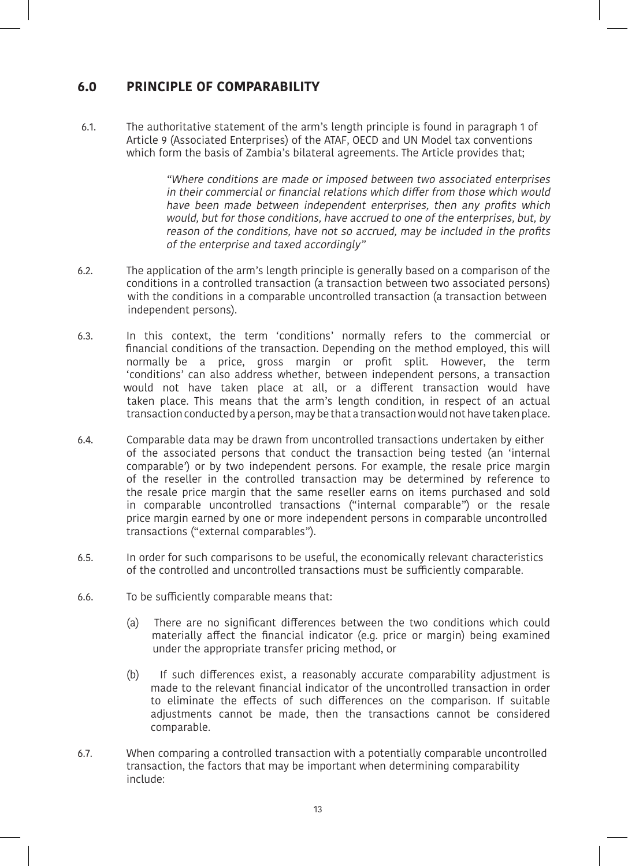# **6.0 PRINCIPLE OF COMPARABILITY**

6.1. The authoritative statement of the arm's length principle is found in paragraph 1 of Article 9 (Associated Enterprises) of the ATAF, OECD and UN Model tax conventions which form the basis of Zambia's bilateral agreements. The Article provides that;

> "Where conditions are made or imposed between two associated enterprises in their commercial or financial relations which differ from those which would have been made between independent enterprises, then any profits which would, but for those conditions, have accrued to one of the enterprises, but, by reason of the conditions, have not so accrued, may be included in the profits of the enterprise and taxed accordingly"

- 6.2. The application of the arm's length principle is generally based on a comparison of the conditions in a controlled transaction (a transaction between two associated persons) with the conditions in a comparable uncontrolled transaction (a transaction between independent persons).
- 6.3. In this context, the term 'conditions' normally refers to the commercial or financial conditions of the transaction. Depending on the method employed, this will normally be a price, gross margin or profit split. However, the term 'conditions' can also address whether, between independent persons, a transaction would not have taken place at all, or a different transaction would have taken place. This means that the arm's length condition, in respect of an actual transaction conducted by a person, may be that a transaction would not have taken place.
- 6.4. Comparable data may be drawn from uncontrolled transactions undertaken by either of the associated persons that conduct the transaction being tested (an 'internal comparable') or by two independent persons. For example, the resale price margin of the reseller in the controlled transaction may be determined by reference to the resale price margin that the same reseller earns on items purchased and sold in comparable uncontrolled transactions ("internal comparable") or the resale price margin earned by one or more independent persons in comparable uncontrolled transactions ("external comparables").
- 6.5. In order for such comparisons to be useful, the economically relevant characteristics of the controlled and uncontrolled transactions must be sufficiently comparable.
- 6.6. To be sufficiently comparable means that:
	- (a) There are no significant differences between the two conditions which could materially affect the financial indicator (e.g. price or margin) being examined under the appropriate transfer pricing method, or
	- (b) If such differences exist, a reasonably accurate comparability adjustment is made to the relevant financial indicator of the uncontrolled transaction in order to eliminate the effects of such differences on the comparison. If suitable adjustments cannot be made, then the transactions cannot be considered comparable.
- 6.7. When comparing a controlled transaction with a potentially comparable uncontrolled transaction, the factors that may be important when determining comparability include: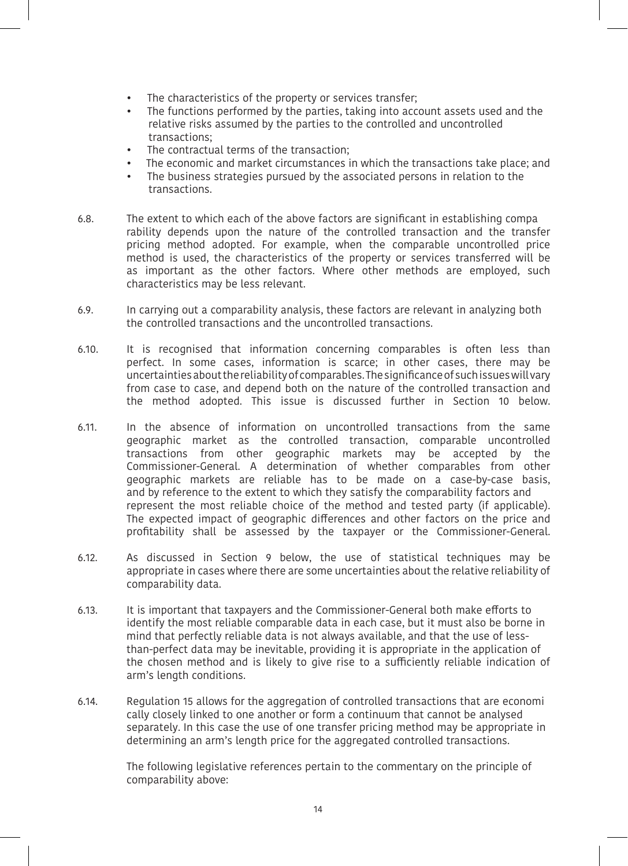- The characteristics of the property or services transfer;
- The functions performed by the parties, taking into account assets used and the relative risks assumed by the parties to the controlled and uncontrolled transactions;
- The contractual terms of the transaction;
- The economic and market circumstances in which the transactions take place; and
- The business strategies pursued by the associated persons in relation to the transactions.
- 6.8. The extent to which each of the above factors are significant in establishing compa rability depends upon the nature of the controlled transaction and the transfer pricing method adopted. For example, when the comparable uncontrolled price method is used, the characteristics of the property or services transferred will be as important as the other factors. Where other methods are employed, such characteristics may be less relevant.
- 6.9. In carrying out a comparability analysis, these factors are relevant in analyzing both the controlled transactions and the uncontrolled transactions.
- 6.10. It is recognised that information concerning comparables is often less than perfect. In some cases, information is scarce; in other cases, there may be uncertainties about the reliability of comparables. The significance of such issues will vary from case to case, and depend both on the nature of the controlled transaction and the method adopted. This issue is discussed further in Section 10 below.
- 6.11. In the absence of information on uncontrolled transactions from the same geographic market as the controlled transaction, comparable uncontrolled transactions from other geographic markets may be accepted by the Commissioner-General. A determination of whether comparables from other geographic markets are reliable has to be made on a case-by-case basis, and by reference to the extent to which they satisfy the comparability factors and represent the most reliable choice of the method and tested party (if applicable). The expected impact of geographic differences and other factors on the price and profitability shall be assessed by the taxpayer or the Commissioner-General.
- 6.12. As discussed in Section 9 below, the use of statistical techniques may be appropriate in cases where there are some uncertainties about the relative reliability of comparability data.
- 6.13. It is important that taxpayers and the Commissioner-General both make efforts to identify the most reliable comparable data in each case, but it must also be borne in mind that perfectly reliable data is not always available, and that the use of lessthan-perfect data may be inevitable, providing it is appropriate in the application of the chosen method and is likely to give rise to a sufficiently reliable indication of arm's length conditions.
- 6.14. Regulation 15 allows for the aggregation of controlled transactions that are economi cally closely linked to one another or form a continuum that cannot be analysed separately. In this case the use of one transfer pricing method may be appropriate in determining an arm's length price for the aggregated controlled transactions.

The following legislative references pertain to the commentary on the principle of comparability above: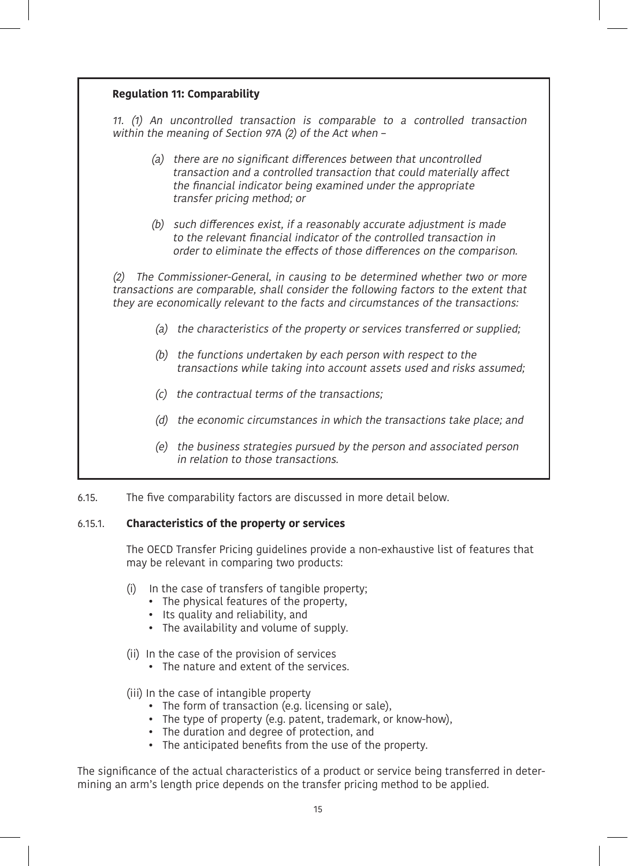| <b>Regulation 11: Comparability</b> |                                                                                                                                                                                                                                                         |  |  |  |
|-------------------------------------|---------------------------------------------------------------------------------------------------------------------------------------------------------------------------------------------------------------------------------------------------------|--|--|--|
|                                     | 11. (1) An uncontrolled transaction is comparable to a controlled transaction<br>within the meaning of Section 97A (2) of the Act when -                                                                                                                |  |  |  |
|                                     | (a) there are no significant differences between that uncontrolled<br>transaction and a controlled transaction that could materially affect<br>the financial indicator being examined under the appropriate<br>transfer pricing method; or              |  |  |  |
|                                     | (b) such differences exist, if a reasonably accurate adjustment is made<br>to the relevant financial indicator of the controlled transaction in<br>order to eliminate the effects of those differences on the comparison.                               |  |  |  |
| (2)                                 | The Commissioner-General, in causing to be determined whether two or more<br>transactions are comparable, shall consider the following factors to the extent that<br>they are economically relevant to the facts and circumstances of the transactions: |  |  |  |
|                                     | (a) the characteristics of the property or services transferred or supplied;                                                                                                                                                                            |  |  |  |
| (b)                                 | the functions undertaken by each person with respect to the<br>transactions while taking into account assets used and risks assumed;                                                                                                                    |  |  |  |
| (c)                                 | the contractual terms of the transactions;                                                                                                                                                                                                              |  |  |  |
| (d)                                 | the economic circumstances in which the transactions take place; and                                                                                                                                                                                    |  |  |  |
| (e)                                 | the business strategies pursued by the person and associated person<br>in relation to those transactions.                                                                                                                                               |  |  |  |

#### 6.15. The five comparability factors are discussed in more detail below.

## 6.15.1. **Characteristics of the property or services**

The OECD Transfer Pricing guidelines provide a non-exhaustive list of features that may be relevant in comparing two products:

(i) In the case of transfers of tangible property;

- The physical features of the property,
- Its quality and reliability, and
- The availability and volume of supply.
- (ii) In the case of the provision of services
	- The nature and extent of the services.

(iii) In the case of intangible property

- The form of transaction (e.g. licensing or sale),
- The type of property (e.g. patent, trademark, or know-how),
- The duration and degree of protection, and
- The anticipated benefits from the use of the property.

The significance of the actual characteristics of a product or service being transferred in determining an arm's length price depends on the transfer pricing method to be applied.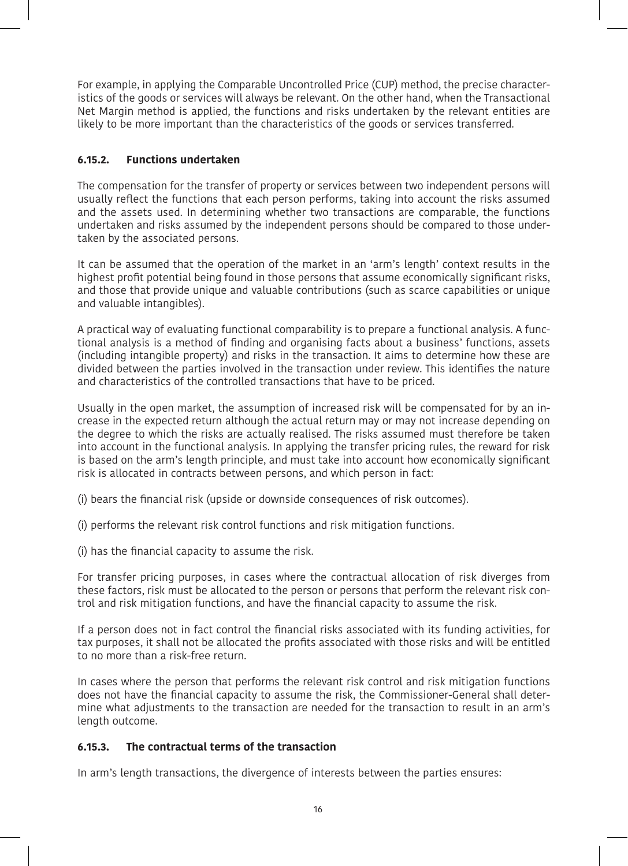For example, in applying the Comparable Uncontrolled Price (CUP) method, the precise characteristics of the goods or services will always be relevant. On the other hand, when the Transactional Net Margin method is applied, the functions and risks undertaken by the relevant entities are likely to be more important than the characteristics of the goods or services transferred.

## **6.15.2. Functions undertaken**

The compensation for the transfer of property or services between two independent persons will usually reflect the functions that each person performs, taking into account the risks assumed and the assets used. In determining whether two transactions are comparable, the functions undertaken and risks assumed by the independent persons should be compared to those undertaken by the associated persons.

It can be assumed that the operation of the market in an 'arm's length' context results in the highest profit potential being found in those persons that assume economically significant risks, and those that provide unique and valuable contributions (such as scarce capabilities or unique and valuable intangibles).

A practical way of evaluating functional comparability is to prepare a functional analysis. A functional analysis is a method of finding and organising facts about a business' functions, assets (including intangible property) and risks in the transaction. It aims to determine how these are divided between the parties involved in the transaction under review. This identifies the nature and characteristics of the controlled transactions that have to be priced.

Usually in the open market, the assumption of increased risk will be compensated for by an increase in the expected return although the actual return may or may not increase depending on the degree to which the risks are actually realised. The risks assumed must therefore be taken into account in the functional analysis. In applying the transfer pricing rules, the reward for risk is based on the arm's length principle, and must take into account how economically significant risk is allocated in contracts between persons, and which person in fact:

- (i) bears the financial risk (upside or downside consequences of risk outcomes).
- (i) performs the relevant risk control functions and risk mitigation functions.
- (i) has the financial capacity to assume the risk.

For transfer pricing purposes, in cases where the contractual allocation of risk diverges from these factors, risk must be allocated to the person or persons that perform the relevant risk control and risk mitigation functions, and have the financial capacity to assume the risk.

If a person does not in fact control the financial risks associated with its funding activities, for tax purposes, it shall not be allocated the profits associated with those risks and will be entitled to no more than a risk-free return.

In cases where the person that performs the relevant risk control and risk mitigation functions does not have the financial capacity to assume the risk, the Commissioner-General shall determine what adjustments to the transaction are needed for the transaction to result in an arm's length outcome.

## **6.15.3. The contractual terms of the transaction**

In arm's length transactions, the divergence of interests between the parties ensures: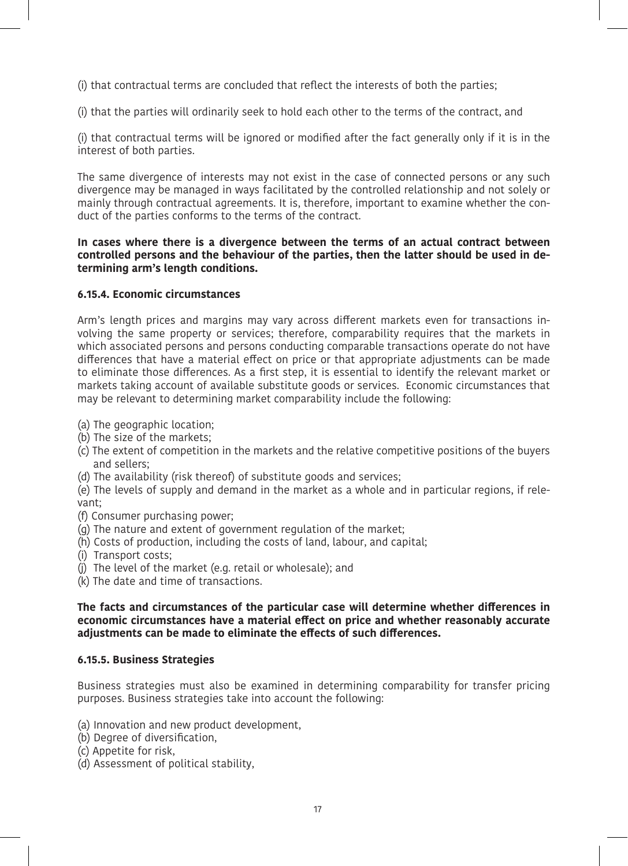(i) that contractual terms are concluded that reflect the interests of both the parties;

(i) that the parties will ordinarily seek to hold each other to the terms of the contract, and

(i) that contractual terms will be ignored or modified after the fact generally only if it is in the interest of both parties.

The same divergence of interests may not exist in the case of connected persons or any such divergence may be managed in ways facilitated by the controlled relationship and not solely or mainly through contractual agreements. It is, therefore, important to examine whether the conduct of the parties conforms to the terms of the contract.

## **In cases where there is a divergence between the terms of an actual contract between controlled persons and the behaviour of the parties, then the latter should be used in determining arm's length conditions.**

## **6.15.4. Economic circumstances**

Arm's length prices and margins may vary across different markets even for transactions involving the same property or services; therefore, comparability requires that the markets in which associated persons and persons conducting comparable transactions operate do not have differences that have a material effect on price or that appropriate adjustments can be made to eliminate those differences. As a first step, it is essential to identify the relevant market or markets taking account of available substitute goods or services. Economic circumstances that may be relevant to determining market comparability include the following:

- (a) The geographic location;
- (b) The size of the markets;
- (c) The extent of competition in the markets and the relative competitive positions of the buyers and sellers;
- (d) The availability (risk thereof) of substitute goods and services;

(e) The levels of supply and demand in the market as a whole and in particular regions, if relevant;

- (f) Consumer purchasing power;
- (g) The nature and extent of government regulation of the market;
- (h) Costs of production, including the costs of land, labour, and capital;
- (i) Transport costs;
- (j) The level of the market (e.g. retail or wholesale); and
- (k) The date and time of transactions.

### **The facts and circumstances of the particular case will determine whether differences in economic circumstances have a material effect on price and whether reasonably accurate adjustments can be made to eliminate the effects of such differences.**

### **6.15.5. Business Strategies**

Business strategies must also be examined in determining comparability for transfer pricing purposes. Business strategies take into account the following:

- (a) Innovation and new product development,
- (b) Degree of diversification,
- (c) Appetite for risk,
- (d) Assessment of political stability,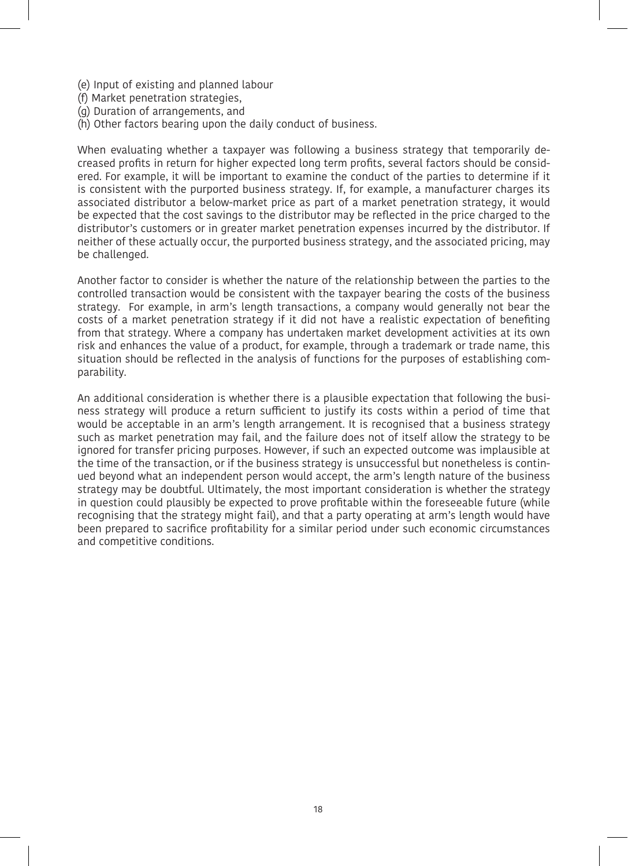- (e) Input of existing and planned labour
- (f) Market penetration strategies,
- (g) Duration of arrangements, and
- (h) Other factors bearing upon the daily conduct of business.

When evaluating whether a taxpayer was following a business strategy that temporarily decreased profits in return for higher expected long term profits, several factors should be considered. For example, it will be important to examine the conduct of the parties to determine if it is consistent with the purported business strategy. If, for example, a manufacturer charges its associated distributor a below-market price as part of a market penetration strategy, it would be expected that the cost savings to the distributor may be reflected in the price charged to the distributor's customers or in greater market penetration expenses incurred by the distributor. If neither of these actually occur, the purported business strategy, and the associated pricing, may be challenged.

Another factor to consider is whether the nature of the relationship between the parties to the controlled transaction would be consistent with the taxpayer bearing the costs of the business strategy. For example, in arm's length transactions, a company would generally not bear the costs of a market penetration strategy if it did not have a realistic expectation of benefiting from that strategy. Where a company has undertaken market development activities at its own risk and enhances the value of a product, for example, through a trademark or trade name, this situation should be reflected in the analysis of functions for the purposes of establishing comparability.

An additional consideration is whether there is a plausible expectation that following the business strategy will produce a return sufficient to justify its costs within a period of time that would be acceptable in an arm's length arrangement. It is recognised that a business strategy such as market penetration may fail, and the failure does not of itself allow the strategy to be ignored for transfer pricing purposes. However, if such an expected outcome was implausible at the time of the transaction, or if the business strategy is unsuccessful but nonetheless is continued beyond what an independent person would accept, the arm's length nature of the business strategy may be doubtful. Ultimately, the most important consideration is whether the strategy in question could plausibly be expected to prove profitable within the foreseeable future (while recognising that the strategy might fail), and that a party operating at arm's length would have been prepared to sacrifice profitability for a similar period under such economic circumstances and competitive conditions.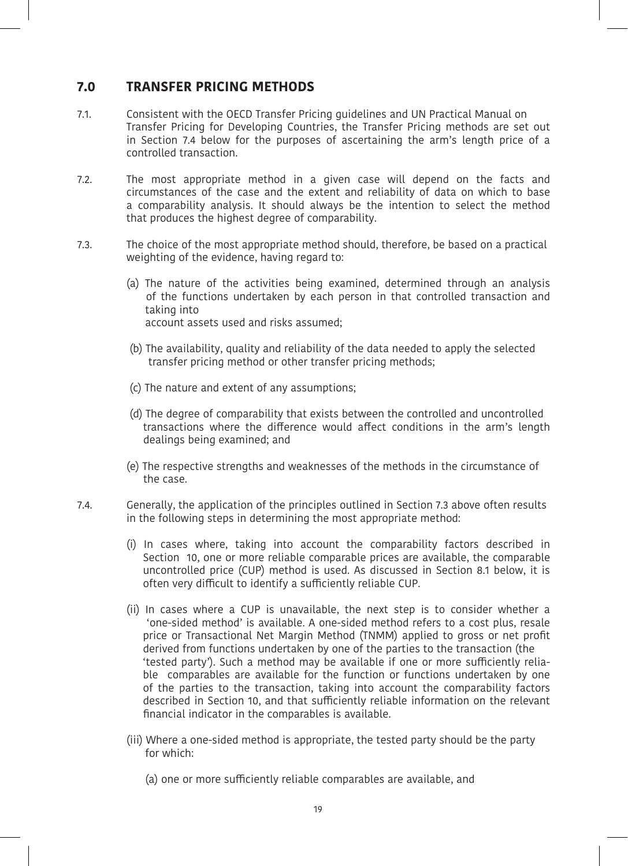## **7.0 TRANSFER PRICING METHODS**

- 7.1. Consistent with the OECD Transfer Pricing guidelines and UN Practical Manual on Transfer Pricing for Developing Countries, the Transfer Pricing methods are set out in Section 7.4 below for the purposes of ascertaining the arm's length price of a controlled transaction.
- 7.2. The most appropriate method in a given case will depend on the facts and circumstances of the case and the extent and reliability of data on which to base a comparability analysis. It should always be the intention to select the method that produces the highest degree of comparability.
- 7.3. The choice of the most appropriate method should, therefore, be based on a practical weighting of the evidence, having regard to:
	- (a) The nature of the activities being examined, determined through an analysis of the functions undertaken by each person in that controlled transaction and taking into account assets used and risks assumed;
	- (b) The availability, quality and reliability of the data needed to apply the selected transfer pricing method or other transfer pricing methods;
	- (c) The nature and extent of any assumptions;
	- (d) The degree of comparability that exists between the controlled and uncontrolled transactions where the difference would affect conditions in the arm's length dealings being examined; and
	- (e) The respective strengths and weaknesses of the methods in the circumstance of the case.
- 7.4. Generally, the application of the principles outlined in Section 7.3 above often results in the following steps in determining the most appropriate method:
	- (i) In cases where, taking into account the comparability factors described in Section 10, one or more reliable comparable prices are available, the comparable uncontrolled price (CUP) method is used. As discussed in Section 8.1 below, it is often very difficult to identify a sufficiently reliable CUP.
	- (ii) In cases where a CUP is unavailable, the next step is to consider whether a 'one-sided method' is available. A one-sided method refers to a cost plus, resale price or Transactional Net Margin Method (TNMM) applied to gross or net profit derived from functions undertaken by one of the parties to the transaction (the 'tested party'). Such a method may be available if one or more sufficiently reliable comparables are available for the function or functions undertaken by one of the parties to the transaction, taking into account the comparability factors described in Section 10, and that sufficiently reliable information on the relevant financial indicator in the comparables is available.
	- (iii) Where a one-sided method is appropriate, the tested party should be the party for which:
		- (a) one or more sufficiently reliable comparables are available, and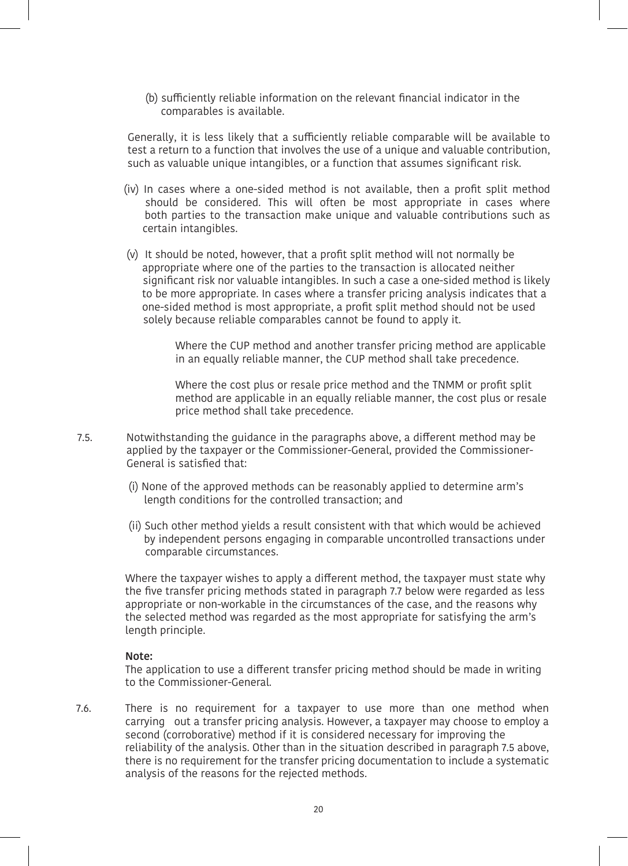(b) sufficiently reliable information on the relevant financial indicator in the comparables is available.

Generally, it is less likely that a sufficiently reliable comparable will be available to test a return to a function that involves the use of a unique and valuable contribution, such as valuable unique intangibles, or a function that assumes significant risk.

- (iv) In cases where a one-sided method is not available, then a profit split method should be considered. This will often be most appropriate in cases where both parties to the transaction make unique and valuable contributions such as certain intangibles.
- (v) It should be noted, however, that a profit split method will not normally be appropriate where one of the parties to the transaction is allocated neither significant risk nor valuable intangibles. In such a case a one-sided method is likely to be more appropriate. In cases where a transfer pricing analysis indicates that a one-sided method is most appropriate, a profit split method should not be used solely because reliable comparables cannot be found to apply it.

 Where the CUP method and another transfer pricing method are applicable in an equally reliable manner, the CUP method shall take precedence.

 Where the cost plus or resale price method and the TNMM or profit split method are applicable in an equally reliable manner, the cost plus or resale price method shall take precedence.

- 7.5. Notwithstanding the guidance in the paragraphs above, a different method may be applied by the taxpayer or the Commissioner-General, provided the Commissioner-General is satisfied that:
	- (i) None of the approved methods can be reasonably applied to determine arm's length conditions for the controlled transaction; and
	- (ii) Such other method yields a result consistent with that which would be achieved by independent persons engaging in comparable uncontrolled transactions under comparable circumstances.

Where the taxpayer wishes to apply a different method, the taxpayer must state why the five transfer pricing methods stated in paragraph 7.7 below were regarded as less appropriate or non-workable in the circumstances of the case, and the reasons why the selected method was regarded as the most appropriate for satisfying the arm's length principle.

#### **Note:**

The application to use a different transfer pricing method should be made in writing to the Commissioner-General.

7.6. There is no requirement for a taxpayer to use more than one method when carrying out a transfer pricing analysis. However, a taxpayer may choose to employ a second (corroborative) method if it is considered necessary for improving the reliability of the analysis. Other than in the situation described in paragraph 7.5 above, there is no requirement for the transfer pricing documentation to include a systematic analysis of the reasons for the rejected methods.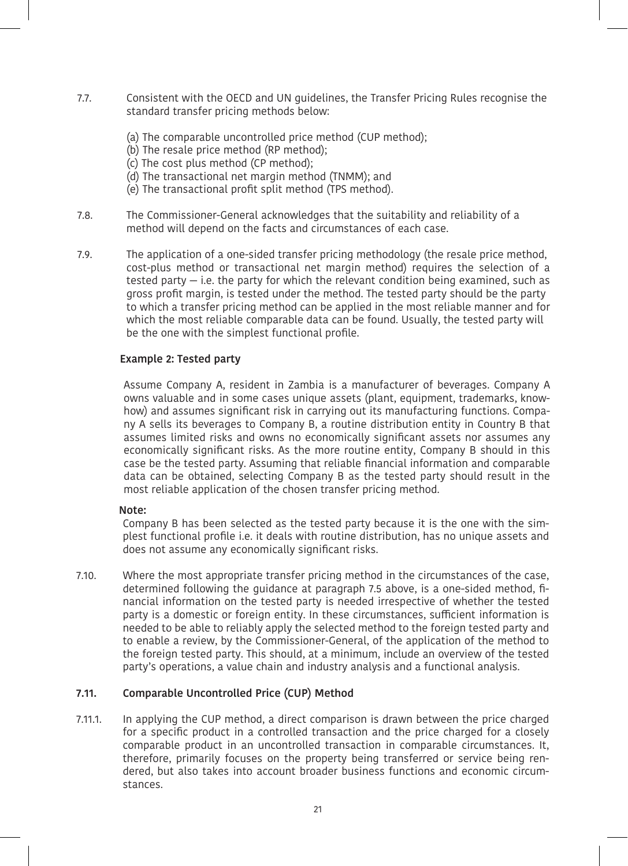- 7.7. Consistent with the OECD and UN guidelines, the Transfer Pricing Rules recognise the standard transfer pricing methods below:
	- (a) The comparable uncontrolled price method (CUP method);
	- (b) The resale price method (RP method);
	- (c) The cost plus method (CP method);
	- (d) The transactional net margin method (TNMM); and
	- (e) The transactional profit split method (TPS method).
- 7.8. The Commissioner-General acknowledges that the suitability and reliability of a method will depend on the facts and circumstances of each case.
- 7.9. The application of a one-sided transfer pricing methodology (the resale price method, cost-plus method or transactional net margin method) requires the selection of a tested party — i.e. the party for which the relevant condition being examined, such as gross profit margin, is tested under the method. The tested party should be the party to which a transfer pricing method can be applied in the most reliable manner and for which the most reliable comparable data can be found. Usually, the tested party will be the one with the simplest functional profile.

## **Example 2: Tested party**

Assume Company A, resident in Zambia is a manufacturer of beverages. Company A owns valuable and in some cases unique assets (plant, equipment, trademarks, knowhow) and assumes significant risk in carrying out its manufacturing functions. Company A sells its beverages to Company B, a routine distribution entity in Country B that assumes limited risks and owns no economically significant assets nor assumes any economically significant risks. As the more routine entity, Company B should in this case be the tested party. Assuming that reliable financial information and comparable data can be obtained, selecting Company B as the tested party should result in the most reliable application of the chosen transfer pricing method.

#### **Note:**

Company B has been selected as the tested party because it is the one with the simplest functional profile i.e. it deals with routine distribution, has no unique assets and does not assume any economically significant risks.

7.10. Where the most appropriate transfer pricing method in the circumstances of the case, determined following the guidance at paragraph 7.5 above, is a one-sided method, financial information on the tested party is needed irrespective of whether the tested party is a domestic or foreign entity. In these circumstances, sufficient information is needed to be able to reliably apply the selected method to the foreign tested party and to enable a review, by the Commissioner-General, of the application of the method to the foreign tested party. This should, at a minimum, include an overview of the tested party's operations, a value chain and industry analysis and a functional analysis.

#### **7.11. Comparable Uncontrolled Price (CUP) Method**

7.11.1. In applying the CUP method, a direct comparison is drawn between the price charged for a specific product in a controlled transaction and the price charged for a closely comparable product in an uncontrolled transaction in comparable circumstances. It, therefore, primarily focuses on the property being transferred or service being rendered, but also takes into account broader business functions and economic circumstances.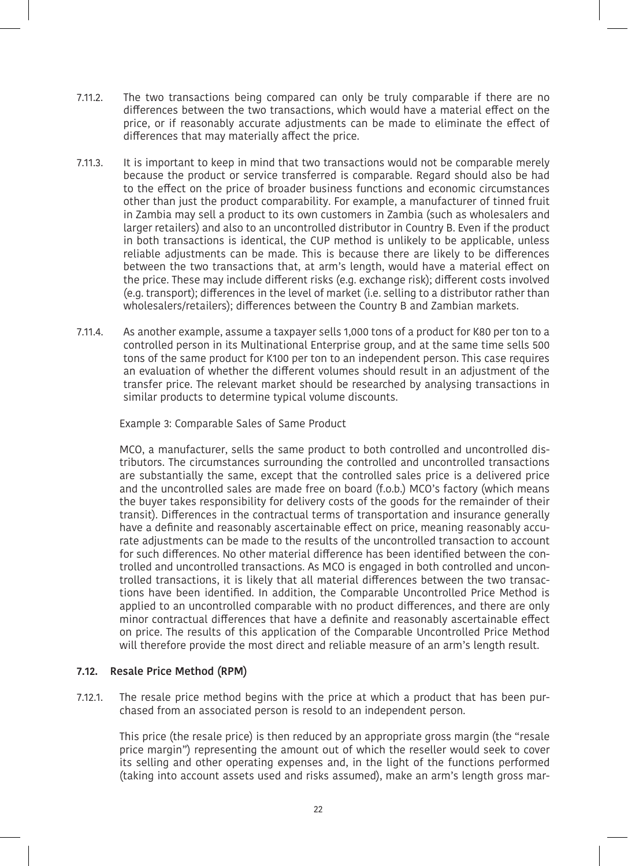- 7.11.2. The two transactions being compared can only be truly comparable if there are no differences between the two transactions, which would have a material effect on the price, or if reasonably accurate adjustments can be made to eliminate the effect of differences that may materially affect the price.
- 7.11.3. It is important to keep in mind that two transactions would not be comparable merely because the product or service transferred is comparable. Regard should also be had to the effect on the price of broader business functions and economic circumstances other than just the product comparability. For example, a manufacturer of tinned fruit in Zambia may sell a product to its own customers in Zambia (such as wholesalers and larger retailers) and also to an uncontrolled distributor in Country B. Even if the product in both transactions is identical, the CUP method is unlikely to be applicable, unless reliable adjustments can be made. This is because there are likely to be differences between the two transactions that, at arm's length, would have a material effect on the price. These may include different risks (e.g. exchange risk); different costs involved (e.g. transport); differences in the level of market (i.e. selling to a distributor rather than wholesalers/retailers); differences between the Country B and Zambian markets.
- 7.11.4. As another example, assume a taxpayer sells 1,000 tons of a product for K80 per ton to a controlled person in its Multinational Enterprise group, and at the same time sells 500 tons of the same product for K100 per ton to an independent person. This case requires an evaluation of whether the different volumes should result in an adjustment of the transfer price. The relevant market should be researched by analysing transactions in similar products to determine typical volume discounts.

Example 3: Comparable Sales of Same Product

MCO, a manufacturer, sells the same product to both controlled and uncontrolled distributors. The circumstances surrounding the controlled and uncontrolled transactions are substantially the same, except that the controlled sales price is a delivered price and the uncontrolled sales are made free on board (f.o.b.) MCO's factory (which means the buyer takes responsibility for delivery costs of the goods for the remainder of their transit). Differences in the contractual terms of transportation and insurance generally have a definite and reasonably ascertainable effect on price, meaning reasonably accurate adjustments can be made to the results of the uncontrolled transaction to account for such differences. No other material difference has been identified between the controlled and uncontrolled transactions. As MCO is engaged in both controlled and uncontrolled transactions, it is likely that all material differences between the two transactions have been identified. In addition, the Comparable Uncontrolled Price Method is applied to an uncontrolled comparable with no product differences, and there are only minor contractual differences that have a definite and reasonably ascertainable effect on price. The results of this application of the Comparable Uncontrolled Price Method will therefore provide the most direct and reliable measure of an arm's length result.

#### **7.12. Resale Price Method (RPM)**

7.12.1. The resale price method begins with the price at which a product that has been purchased from an associated person is resold to an independent person.

This price (the resale price) is then reduced by an appropriate gross margin (the "resale price margin") representing the amount out of which the reseller would seek to cover its selling and other operating expenses and, in the light of the functions performed (taking into account assets used and risks assumed), make an arm's length gross mar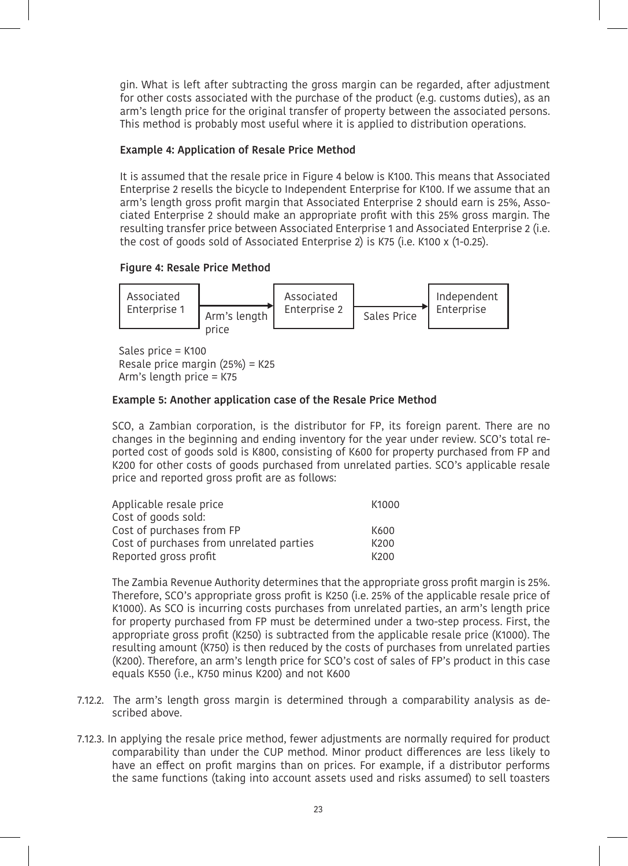gin. What is left after subtracting the gross margin can be regarded, after adjustment for other costs associated with the purchase of the product (e.g. customs duties), as an arm's length price for the original transfer of property between the associated persons. This method is probably most useful where it is applied to distribution operations.

#### **Example 4: Application of Resale Price Method**

It is assumed that the resale price in Figure 4 below is K100. This means that Associated Enterprise 2 resells the bicycle to Independent Enterprise for K100. If we assume that an arm's length gross profit margin that Associated Enterprise 2 should earn is 25%, Associated Enterprise 2 should make an appropriate profit with this 25% gross margin. The resulting transfer price between Associated Enterprise 1 and Associated Enterprise 2 (i.e. the cost of goods sold of Associated Enterprise 2) is K75 (i.e. K100 x (1-0.25).

## **Figure 4: Resale Price Method**



Sales price = K100 Resale price margin (25%) = K25 Arm's length price = K75

## **Example 5: Another application case of the Resale Price Method**

SCO, a Zambian corporation, is the distributor for FP, its foreign parent. There are no changes in the beginning and ending inventory for the year under review. SCO's total reported cost of goods sold is K800, consisting of K600 for property purchased from FP and K200 for other costs of goods purchased from unrelated parties. SCO's applicable resale price and reported gross profit are as follows:

| Applicable resale price                  | K1000 |
|------------------------------------------|-------|
| Cost of goods sold:                      |       |
| Cost of purchases from FP                | K600  |
| Cost of purchases from unrelated parties | K200  |
| Reported gross profit                    | K200  |

The Zambia Revenue Authority determines that the appropriate gross profit margin is 25%. Therefore, SCO's appropriate gross profit is K250 (i.e. 25% of the applicable resale price of K1000). As SCO is incurring costs purchases from unrelated parties, an arm's length price for property purchased from FP must be determined under a two-step process. First, the appropriate gross profit (K250) is subtracted from the applicable resale price (K1000). The resulting amount (K750) is then reduced by the costs of purchases from unrelated parties (K200). Therefore, an arm's length price for SCO's cost of sales of FP's product in this case equals K550 (i.e., K750 minus K200) and not K600

- 7.12.2. The arm's length gross margin is determined through a comparability analysis as described above.
- 7.12.3. In applying the resale price method, fewer adjustments are normally required for product comparability than under the CUP method. Minor product differences are less likely to have an effect on profit margins than on prices. For example, if a distributor performs the same functions (taking into account assets used and risks assumed) to sell toasters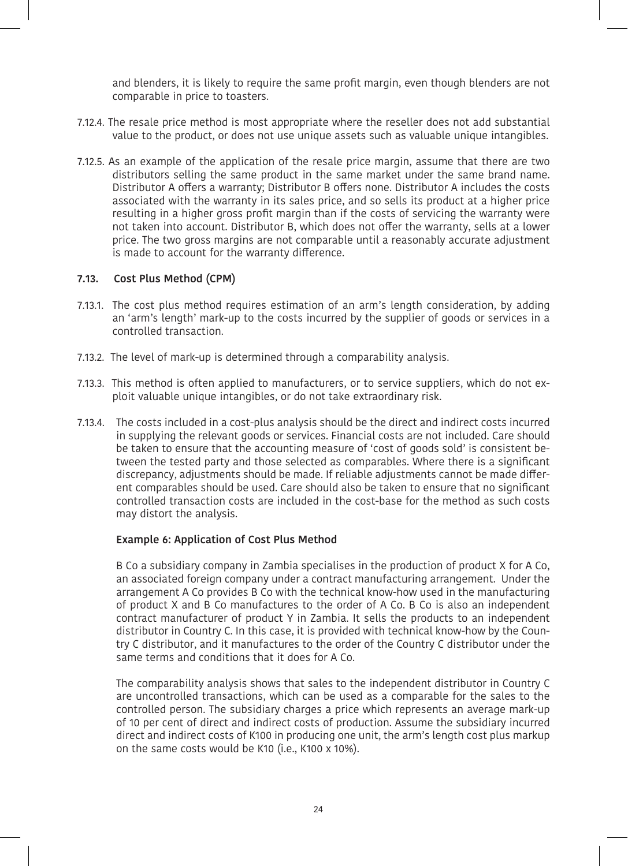and blenders, it is likely to require the same profit margin, even though blenders are not comparable in price to toasters.

- 7.12.4. The resale price method is most appropriate where the reseller does not add substantial value to the product, or does not use unique assets such as valuable unique intangibles.
- 7.12.5. As an example of the application of the resale price margin, assume that there are two distributors selling the same product in the same market under the same brand name. Distributor A offers a warranty; Distributor B offers none. Distributor A includes the costs associated with the warranty in its sales price, and so sells its product at a higher price resulting in a higher gross profit margin than if the costs of servicing the warranty were not taken into account. Distributor B, which does not offer the warranty, sells at a lower price. The two gross margins are not comparable until a reasonably accurate adjustment is made to account for the warranty difference.

#### **7.13. Cost Plus Method (CPM)**

- 7.13.1. The cost plus method requires estimation of an arm's length consideration, by adding an 'arm's length' mark-up to the costs incurred by the supplier of goods or services in a controlled transaction.
- 7.13.2. The level of mark-up is determined through a comparability analysis.
- 7.13.3. This method is often applied to manufacturers, or to service suppliers, which do not exploit valuable unique intangibles, or do not take extraordinary risk.
- 7.13.4. The costs included in a cost-plus analysis should be the direct and indirect costs incurred in supplying the relevant goods or services. Financial costs are not included. Care should be taken to ensure that the accounting measure of 'cost of goods sold' is consistent between the tested party and those selected as comparables. Where there is a significant discrepancy, adjustments should be made. If reliable adjustments cannot be made different comparables should be used. Care should also be taken to ensure that no significant controlled transaction costs are included in the cost-base for the method as such costs may distort the analysis.

#### **Example 6: Application of Cost Plus Method**

B Co a subsidiary company in Zambia specialises in the production of product X for A Co, an associated foreign company under a contract manufacturing arrangement. Under the arrangement A Co provides B Co with the technical know-how used in the manufacturing of product X and B Co manufactures to the order of A Co. B Co is also an independent contract manufacturer of product Y in Zambia. It sells the products to an independent distributor in Country C. In this case, it is provided with technical know-how by the Country C distributor, and it manufactures to the order of the Country C distributor under the same terms and conditions that it does for A Co.

The comparability analysis shows that sales to the independent distributor in Country C are uncontrolled transactions, which can be used as a comparable for the sales to the controlled person. The subsidiary charges a price which represents an average mark-up of 10 per cent of direct and indirect costs of production. Assume the subsidiary incurred direct and indirect costs of K100 in producing one unit, the arm's length cost plus markup on the same costs would be K10 (i.e., K100 x 10%).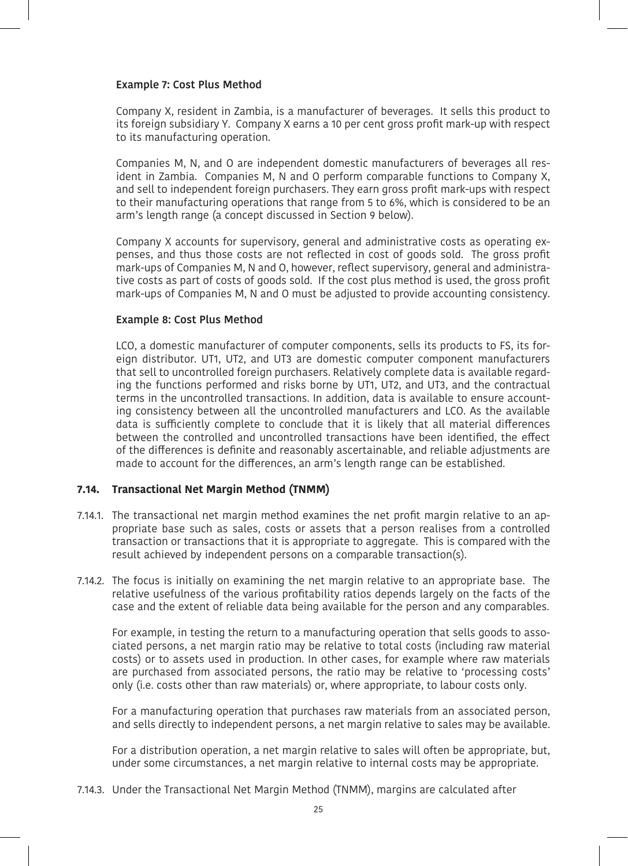#### **Example 7: Cost Plus Method**

Company X, resident in Zambia, is a manufacturer of beverages. It sells this product to its foreign subsidiary Y. Company X earns a 10 per cent gross profit mark-up with respect to its manufacturing operation.

Companies M, N, and O are independent domestic manufacturers of beverages all resident in Zambia. Companies M, N and O perform comparable functions to Company X, and sell to independent foreign purchasers. They earn gross profit mark-ups with respect to their manufacturing operations that range from 5 to 6%, which is considered to be an arm's length range (a concept discussed in Section 9 below).

Company X accounts for supervisory, general and administrative costs as operating expenses, and thus those costs are not reflected in cost of goods sold. The gross profit mark-ups of Companies M, N and O, however, reflect supervisory, general and administrative costs as part of costs of goods sold. If the cost plus method is used, the gross profit mark-ups of Companies M, N and O must be adjusted to provide accounting consistency.

#### **Example 8: Cost Plus Method**

LCO, a domestic manufacturer of computer components, sells its products to FS, its foreign distributor. UT1, UT2, and UT3 are domestic computer component manufacturers that sell to uncontrolled foreign purchasers. Relatively complete data is available regarding the functions performed and risks borne by UT1, UT2, and UT3, and the contractual terms in the uncontrolled transactions. In addition, data is available to ensure accounting consistency between all the uncontrolled manufacturers and LCO. As the available data is sufficiently complete to conclude that it is likely that all material differences between the controlled and uncontrolled transactions have been identified, the effect of the differences is definite and reasonably ascertainable, and reliable adjustments are made to account for the differences, an arm's length range can be established.

#### **7.14. Transactional Net Margin Method (TNMM)**

- 7.14.1. The transactional net margin method examines the net profit margin relative to an appropriate base such as sales, costs or assets that a person realises from a controlled transaction or transactions that it is appropriate to aggregate. This is compared with the result achieved by independent persons on a comparable transaction(s).
- 7.14.2. The focus is initially on examining the net margin relative to an appropriate base. The relative usefulness of the various profitability ratios depends largely on the facts of the case and the extent of reliable data being available for the person and any comparables.

For example, in testing the return to a manufacturing operation that sells goods to associated persons, a net margin ratio may be relative to total costs (including raw material costs) or to assets used in production. In other cases, for example where raw materials are purchased from associated persons, the ratio may be relative to 'processing costs' only (i.e. costs other than raw materials) or, where appropriate, to labour costs only.

For a manufacturing operation that purchases raw materials from an associated person, and sells directly to independent persons, a net margin relative to sales may be available.

For a distribution operation, a net margin relative to sales will often be appropriate, but, under some circumstances, a net margin relative to internal costs may be appropriate.

7.14.3. Under the Transactional Net Margin Method (TNMM), margins are calculated after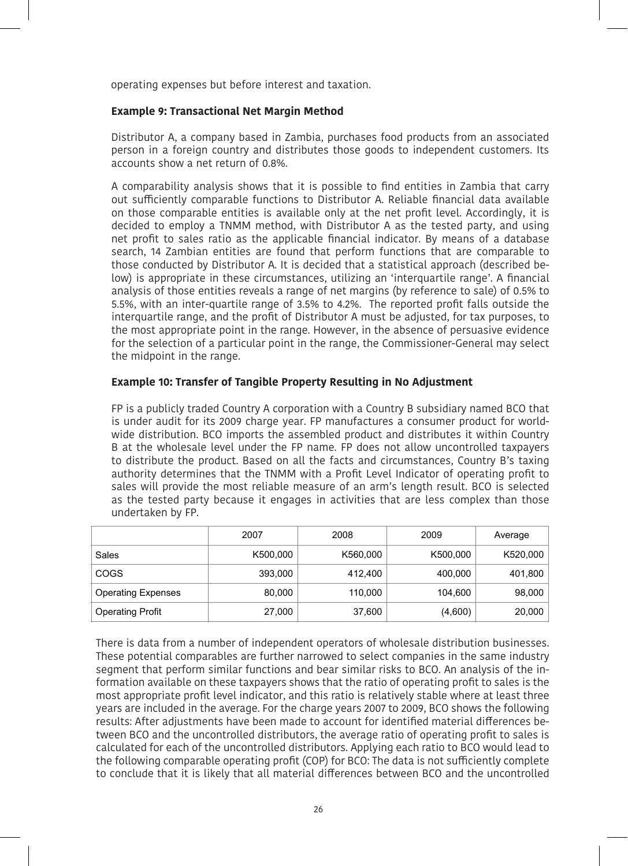operating expenses but before interest and taxation.

#### **Example 9: Transactional Net Margin Method**

Distributor A, a company based in Zambia, purchases food products from an associated person in a foreign country and distributes those goods to independent customers. Its accounts show a net return of 0.8%.

A comparability analysis shows that it is possible to find entities in Zambia that carry out sufficiently comparable functions to Distributor A. Reliable financial data available on those comparable entities is available only at the net profit level. Accordingly, it is decided to employ a TNMM method, with Distributor A as the tested party, and using net profit to sales ratio as the applicable financial indicator. By means of a database search, 14 Zambian entities are found that perform functions that are comparable to those conducted by Distributor A. It is decided that a statistical approach (described below) is appropriate in these circumstances, utilizing an 'interquartile range'. A financial analysis of those entities reveals a range of net margins (by reference to sale) of 0.5% to 5.5%, with an inter-quartile range of 3.5% to 4.2%. The reported profit falls outside the interquartile range, and the profit of Distributor A must be adjusted, for tax purposes, to the most appropriate point in the range. However, in the absence of persuasive evidence for the selection of a particular point in the range, the Commissioner-General may select the midpoint in the range.

## **Example 10: Transfer of Tangible Property Resulting in No Adjustment**

FP is a publicly traded Country A corporation with a Country B subsidiary named BCO that is under audit for its 2009 charge year. FP manufactures a consumer product for worldwide distribution. BCO imports the assembled product and distributes it within Country B at the wholesale level under the FP name. FP does not allow uncontrolled taxpayers to distribute the product. Based on all the facts and circumstances, Country B's taxing authority determines that the TNMM with a Profit Level Indicator of operating profit to sales will provide the most reliable measure of an arm's length result. BCO is selected as the tested party because it engages in activities that are less complex than those undertaken by FP.

|                           | 2007     | 2008     | 2009     | Average  |
|---------------------------|----------|----------|----------|----------|
| Sales                     | K500,000 | K560,000 | K500,000 | K520,000 |
| COGS                      | 393,000  | 412.400  | 400.000  | 401,800  |
| <b>Operating Expenses</b> | 80,000   | 110,000  | 104.600  | 98,000   |
| <b>Operating Profit</b>   | 27,000   | 37,600   | (4,600)  | 20,000   |

There is data from a number of independent operators of wholesale distribution businesses. These potential comparables are further narrowed to select companies in the same industry segment that perform similar functions and bear similar risks to BCO. An analysis of the information available on these taxpayers shows that the ratio of operating profit to sales is the most appropriate profit level indicator, and this ratio is relatively stable where at least three years are included in the average. For the charge years 2007 to 2009, BCO shows the following results: After adjustments have been made to account for identified material differences between BCO and the uncontrolled distributors, the average ratio of operating profit to sales is calculated for each of the uncontrolled distributors. Applying each ratio to BCO would lead to the following comparable operating profit (COP) for BCO: The data is not sufficiently complete to conclude that it is likely that all material differences between BCO and the uncontrolled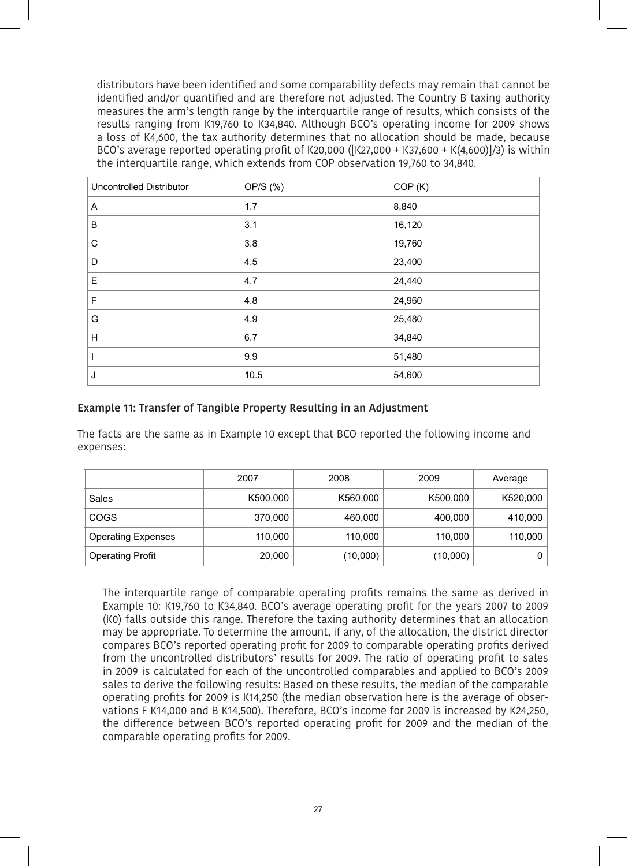distributors have been identified and some comparability defects may remain that cannot be identified and/or quantified and are therefore not adjusted. The Country B taxing authority measures the arm's length range by the interquartile range of results, which consists of the results ranging from K19,760 to K34,840. Although BCO's operating income for 2009 shows a loss of K4,600, the tax authority determines that no allocation should be made, because BCO's average reported operating profit of K20,000 ([K27,000 + K37,600 + K(4,600)]/3) is within the interquartile range, which extends from COP observation 19,760 to 34,840.

| <b>Uncontrolled Distributor</b> | OP/S (%) | COP(K) |
|---------------------------------|----------|--------|
| Α                               | 1.7      | 8,840  |
| B                               | 3.1      | 16,120 |
| C                               | 3.8      | 19,760 |
| D                               | 4.5      | 23,400 |
| E                               | 4.7      | 24,440 |
| F                               | 4.8      | 24,960 |
| G                               | 4.9      | 25,480 |
| H                               | 6.7      | 34,840 |
|                                 | 9.9      | 51,480 |
| J                               | 10.5     | 54,600 |

## **Example 11: Transfer of Tangible Property Resulting in an Adjustment**

The facts are the same as in Example 10 except that BCO reported the following income and expenses:

|                           | 2007     | 2008     | 2009     | Average  |
|---------------------------|----------|----------|----------|----------|
| Sales                     | K500,000 | K560,000 | K500,000 | K520,000 |
| COGS                      | 370,000  | 460.000  | 400,000  | 410,000  |
| <b>Operating Expenses</b> | 110,000  | 110,000  | 110,000  | 110,000  |
| <b>Operating Profit</b>   | 20,000   | (10,000) | (10,000) | 0        |

The interquartile range of comparable operating profits remains the same as derived in Example 10: K19,760 to K34,840. BCO's average operating profit for the years 2007 to 2009 (K0) falls outside this range. Therefore the taxing authority determines that an allocation may be appropriate. To determine the amount, if any, of the allocation, the district director compares BCO's reported operating profit for 2009 to comparable operating profits derived from the uncontrolled distributors' results for 2009. The ratio of operating profit to sales in 2009 is calculated for each of the uncontrolled comparables and applied to BCO's 2009 sales to derive the following results: Based on these results, the median of the comparable operating profits for 2009 is K14,250 (the median observation here is the average of observations F K14,000 and B K14,500). Therefore, BCO's income for 2009 is increased by K24,250, the difference between BCO's reported operating profit for 2009 and the median of the comparable operating profits for 2009.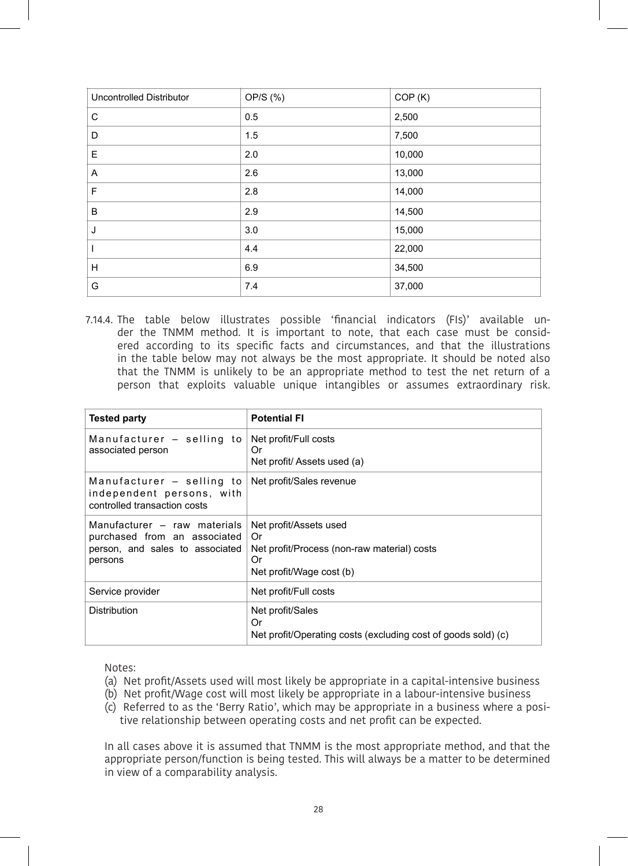| <b>Uncontrolled Distributor</b> | OP/S (%) | COP (K) |
|---------------------------------|----------|---------|
| C                               | 0.5      | 2,500   |
| D                               | 1.5      | 7,500   |
| Е                               | 2.0      | 10,000  |
| Α                               | 2.6      | 13,000  |
| F                               | 2.8      | 14,000  |
| B                               | 2.9      | 14,500  |
| J                               | 3.0      | 15,000  |
|                                 | 4.4      | 22,000  |
| Н                               | 6.9      | 34,500  |
| G                               | 7.4      | 37,000  |

 7.14.4. The table below illustrates possible 'financial indicators (FIs)' available under the TNMM method. It is important to note, that each case must be considered according to its specific facts and circumstances, and that the illustrations in the table below may not always be the most appropriate. It should be noted also that the TNMM is unlikely to be an appropriate method to test the net return of a person that exploits valuable unique intangibles or assumes extraordinary risk.

| <b>Tested party</b>                                                                                        | <b>Potential FI</b>                                                                                           |
|------------------------------------------------------------------------------------------------------------|---------------------------------------------------------------------------------------------------------------|
| Manufacturer - selling to<br>associated person                                                             | Net profit/Full costs<br>Or<br>Net profit/ Assets used (a)                                                    |
| Manufacturer – selling to<br>independent persons, with<br>controlled transaction costs                     | Net profit/Sales revenue                                                                                      |
| Manufacturer - raw materials<br>purchased from an associated<br>person, and sales to associated<br>persons | Net profit/Assets used<br>Or<br>Net profit/Process (non-raw material) costs<br>Or<br>Net profit/Wage cost (b) |
| Service provider                                                                                           | Net profit/Full costs                                                                                         |
| <b>Distribution</b>                                                                                        | Net profit/Sales<br>Or<br>Net profit/Operating costs (excluding cost of goods sold) (c)                       |

Notes:

- (a) Net profit/Assets used will most likely be appropriate in a capital-intensive business
- (b) Net profit/Wage cost will most likely be appropriate in a labour-intensive business
- (c) Referred to as the 'Berry Ratio', which may be appropriate in a business where a positive relationship between operating costs and net profit can be expected.

In all cases above it is assumed that TNMM is the most appropriate method, and that the appropriate person/function is being tested. This will always be a matter to be determined in view of a comparability analysis.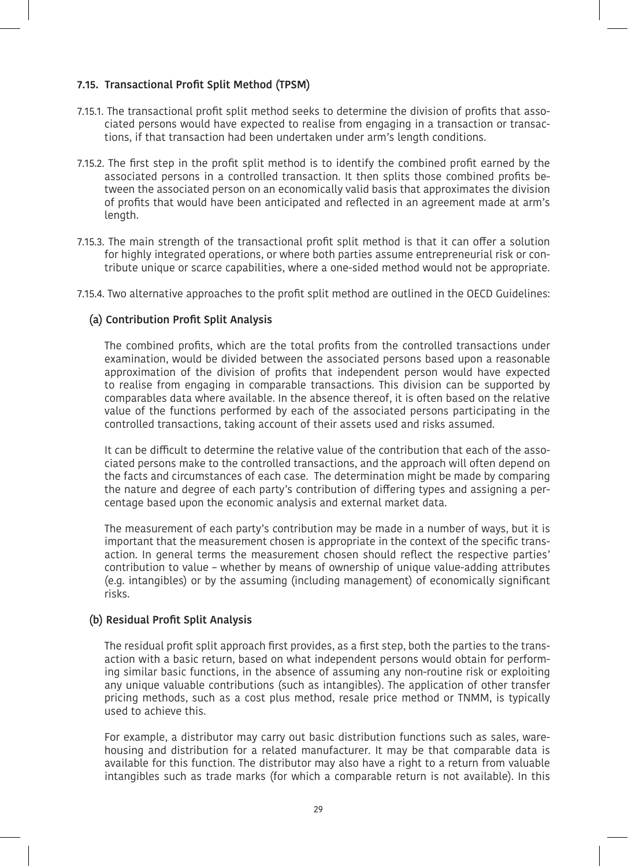## **7.15. Transactional Profit Split Method (TPSM)**

- 7.15.1. The transactional profit split method seeks to determine the division of profits that associated persons would have expected to realise from engaging in a transaction or transactions, if that transaction had been undertaken under arm's length conditions.
- 7.15.2. The first step in the profit split method is to identify the combined profit earned by the associated persons in a controlled transaction. It then splits those combined profits between the associated person on an economically valid basis that approximates the division of profits that would have been anticipated and reflected in an agreement made at arm's length.
- 7.15.3. The main strength of the transactional profit split method is that it can offer a solution for highly integrated operations, or where both parties assume entrepreneurial risk or contribute unique or scarce capabilities, where a one-sided method would not be appropriate.

7.15.4. Two alternative approaches to the profit split method are outlined in the OECD Guidelines:

## **(a) Contribution Profit Split Analysis**

The combined profits, which are the total profits from the controlled transactions under examination, would be divided between the associated persons based upon a reasonable approximation of the division of profits that independent person would have expected to realise from engaging in comparable transactions. This division can be supported by comparables data where available. In the absence thereof, it is often based on the relative value of the functions performed by each of the associated persons participating in the controlled transactions, taking account of their assets used and risks assumed.

It can be difficult to determine the relative value of the contribution that each of the associated persons make to the controlled transactions, and the approach will often depend on the facts and circumstances of each case. The determination might be made by comparing the nature and degree of each party's contribution of differing types and assigning a percentage based upon the economic analysis and external market data.

The measurement of each party's contribution may be made in a number of ways, but it is important that the measurement chosen is appropriate in the context of the specific transaction. In general terms the measurement chosen should reflect the respective parties' contribution to value – whether by means of ownership of unique value-adding attributes (e.g. intangibles) or by the assuming (including management) of economically significant risks.

## **(b) Residual Profit Split Analysis**

The residual profit split approach first provides, as a first step, both the parties to the transaction with a basic return, based on what independent persons would obtain for performing similar basic functions, in the absence of assuming any non-routine risk or exploiting any unique valuable contributions (such as intangibles). The application of other transfer pricing methods, such as a cost plus method, resale price method or TNMM, is typically used to achieve this.

For example, a distributor may carry out basic distribution functions such as sales, warehousing and distribution for a related manufacturer. It may be that comparable data is available for this function. The distributor may also have a right to a return from valuable intangibles such as trade marks (for which a comparable return is not available). In this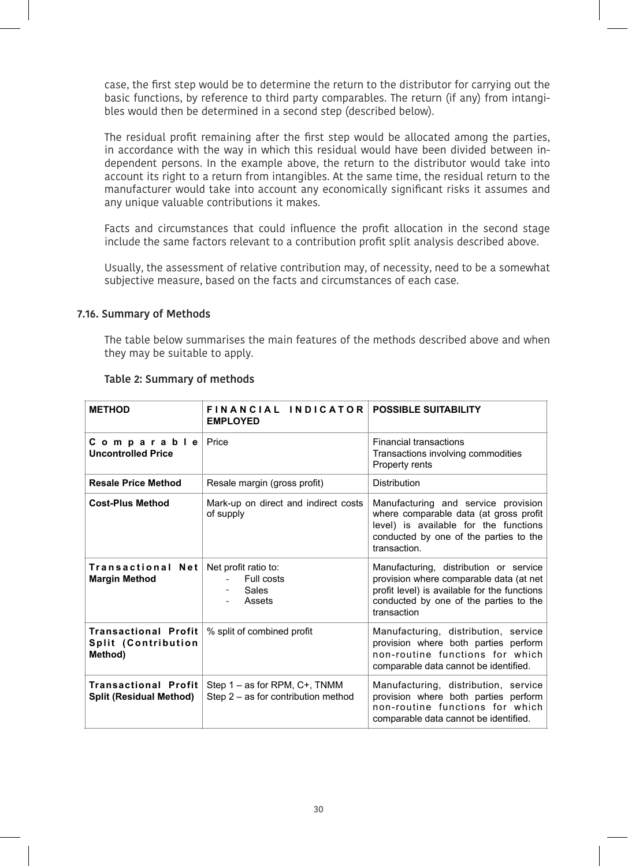case, the first step would be to determine the return to the distributor for carrying out the basic functions, by reference to third party comparables. The return (if any) from intangibles would then be determined in a second step (described below).

The residual profit remaining after the first step would be allocated among the parties, in accordance with the way in which this residual would have been divided between independent persons. In the example above, the return to the distributor would take into account its right to a return from intangibles. At the same time, the residual return to the manufacturer would take into account any economically significant risks it assumes and any unique valuable contributions it makes.

Facts and circumstances that could influence the profit allocation in the second stage include the same factors relevant to a contribution profit split analysis described above.

Usually, the assessment of relative contribution may, of necessity, need to be a somewhat subjective measure, based on the facts and circumstances of each case.

#### **7.16. Summary of Methods**

The table below summarises the main features of the methods described above and when they may be suitable to apply.

| <b>METHOD</b>                                                 | FINANCIAL INDICATOR POSSIBLE SUITABILITY<br><b>EMPLOYED</b>          |                                                                                                                                                                                            |
|---------------------------------------------------------------|----------------------------------------------------------------------|--------------------------------------------------------------------------------------------------------------------------------------------------------------------------------------------|
| Comparable<br><b>Uncontrolled Price</b>                       | Price                                                                | <b>Financial transactions</b><br>Transactions involving commodities<br>Property rents                                                                                                      |
| <b>Resale Price Method</b>                                    | Resale margin (gross profit)                                         | <b>Distribution</b>                                                                                                                                                                        |
| <b>Cost-Plus Method</b>                                       | Mark-up on direct and indirect costs<br>of supply                    | Manufacturing and service provision<br>where comparable data (at gross profit<br>level) is available for the functions<br>conducted by one of the parties to the<br>transaction.           |
| <b>Transactional Net</b><br><b>Margin Method</b>              | Net profit ratio to:<br>Full costs<br><b>Sales</b><br>Assets         | Manufacturing, distribution or service<br>provision where comparable data (at net<br>profit level) is available for the functions<br>conducted by one of the parties to the<br>transaction |
| <b>Transactional Profit</b><br>Split (Contribution<br>Method) | % split of combined profit                                           | Manufacturing, distribution, service<br>provision where both parties perform<br>non-routine functions for which<br>comparable data cannot be identified.                                   |
| <b>Transactional Profit</b><br><b>Split (Residual Method)</b> | Step 1 – as for RPM, C+, TNMM<br>Step 2 - as for contribution method | Manufacturing, distribution, service<br>provision where both parties perform<br>non-routine functions for which<br>comparable data cannot be identified.                                   |

#### **Table 2: Summary of methods**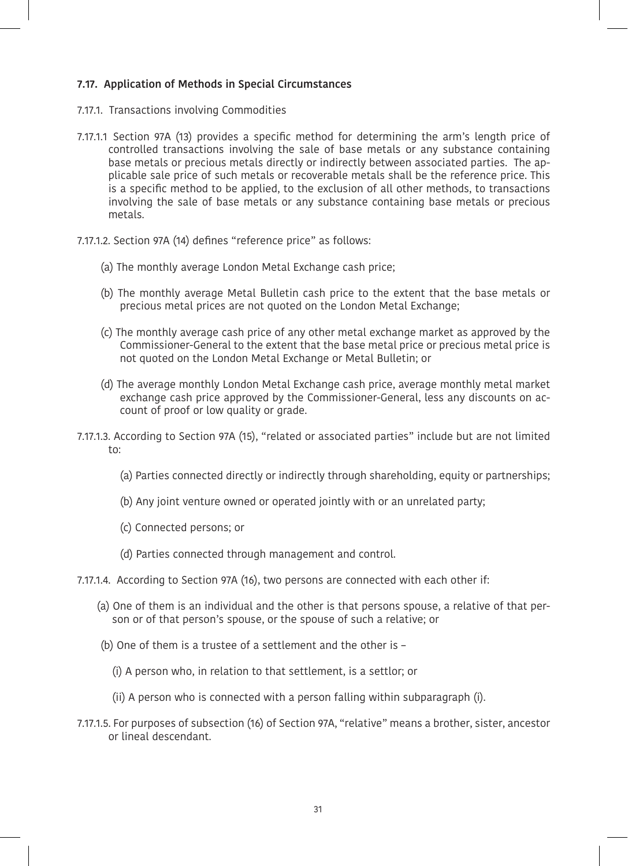## **7.17. Application of Methods in Special Circumstances**

- 7.17.1. Transactions involving Commodities
- 7.17.1.1 Section 97A (13) provides a specific method for determining the arm's length price of controlled transactions involving the sale of base metals or any substance containing base metals or precious metals directly or indirectly between associated parties. The applicable sale price of such metals or recoverable metals shall be the reference price. This is a specific method to be applied, to the exclusion of all other methods, to transactions involving the sale of base metals or any substance containing base metals or precious metals.
- 7.17.1.2. Section 97A (14) defines "reference price" as follows:
	- (a) The monthly average London Metal Exchange cash price;
	- (b) The monthly average Metal Bulletin cash price to the extent that the base metals or precious metal prices are not quoted on the London Metal Exchange;
	- (c) The monthly average cash price of any other metal exchange market as approved by the Commissioner-General to the extent that the base metal price or precious metal price is not quoted on the London Metal Exchange or Metal Bulletin; or
	- (d) The average monthly London Metal Exchange cash price, average monthly metal market exchange cash price approved by the Commissioner-General, less any discounts on account of proof or low quality or grade.
- 7.17.1.3. According to Section 97A (15), "related or associated parties" include but are not limited to:
	- (a) Parties connected directly or indirectly through shareholding, equity or partnerships;
	- (b) Any joint venture owned or operated jointly with or an unrelated party;
	- (c) Connected persons; or
	- (d) Parties connected through management and control.
- 7.17.1.4. According to Section 97A (16), two persons are connected with each other if:
	- (a) One of them is an individual and the other is that persons spouse, a relative of that person or of that person's spouse, or the spouse of such a relative; or
	- (b) One of them is a trustee of a settlement and the other is
		- (i) A person who, in relation to that settlement, is a settlor; or
		- (ii) A person who is connected with a person falling within subparagraph (i).
- 7.17.1.5. For purposes of subsection (16) of Section 97A, "relative" means a brother, sister, ancestor or lineal descendant.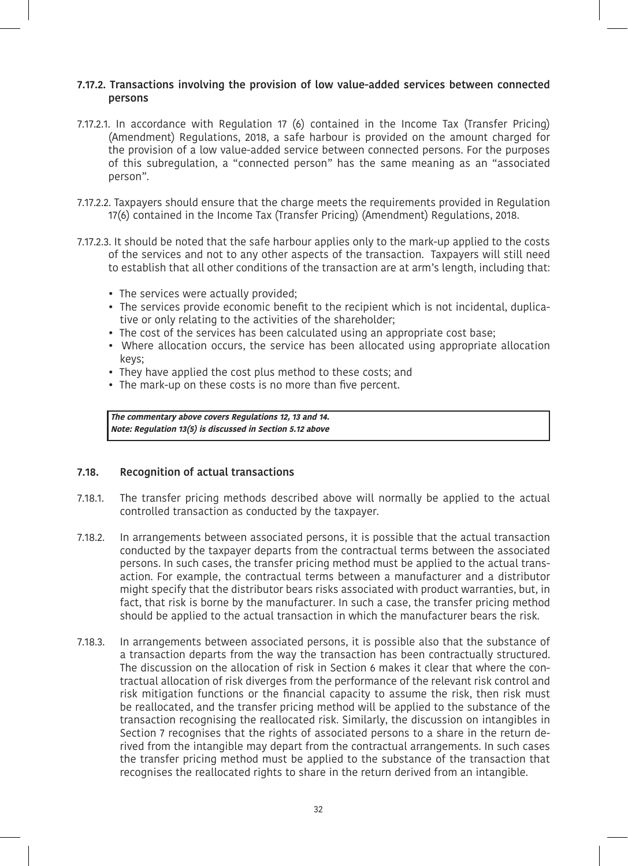## **7.17.2. Transactions involving the provision of low value-added services between connected persons**

- 7.17.2.1. In accordance with Regulation 17 (6) contained in the Income Tax (Transfer Pricing) (Amendment) Regulations, 2018, a safe harbour is provided on the amount charged for the provision of a low value-added service between connected persons. For the purposes of this subregulation, a "connected person" has the same meaning as an "associated person".
- 7.17.2.2. Taxpayers should ensure that the charge meets the requirements provided in Regulation 17(6) contained in the Income Tax (Transfer Pricing) (Amendment) Regulations, 2018.
- 7.17.2.3. It should be noted that the safe harbour applies only to the mark-up applied to the costs of the services and not to any other aspects of the transaction. Taxpayers will still need to establish that all other conditions of the transaction are at arm's length, including that:
	- The services were actually provided;
	- The services provide economic benefit to the recipient which is not incidental, duplicative or only relating to the activities of the shareholder;
	- The cost of the services has been calculated using an appropriate cost base;
	- Where allocation occurs, the service has been allocated using appropriate allocation keys;
	- They have applied the cost plus method to these costs; and
	- The mark-up on these costs is no more than five percent.

**The commentary above covers Regulations 12, 13 and 14. Note: Regulation 13(5) is discussed in Section 5.12 above**

## **7.18. Recognition of actual transactions**

- 7.18.1. The transfer pricing methods described above will normally be applied to the actual controlled transaction as conducted by the taxpayer.
- 7.18.2. In arrangements between associated persons, it is possible that the actual transaction conducted by the taxpayer departs from the contractual terms between the associated persons. In such cases, the transfer pricing method must be applied to the actual transaction. For example, the contractual terms between a manufacturer and a distributor might specify that the distributor bears risks associated with product warranties, but, in fact, that risk is borne by the manufacturer. In such a case, the transfer pricing method should be applied to the actual transaction in which the manufacturer bears the risk.
- 7.18.3. In arrangements between associated persons, it is possible also that the substance of a transaction departs from the way the transaction has been contractually structured. The discussion on the allocation of risk in Section 6 makes it clear that where the contractual allocation of risk diverges from the performance of the relevant risk control and risk mitigation functions or the financial capacity to assume the risk, then risk must be reallocated, and the transfer pricing method will be applied to the substance of the transaction recognising the reallocated risk. Similarly, the discussion on intangibles in Section 7 recognises that the rights of associated persons to a share in the return derived from the intangible may depart from the contractual arrangements. In such cases the transfer pricing method must be applied to the substance of the transaction that recognises the reallocated rights to share in the return derived from an intangible.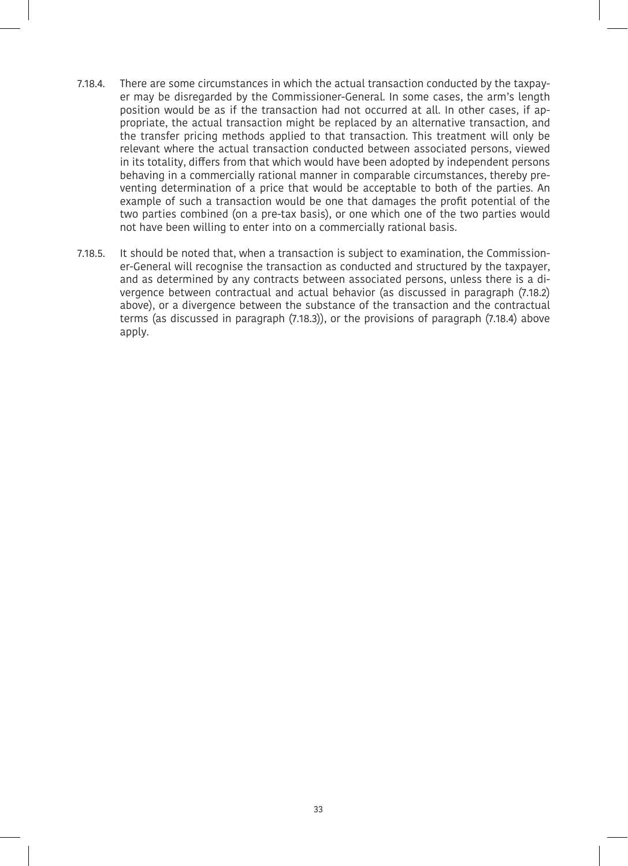- 7.18.4. There are some circumstances in which the actual transaction conducted by the taxpayer may be disregarded by the Commissioner-General. In some cases, the arm's length position would be as if the transaction had not occurred at all. In other cases, if appropriate, the actual transaction might be replaced by an alternative transaction, and the transfer pricing methods applied to that transaction. This treatment will only be relevant where the actual transaction conducted between associated persons, viewed in its totality, differs from that which would have been adopted by independent persons behaving in a commercially rational manner in comparable circumstances, thereby preventing determination of a price that would be acceptable to both of the parties. An example of such a transaction would be one that damages the profit potential of the two parties combined (on a pre-tax basis), or one which one of the two parties would not have been willing to enter into on a commercially rational basis.
- 7.18.5. It should be noted that, when a transaction is subject to examination, the Commissioner-General will recognise the transaction as conducted and structured by the taxpayer, and as determined by any contracts between associated persons, unless there is a divergence between contractual and actual behavior (as discussed in paragraph (7.18.2) above), or a divergence between the substance of the transaction and the contractual terms (as discussed in paragraph (7.18.3)), or the provisions of paragraph (7.18.4) above apply.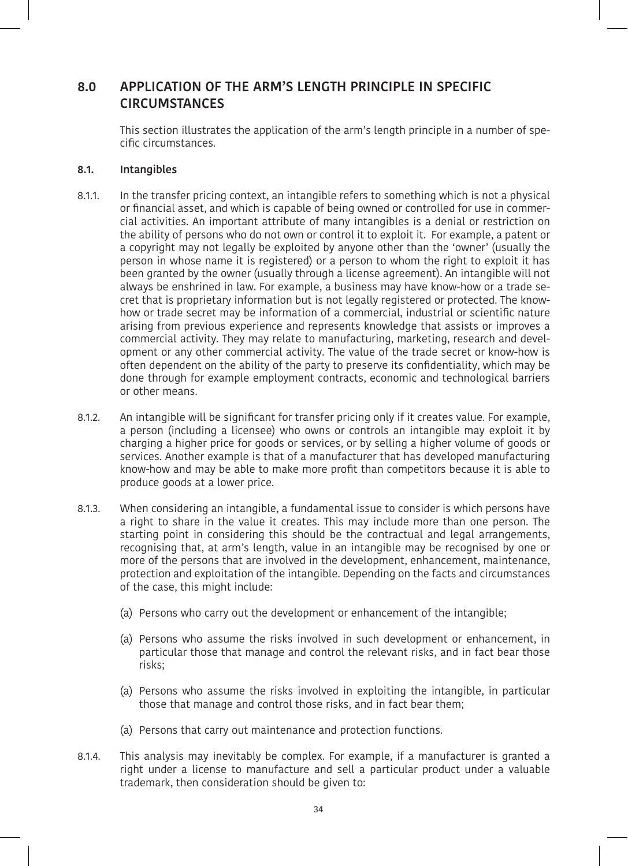# **8.0 APPLICATION OF THE ARM'S LENGTH PRINCIPLE IN SPECIFIC CIRCUMSTANCES**

This section illustrates the application of the arm's length principle in a number of specific circumstances.

## **8.1. Intangibles**

- 8.1.1. In the transfer pricing context, an intangible refers to something which is not a physical or financial asset, and which is capable of being owned or controlled for use in commercial activities. An important attribute of many intangibles is a denial or restriction on the ability of persons who do not own or control it to exploit it. For example, a patent or a copyright may not legally be exploited by anyone other than the 'owner' (usually the person in whose name it is registered) or a person to whom the right to exploit it has been granted by the owner (usually through a license agreement). An intangible will not always be enshrined in law. For example, a business may have know-how or a trade secret that is proprietary information but is not legally registered or protected. The knowhow or trade secret may be information of a commercial, industrial or scientific nature arising from previous experience and represents knowledge that assists or improves a commercial activity. They may relate to manufacturing, marketing, research and development or any other commercial activity. The value of the trade secret or know-how is often dependent on the ability of the party to preserve its confidentiality, which may be done through for example employment contracts, economic and technological barriers or other means.
- 8.1.2. An intangible will be significant for transfer pricing only if it creates value. For example, a person (including a licensee) who owns or controls an intangible may exploit it by charging a higher price for goods or services, or by selling a higher volume of goods or services. Another example is that of a manufacturer that has developed manufacturing know-how and may be able to make more profit than competitors because it is able to produce goods at a lower price.
- 8.1.3. When considering an intangible, a fundamental issue to consider is which persons have a right to share in the value it creates. This may include more than one person. The starting point in considering this should be the contractual and legal arrangements, recognising that, at arm's length, value in an intangible may be recognised by one or more of the persons that are involved in the development, enhancement, maintenance, protection and exploitation of the intangible. Depending on the facts and circumstances of the case, this might include:
	- (a) Persons who carry out the development or enhancement of the intangible;
	- (a) Persons who assume the risks involved in such development or enhancement, in particular those that manage and control the relevant risks, and in fact bear those risks;
	- (a) Persons who assume the risks involved in exploiting the intangible, in particular those that manage and control those risks, and in fact bear them;
	- (a) Persons that carry out maintenance and protection functions.
- 8.1.4. This analysis may inevitably be complex. For example, if a manufacturer is granted a right under a license to manufacture and sell a particular product under a valuable trademark, then consideration should be given to: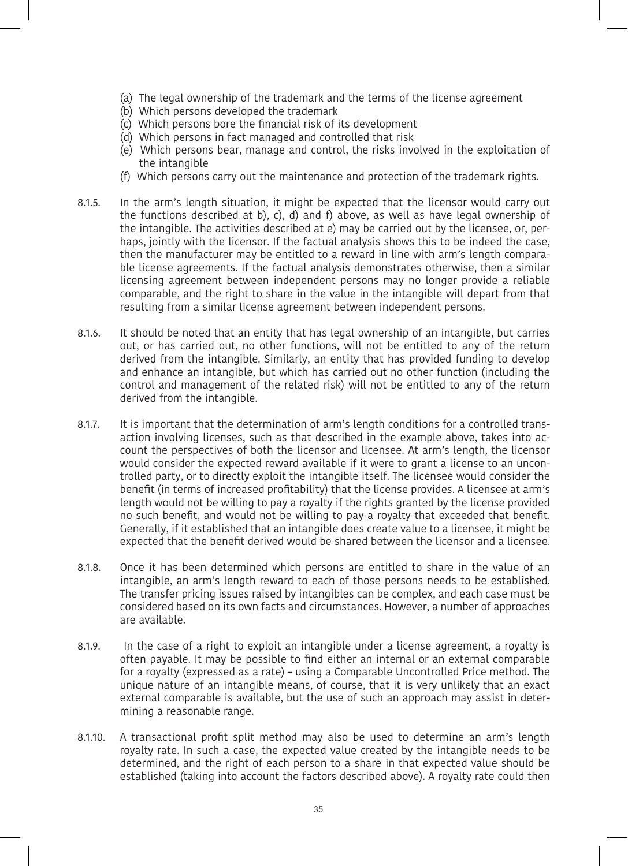- (a) The legal ownership of the trademark and the terms of the license agreement
- (b) Which persons developed the trademark
- (c) Which persons bore the financial risk of its development
- (d) Which persons in fact managed and controlled that risk
- (e) Which persons bear, manage and control, the risks involved in the exploitation of the intangible
- (f) Which persons carry out the maintenance and protection of the trademark rights.
- 8.1.5. In the arm's length situation, it might be expected that the licensor would carry out the functions described at b), c), d) and f) above, as well as have legal ownership of the intangible. The activities described at e) may be carried out by the licensee, or, perhaps, jointly with the licensor. If the factual analysis shows this to be indeed the case, then the manufacturer may be entitled to a reward in line with arm's length comparable license agreements. If the factual analysis demonstrates otherwise, then a similar licensing agreement between independent persons may no longer provide a reliable comparable, and the right to share in the value in the intangible will depart from that resulting from a similar license agreement between independent persons.
- 8.1.6. It should be noted that an entity that has legal ownership of an intangible, but carries out, or has carried out, no other functions, will not be entitled to any of the return derived from the intangible. Similarly, an entity that has provided funding to develop and enhance an intangible, but which has carried out no other function (including the control and management of the related risk) will not be entitled to any of the return derived from the intangible.
- 8.1.7. It is important that the determination of arm's length conditions for a controlled transaction involving licenses, such as that described in the example above, takes into account the perspectives of both the licensor and licensee. At arm's length, the licensor would consider the expected reward available if it were to grant a license to an uncontrolled party, or to directly exploit the intangible itself. The licensee would consider the benefit (in terms of increased profitability) that the license provides. A licensee at arm's length would not be willing to pay a royalty if the rights granted by the license provided no such benefit, and would not be willing to pay a royalty that exceeded that benefit. Generally, if it established that an intangible does create value to a licensee, it might be expected that the benefit derived would be shared between the licensor and a licensee.
- 8.1.8. Once it has been determined which persons are entitled to share in the value of an intangible, an arm's length reward to each of those persons needs to be established. The transfer pricing issues raised by intangibles can be complex, and each case must be considered based on its own facts and circumstances. However, a number of approaches are available.
- 8.1.9. In the case of a right to exploit an intangible under a license agreement, a royalty is often payable. It may be possible to find either an internal or an external comparable for a royalty (expressed as a rate) – using a Comparable Uncontrolled Price method. The unique nature of an intangible means, of course, that it is very unlikely that an exact external comparable is available, but the use of such an approach may assist in determining a reasonable range.
- 8.1.10. A transactional profit split method may also be used to determine an arm's length royalty rate. In such a case, the expected value created by the intangible needs to be determined, and the right of each person to a share in that expected value should be established (taking into account the factors described above). A royalty rate could then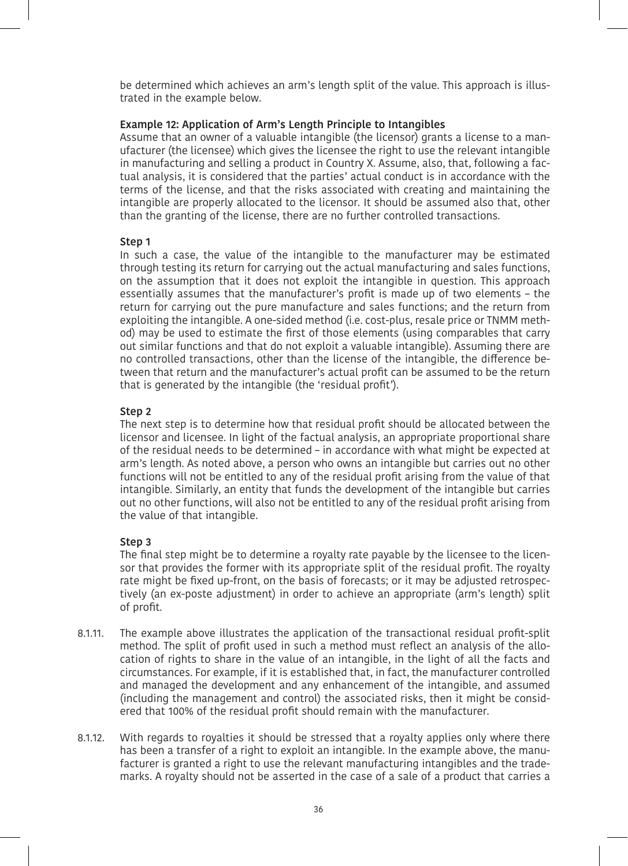be determined which achieves an arm's length split of the value. This approach is illustrated in the example below.

#### **Example 12: Application of Arm's Length Principle to Intangibles**

Assume that an owner of a valuable intangible (the licensor) grants a license to a manufacturer (the licensee) which gives the licensee the right to use the relevant intangible in manufacturing and selling a product in Country X. Assume, also, that, following a factual analysis, it is considered that the parties' actual conduct is in accordance with the terms of the license, and that the risks associated with creating and maintaining the intangible are properly allocated to the licensor. It should be assumed also that, other than the granting of the license, there are no further controlled transactions.

#### **Step 1**

In such a case, the value of the intangible to the manufacturer may be estimated through testing its return for carrying out the actual manufacturing and sales functions, on the assumption that it does not exploit the intangible in question. This approach essentially assumes that the manufacturer's profit is made up of two elements – the return for carrying out the pure manufacture and sales functions; and the return from exploiting the intangible. A one-sided method (i.e. cost-plus, resale price or TNMM method) may be used to estimate the first of those elements (using comparables that carry out similar functions and that do not exploit a valuable intangible). Assuming there are no controlled transactions, other than the license of the intangible, the difference between that return and the manufacturer's actual profit can be assumed to be the return that is generated by the intangible (the 'residual profit').

#### **Step 2**

The next step is to determine how that residual profit should be allocated between the licensor and licensee. In light of the factual analysis, an appropriate proportional share of the residual needs to be determined – in accordance with what might be expected at arm's length. As noted above, a person who owns an intangible but carries out no other functions will not be entitled to any of the residual profit arising from the value of that intangible. Similarly, an entity that funds the development of the intangible but carries out no other functions, will also not be entitled to any of the residual profit arising from the value of that intangible.

#### **Step 3**

The final step might be to determine a royalty rate payable by the licensee to the licensor that provides the former with its appropriate split of the residual profit. The royalty rate might be fixed up-front, on the basis of forecasts; or it may be adjusted retrospectively (an ex-poste adjustment) in order to achieve an appropriate (arm's length) split of profit.

- 8.1.11. The example above illustrates the application of the transactional residual profit-split method. The split of profit used in such a method must reflect an analysis of the allocation of rights to share in the value of an intangible, in the light of all the facts and circumstances. For example, if it is established that, in fact, the manufacturer controlled and managed the development and any enhancement of the intangible, and assumed (including the management and control) the associated risks, then it might be considered that 100% of the residual profit should remain with the manufacturer.
- 8.1.12. With regards to royalties it should be stressed that a royalty applies only where there has been a transfer of a right to exploit an intangible. In the example above, the manufacturer is granted a right to use the relevant manufacturing intangibles and the trademarks. A royalty should not be asserted in the case of a sale of a product that carries a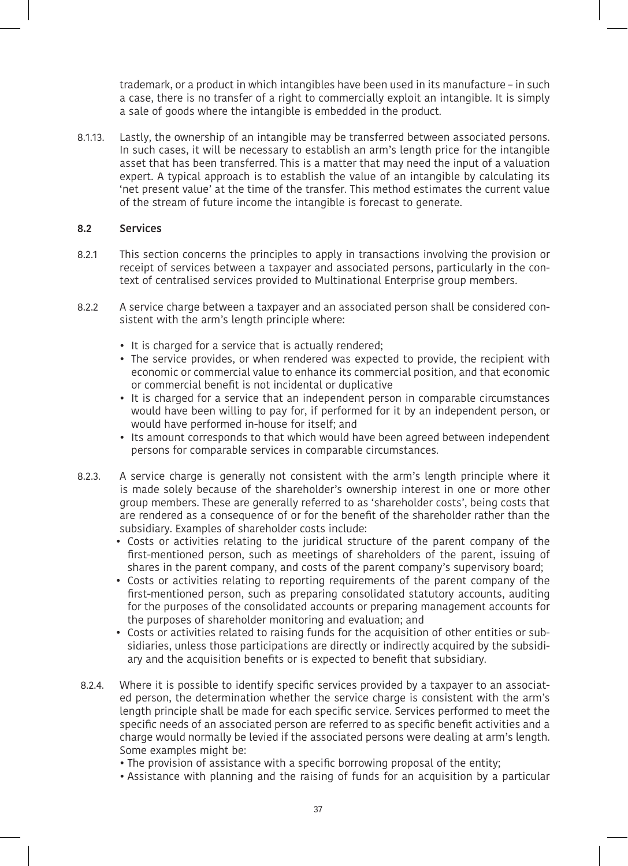trademark, or a product in which intangibles have been used in its manufacture – in such a case, there is no transfer of a right to commercially exploit an intangible. It is simply a sale of goods where the intangible is embedded in the product.

8.1.13. Lastly, the ownership of an intangible may be transferred between associated persons. In such cases, it will be necessary to establish an arm's length price for the intangible asset that has been transferred. This is a matter that may need the input of a valuation expert. A typical approach is to establish the value of an intangible by calculating its 'net present value' at the time of the transfer. This method estimates the current value of the stream of future income the intangible is forecast to generate.

## **8.2 Services**

- 8.2.1 This section concerns the principles to apply in transactions involving the provision or receipt of services between a taxpayer and associated persons, particularly in the context of centralised services provided to Multinational Enterprise group members.
- 8.2.2 A service charge between a taxpayer and an associated person shall be considered consistent with the arm's length principle where:
	- It is charged for a service that is actually rendered;
	- The service provides, or when rendered was expected to provide, the recipient with economic or commercial value to enhance its commercial position, and that economic or commercial benefit is not incidental or duplicative
	- It is charged for a service that an independent person in comparable circumstances would have been willing to pay for, if performed for it by an independent person, or would have performed in-house for itself; and
	- Its amount corresponds to that which would have been agreed between independent persons for comparable services in comparable circumstances.
- 8.2.3. A service charge is generally not consistent with the arm's length principle where it is made solely because of the shareholder's ownership interest in one or more other group members. These are generally referred to as 'shareholder costs', being costs that are rendered as a consequence of or for the benefit of the shareholder rather than the subsidiary. Examples of shareholder costs include:
	- Costs or activities relating to the juridical structure of the parent company of the first-mentioned person, such as meetings of shareholders of the parent, issuing of shares in the parent company, and costs of the parent company's supervisory board;
	- Costs or activities relating to reporting requirements of the parent company of the first-mentioned person, such as preparing consolidated statutory accounts, auditing for the purposes of the consolidated accounts or preparing management accounts for the purposes of shareholder monitoring and evaluation; and
	- Costs or activities related to raising funds for the acquisition of other entities or subsidiaries, unless those participations are directly or indirectly acquired by the subsidiary and the acquisition benefits or is expected to benefit that subsidiary.
- 8.2.4. Where it is possible to identify specific services provided by a taxpayer to an associated person, the determination whether the service charge is consistent with the arm's length principle shall be made for each specific service. Services performed to meet the specific needs of an associated person are referred to as specific benefit activities and a charge would normally be levied if the associated persons were dealing at arm's length. Some examples might be:
	- The provision of assistance with a specific borrowing proposal of the entity;
	- Assistance with planning and the raising of funds for an acquisition by a particular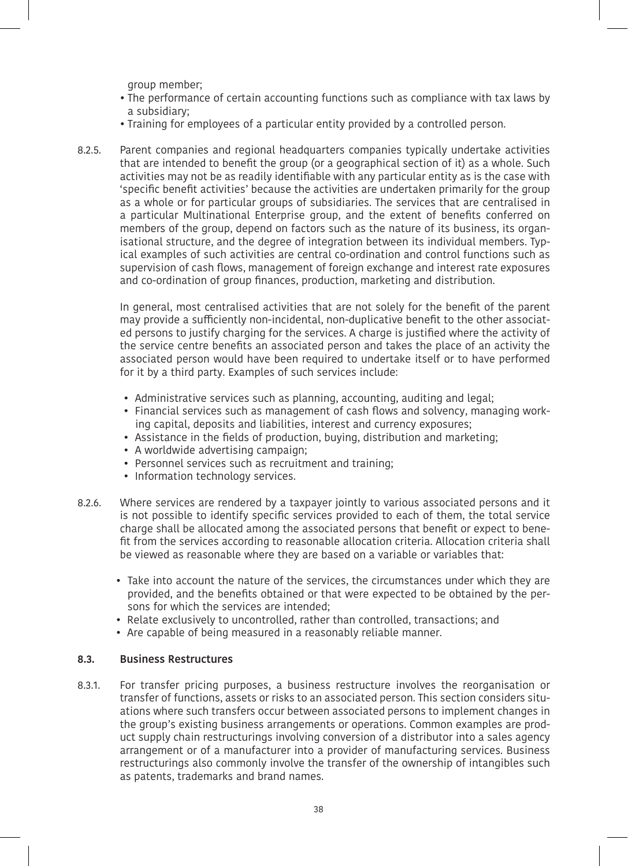aroup member;

- The performance of certain accounting functions such as compliance with tax laws by a subsidiary;
- Training for employees of a particular entity provided by a controlled person.
- 8.2.5. Parent companies and regional headquarters companies typically undertake activities that are intended to benefit the group (or a geographical section of it) as a whole. Such activities may not be as readily identifiable with any particular entity as is the case with 'specific benefit activities' because the activities are undertaken primarily for the group as a whole or for particular groups of subsidiaries. The services that are centralised in a particular Multinational Enterprise group, and the extent of benefits conferred on members of the group, depend on factors such as the nature of its business, its organisational structure, and the degree of integration between its individual members. Typical examples of such activities are central co-ordination and control functions such as supervision of cash flows, management of foreign exchange and interest rate exposures and co-ordination of group finances, production, marketing and distribution.

In general, most centralised activities that are not solely for the benefit of the parent may provide a sufficiently non-incidental, non-duplicative benefit to the other associated persons to justify charging for the services. A charge is justified where the activity of the service centre benefits an associated person and takes the place of an activity the associated person would have been required to undertake itself or to have performed for it by a third party. Examples of such services include:

- Administrative services such as planning, accounting, auditing and legal;
- Financial services such as management of cash flows and solvency, managing working capital, deposits and liabilities, interest and currency exposures;
- Assistance in the fields of production, buying, distribution and marketing;
- A worldwide advertising campaign;
- Personnel services such as recruitment and training;
- Information technology services.
- 8.2.6. Where services are rendered by a taxpayer jointly to various associated persons and it is not possible to identify specific services provided to each of them, the total service charge shall be allocated among the associated persons that benefit or expect to benefit from the services according to reasonable allocation criteria. Allocation criteria shall be viewed as reasonable where they are based on a variable or variables that:
	- Take into account the nature of the services, the circumstances under which they are provided, and the benefits obtained or that were expected to be obtained by the persons for which the services are intended;
	- Relate exclusively to uncontrolled, rather than controlled, transactions; and
	- Are capable of being measured in a reasonably reliable manner.

## **8.3. Business Restructures**

8.3.1. For transfer pricing purposes, a business restructure involves the reorganisation or transfer of functions, assets or risks to an associated person. This section considers situations where such transfers occur between associated persons to implement changes in the group's existing business arrangements or operations. Common examples are product supply chain restructurings involving conversion of a distributor into a sales agency arrangement or of a manufacturer into a provider of manufacturing services. Business restructurings also commonly involve the transfer of the ownership of intangibles such as patents, trademarks and brand names.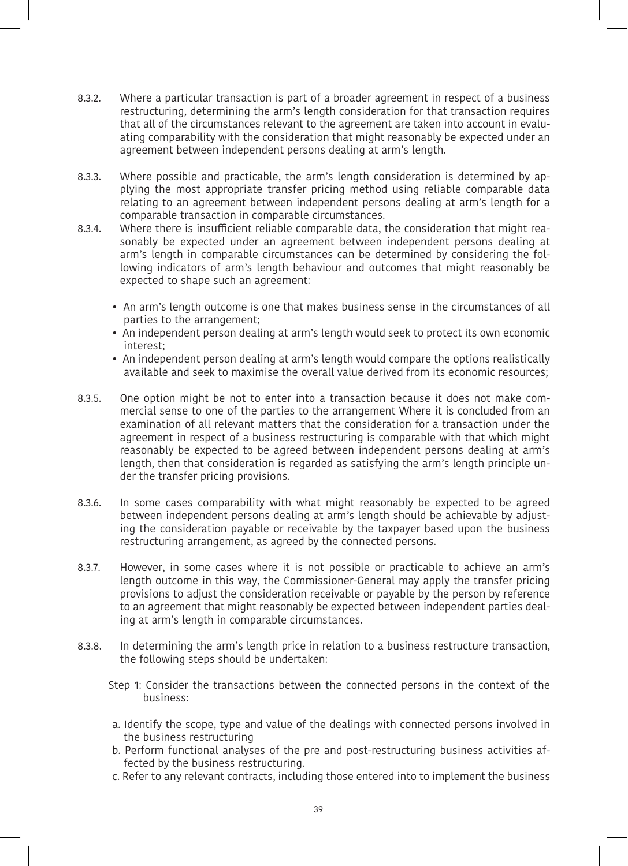- 8.3.2. Where a particular transaction is part of a broader agreement in respect of a business restructuring, determining the arm's length consideration for that transaction requires that all of the circumstances relevant to the agreement are taken into account in evaluating comparability with the consideration that might reasonably be expected under an agreement between independent persons dealing at arm's length.
- 8.3.3. Where possible and practicable, the arm's length consideration is determined by applying the most appropriate transfer pricing method using reliable comparable data relating to an agreement between independent persons dealing at arm's length for a comparable transaction in comparable circumstances.
- 8.3.4. Where there is insufficient reliable comparable data, the consideration that might reasonably be expected under an agreement between independent persons dealing at arm's length in comparable circumstances can be determined by considering the following indicators of arm's length behaviour and outcomes that might reasonably be expected to shape such an agreement:
	- An arm's length outcome is one that makes business sense in the circumstances of all parties to the arrangement;
	- An independent person dealing at arm's length would seek to protect its own economic interest;
	- An independent person dealing at arm's length would compare the options realistically available and seek to maximise the overall value derived from its economic resources;
- 8.3.5. One option might be not to enter into a transaction because it does not make commercial sense to one of the parties to the arrangement Where it is concluded from an examination of all relevant matters that the consideration for a transaction under the agreement in respect of a business restructuring is comparable with that which might reasonably be expected to be agreed between independent persons dealing at arm's length, then that consideration is regarded as satisfying the arm's length principle under the transfer pricing provisions.
- 8.3.6. In some cases comparability with what might reasonably be expected to be agreed between independent persons dealing at arm's length should be achievable by adjusting the consideration payable or receivable by the taxpayer based upon the business restructuring arrangement, as agreed by the connected persons.
- 8.3.7. However, in some cases where it is not possible or practicable to achieve an arm's length outcome in this way, the Commissioner-General may apply the transfer pricing provisions to adjust the consideration receivable or payable by the person by reference to an agreement that might reasonably be expected between independent parties dealing at arm's length in comparable circumstances.
- 8.3.8. In determining the arm's length price in relation to a business restructure transaction, the following steps should be undertaken:
	- Step 1: Consider the transactions between the connected persons in the context of the business:
	- a. Identify the scope, type and value of the dealings with connected persons involved in the business restructuring
	- b. Perform functional analyses of the pre and post-restructuring business activities affected by the business restructuring.
	- c. Refer to any relevant contracts, including those entered into to implement the business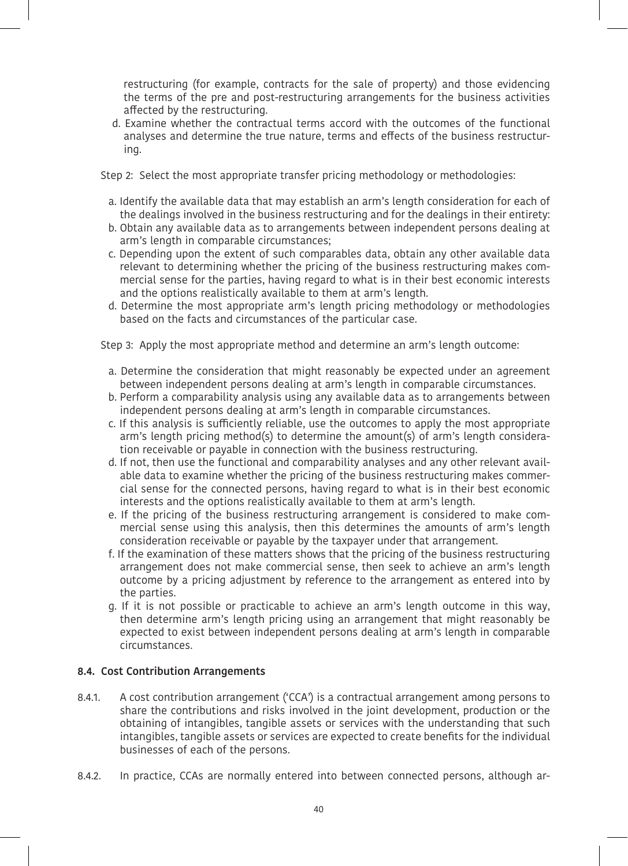restructuring (for example, contracts for the sale of property) and those evidencing the terms of the pre and post-restructuring arrangements for the business activities affected by the restructuring.

d. Examine whether the contractual terms accord with the outcomes of the functional analyses and determine the true nature, terms and effects of the business restructuring.

Step 2: Select the most appropriate transfer pricing methodology or methodologies:

- a. Identify the available data that may establish an arm's length consideration for each of the dealings involved in the business restructuring and for the dealings in their entirety:
- b. Obtain any available data as to arrangements between independent persons dealing at arm's length in comparable circumstances;
- c. Depending upon the extent of such comparables data, obtain any other available data relevant to determining whether the pricing of the business restructuring makes commercial sense for the parties, having regard to what is in their best economic interests and the options realistically available to them at arm's length.
- d. Determine the most appropriate arm's length pricing methodology or methodologies based on the facts and circumstances of the particular case.

Step 3: Apply the most appropriate method and determine an arm's length outcome:

- a. Determine the consideration that might reasonably be expected under an agreement between independent persons dealing at arm's length in comparable circumstances.
- b. Perform a comparability analysis using any available data as to arrangements between independent persons dealing at arm's length in comparable circumstances.
- c. If this analysis is sufficiently reliable, use the outcomes to apply the most appropriate arm's length pricing method(s) to determine the amount(s) of arm's length consideration receivable or payable in connection with the business restructuring.
- d. If not, then use the functional and comparability analyses and any other relevant available data to examine whether the pricing of the business restructuring makes commercial sense for the connected persons, having regard to what is in their best economic interests and the options realistically available to them at arm's length.
- e. If the pricing of the business restructuring arrangement is considered to make commercial sense using this analysis, then this determines the amounts of arm's length consideration receivable or payable by the taxpayer under that arrangement.
- f. If the examination of these matters shows that the pricing of the business restructuring arrangement does not make commercial sense, then seek to achieve an arm's length outcome by a pricing adjustment by reference to the arrangement as entered into by the parties.
- g. If it is not possible or practicable to achieve an arm's length outcome in this way, then determine arm's length pricing using an arrangement that might reasonably be expected to exist between independent persons dealing at arm's length in comparable circumstances.

#### **8.4. Cost Contribution Arrangements**

- 8.4.1. A cost contribution arrangement ('CCA') is a contractual arrangement among persons to share the contributions and risks involved in the joint development, production or the obtaining of intangibles, tangible assets or services with the understanding that such intangibles, tangible assets or services are expected to create benefits for the individual businesses of each of the persons.
- 8.4.2. In practice, CCAs are normally entered into between connected persons, although ar-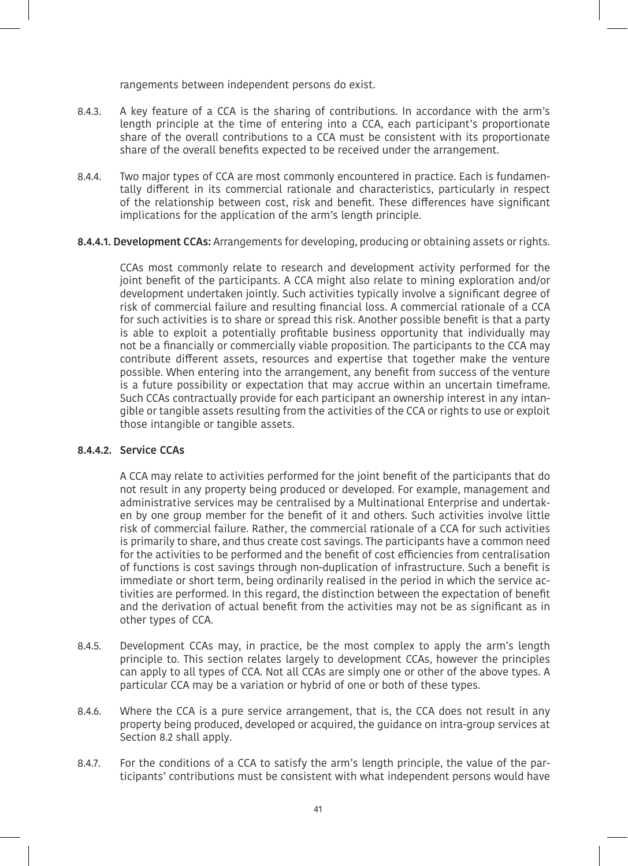rangements between independent persons do exist.

- 8.4.3. A key feature of a CCA is the sharing of contributions. In accordance with the arm's length principle at the time of entering into a CCA, each participant's proportionate share of the overall contributions to a CCA must be consistent with its proportionate share of the overall benefits expected to be received under the arrangement.
- 8.4.4. Two major types of CCA are most commonly encountered in practice. Each is fundamentally different in its commercial rationale and characteristics, particularly in respect of the relationship between cost, risk and benefit. These differences have significant implications for the application of the arm's length principle.

## **8.4.4.1. Development CCAs:** Arrangements for developing, producing or obtaining assets or rights.

CCAs most commonly relate to research and development activity performed for the joint benefit of the participants. A CCA might also relate to mining exploration and/or development undertaken jointly. Such activities typically involve a significant degree of risk of commercial failure and resulting financial loss. A commercial rationale of a CCA for such activities is to share or spread this risk. Another possible benefit is that a party is able to exploit a potentially profitable business opportunity that individually may not be a financially or commercially viable proposition. The participants to the CCA may contribute different assets, resources and expertise that together make the venture possible. When entering into the arrangement, any benefit from success of the venture is a future possibility or expectation that may accrue within an uncertain timeframe. Such CCAs contractually provide for each participant an ownership interest in any intangible or tangible assets resulting from the activities of the CCA or rights to use or exploit those intangible or tangible assets.

#### **8.4.4.2. Service CCAs**

A CCA may relate to activities performed for the joint benefit of the participants that do not result in any property being produced or developed. For example, management and administrative services may be centralised by a Multinational Enterprise and undertaken by one group member for the benefit of it and others. Such activities involve little risk of commercial failure. Rather, the commercial rationale of a CCA for such activities is primarily to share, and thus create cost savings. The participants have a common need for the activities to be performed and the benefit of cost efficiencies from centralisation of functions is cost savings through non-duplication of infrastructure. Such a benefit is immediate or short term, being ordinarily realised in the period in which the service activities are performed. In this regard, the distinction between the expectation of benefit and the derivation of actual benefit from the activities may not be as significant as in other types of CCA.

- 8.4.5. Development CCAs may, in practice, be the most complex to apply the arm's length principle to. This section relates largely to development CCAs, however the principles can apply to all types of CCA. Not all CCAs are simply one or other of the above types. A particular CCA may be a variation or hybrid of one or both of these types.
- 8.4.6. Where the CCA is a pure service arrangement, that is, the CCA does not result in any property being produced, developed or acquired, the guidance on intra-group services at Section 8.2 shall apply.
- 8.4.7. For the conditions of a CCA to satisfy the arm's length principle, the value of the participants' contributions must be consistent with what independent persons would have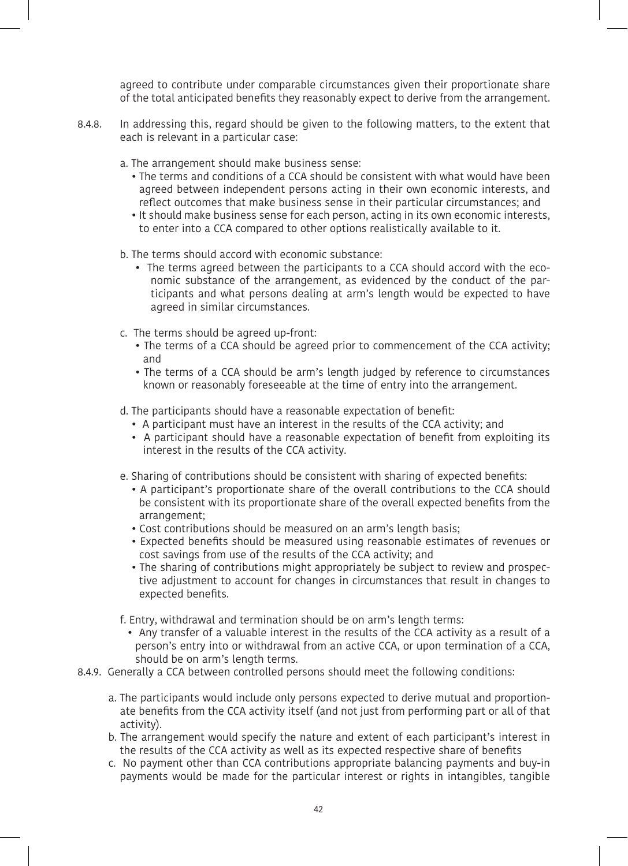agreed to contribute under comparable circumstances given their proportionate share of the total anticipated benefits they reasonably expect to derive from the arrangement.

- 8.4.8. In addressing this, regard should be given to the following matters, to the extent that each is relevant in a particular case:
	- a. The arrangement should make business sense:
		- The terms and conditions of a CCA should be consistent with what would have been agreed between independent persons acting in their own economic interests, and reflect outcomes that make business sense in their particular circumstances; and
		- It should make business sense for each person, acting in its own economic interests, to enter into a CCA compared to other options realistically available to it.
	- b. The terms should accord with economic substance:
		- The terms agreed between the participants to a CCA should accord with the economic substance of the arrangement, as evidenced by the conduct of the participants and what persons dealing at arm's length would be expected to have agreed in similar circumstances.
	- c. The terms should be agreed up-front:
		- The terms of a CCA should be agreed prior to commencement of the CCA activity; and
		- The terms of a CCA should be arm's length judged by reference to circumstances known or reasonably foreseeable at the time of entry into the arrangement.
	- d. The participants should have a reasonable expectation of benefit:
		- A participant must have an interest in the results of the CCA activity; and
		- A participant should have a reasonable expectation of benefit from exploiting its interest in the results of the CCA activity.
	- e. Sharing of contributions should be consistent with sharing of expected benefits:
		- A participant's proportionate share of the overall contributions to the CCA should be consistent with its proportionate share of the overall expected benefits from the arrangement;
		- Cost contributions should be measured on an arm's length basis;
		- Expected benefits should be measured using reasonable estimates of revenues or cost savings from use of the results of the CCA activity; and
		- The sharing of contributions might appropriately be subject to review and prospective adjustment to account for changes in circumstances that result in changes to expected benefits.
	- f. Entry, withdrawal and termination should be on arm's length terms:
		- Any transfer of a valuable interest in the results of the CCA activity as a result of a person's entry into or withdrawal from an active CCA, or upon termination of a CCA, should be on arm's length terms.
- 8.4.9. Generally a CCA between controlled persons should meet the following conditions:
	- a. The participants would include only persons expected to derive mutual and proportionate benefits from the CCA activity itself (and not just from performing part or all of that activity).
	- b. The arrangement would specify the nature and extent of each participant's interest in the results of the CCA activity as well as its expected respective share of benefits
	- c. No payment other than CCA contributions appropriate balancing payments and buy-in payments would be made for the particular interest or rights in intangibles, tangible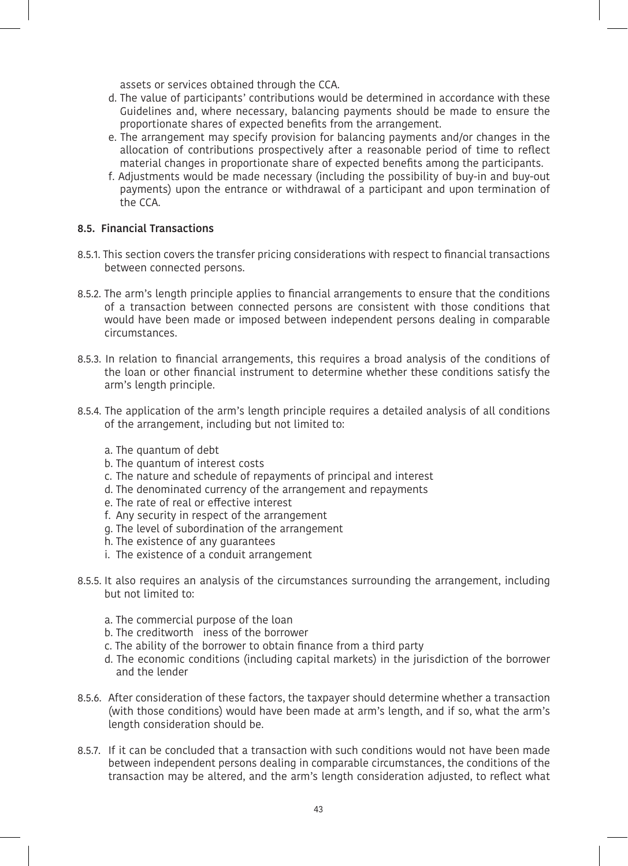assets or services obtained through the CCA.

- d. The value of participants' contributions would be determined in accordance with these Guidelines and, where necessary, balancing payments should be made to ensure the proportionate shares of expected benefits from the arrangement.
- e. The arrangement may specify provision for balancing payments and/or changes in the allocation of contributions prospectively after a reasonable period of time to reflect material changes in proportionate share of expected benefits among the participants.
- f. Adjustments would be made necessary (including the possibility of buy-in and buy-out payments) upon the entrance or withdrawal of a participant and upon termination of the CCA.

## **8.5. Financial Transactions**

- 8.5.1. This section covers the transfer pricing considerations with respect to financial transactions between connected persons.
- 8.5.2. The arm's length principle applies to financial arrangements to ensure that the conditions of a transaction between connected persons are consistent with those conditions that would have been made or imposed between independent persons dealing in comparable circumstances.
- 8.5.3. In relation to financial arrangements, this requires a broad analysis of the conditions of the loan or other financial instrument to determine whether these conditions satisfy the arm's length principle.
- 8.5.4. The application of the arm's length principle requires a detailed analysis of all conditions of the arrangement, including but not limited to:
	- a. The quantum of debt
	- b. The quantum of interest costs
	- c. The nature and schedule of repayments of principal and interest
	- d. The denominated currency of the arrangement and repayments
	- e. The rate of real or effective interest
	- f. Any security in respect of the arrangement
	- g. The level of subordination of the arrangement
	- h. The existence of any guarantees
	- i. The existence of a conduit arrangement
- 8.5.5. It also requires an analysis of the circumstances surrounding the arrangement, including but not limited to:
	- a. The commercial purpose of the loan
	- b. The creditworth iness of the borrower
	- c. The ability of the borrower to obtain finance from a third party
	- d. The economic conditions (including capital markets) in the jurisdiction of the borrower and the lender
- 8.5.6. After consideration of these factors, the taxpayer should determine whether a transaction (with those conditions) would have been made at arm's length, and if so, what the arm's length consideration should be.
- 8.5.7. If it can be concluded that a transaction with such conditions would not have been made between independent persons dealing in comparable circumstances, the conditions of the transaction may be altered, and the arm's length consideration adjusted, to reflect what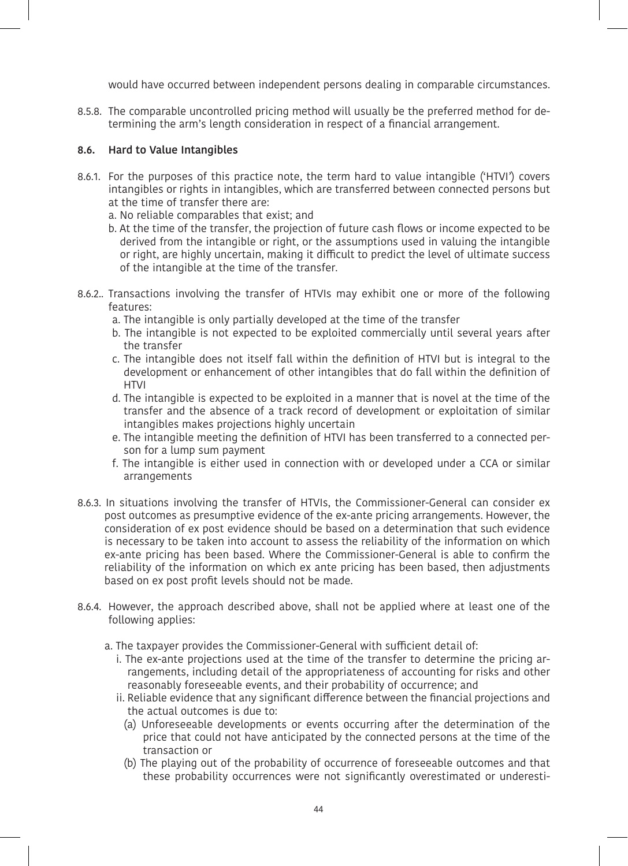would have occurred between independent persons dealing in comparable circumstances.

8.5.8. The comparable uncontrolled pricing method will usually be the preferred method for determining the arm's length consideration in respect of a financial arrangement.

## **8.6. Hard to Value Intangibles**

- 8.6.1. For the purposes of this practice note, the term hard to value intangible ('HTVI') covers intangibles or rights in intangibles, which are transferred between connected persons but at the time of transfer there are:
	- a. No reliable comparables that exist; and
	- b. At the time of the transfer, the projection of future cash flows or income expected to be derived from the intangible or right, or the assumptions used in valuing the intangible or right, are highly uncertain, making it difficult to predict the level of ultimate success of the intangible at the time of the transfer.
- 8.6.2.. Transactions involving the transfer of HTVIs may exhibit one or more of the following features:
	- a. The intangible is only partially developed at the time of the transfer
	- b. The intangible is not expected to be exploited commercially until several years after the transfer
	- c. The intangible does not itself fall within the definition of HTVI but is integral to the development or enhancement of other intangibles that do fall within the definition of **HTVI**
	- d. The intangible is expected to be exploited in a manner that is novel at the time of the transfer and the absence of a track record of development or exploitation of similar intangibles makes projections highly uncertain
	- e. The intangible meeting the definition of HTVI has been transferred to a connected person for a lump sum payment
	- f. The intangible is either used in connection with or developed under a CCA or similar arrangements
- 8.6.3. In situations involving the transfer of HTVIs, the Commissioner-General can consider ex post outcomes as presumptive evidence of the ex-ante pricing arrangements. However, the consideration of ex post evidence should be based on a determination that such evidence is necessary to be taken into account to assess the reliability of the information on which ex-ante pricing has been based. Where the Commissioner-General is able to confirm the reliability of the information on which ex ante pricing has been based, then adjustments based on ex post profit levels should not be made.
- 8.6.4. However, the approach described above, shall not be applied where at least one of the following applies:
	- a. The taxpayer provides the Commissioner-General with sufficient detail of:
		- i. The ex-ante projections used at the time of the transfer to determine the pricing arrangements, including detail of the appropriateness of accounting for risks and other reasonably foreseeable events, and their probability of occurrence; and
		- ii. Reliable evidence that any significant difference between the financial projections and the actual outcomes is due to:
			- (a) Unforeseeable developments or events occurring after the determination of the price that could not have anticipated by the connected persons at the time of the transaction or
			- (b) The playing out of the probability of occurrence of foreseeable outcomes and that these probability occurrences were not significantly overestimated or underesti-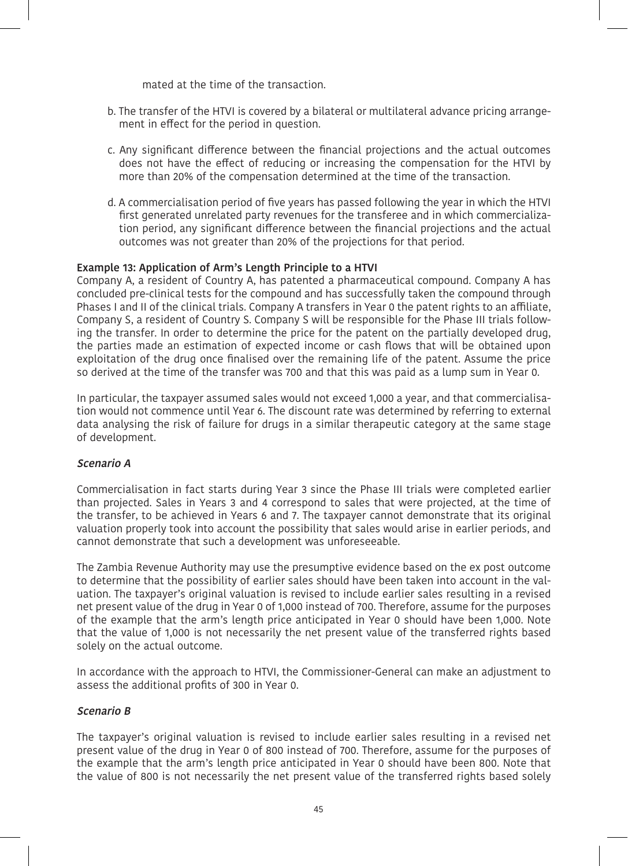mated at the time of the transaction.

- b. The transfer of the HTVI is covered by a bilateral or multilateral advance pricing arrangement in effect for the period in question.
- c. Any significant difference between the financial projections and the actual outcomes does not have the effect of reducing or increasing the compensation for the HTVI by more than 20% of the compensation determined at the time of the transaction.
- d. A commercialisation period of five years has passed following the year in which the HTVI first generated unrelated party revenues for the transferee and in which commercialization period, any significant difference between the financial projections and the actual outcomes was not greater than 20% of the projections for that period.

## **Example 13: Application of Arm's Length Principle to a HTVI**

Company A, a resident of Country A, has patented a pharmaceutical compound. Company A has concluded pre-clinical tests for the compound and has successfully taken the compound through Phases I and II of the clinical trials. Company A transfers in Year 0 the patent rights to an affiliate, Company S, a resident of Country S. Company S will be responsible for the Phase III trials following the transfer. In order to determine the price for the patent on the partially developed drug, the parties made an estimation of expected income or cash flows that will be obtained upon exploitation of the drug once finalised over the remaining life of the patent. Assume the price so derived at the time of the transfer was 700 and that this was paid as a lump sum in Year 0.

In particular, the taxpayer assumed sales would not exceed 1,000 a year, and that commercialisation would not commence until Year 6. The discount rate was determined by referring to external data analysing the risk of failure for drugs in a similar therapeutic category at the same stage of development.

#### **Scenario A**

Commercialisation in fact starts during Year 3 since the Phase III trials were completed earlier than projected. Sales in Years 3 and 4 correspond to sales that were projected, at the time of the transfer, to be achieved in Years 6 and 7. The taxpayer cannot demonstrate that its original valuation properly took into account the possibility that sales would arise in earlier periods, and cannot demonstrate that such a development was unforeseeable.

The Zambia Revenue Authority may use the presumptive evidence based on the ex post outcome to determine that the possibility of earlier sales should have been taken into account in the valuation. The taxpayer's original valuation is revised to include earlier sales resulting in a revised net present value of the drug in Year 0 of 1,000 instead of 700. Therefore, assume for the purposes of the example that the arm's length price anticipated in Year 0 should have been 1,000. Note that the value of 1,000 is not necessarily the net present value of the transferred rights based solely on the actual outcome.

In accordance with the approach to HTVI, the Commissioner-General can make an adjustment to assess the additional profits of 300 in Year 0.

## **Scenario B**

The taxpayer's original valuation is revised to include earlier sales resulting in a revised net present value of the drug in Year 0 of 800 instead of 700. Therefore, assume for the purposes of the example that the arm's length price anticipated in Year 0 should have been 800. Note that the value of 800 is not necessarily the net present value of the transferred rights based solely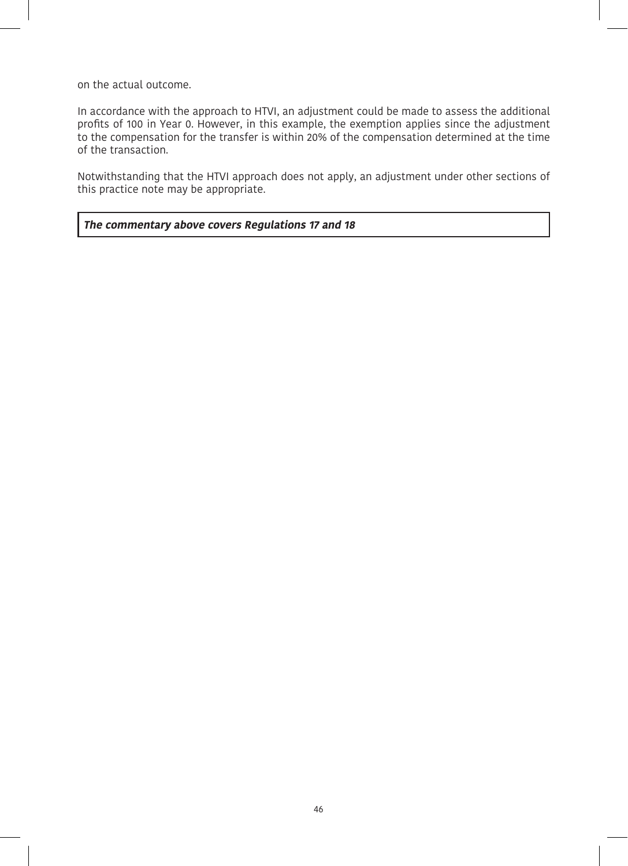on the actual outcome.

In accordance with the approach to HTVI, an adjustment could be made to assess the additional profits of 100 in Year 0. However, in this example, the exemption applies since the adjustment to the compensation for the transfer is within 20% of the compensation determined at the time of the transaction.

Notwithstanding that the HTVI approach does not apply, an adjustment under other sections of this practice note may be appropriate.

#### **The commentary above covers Regulations 17 and 18**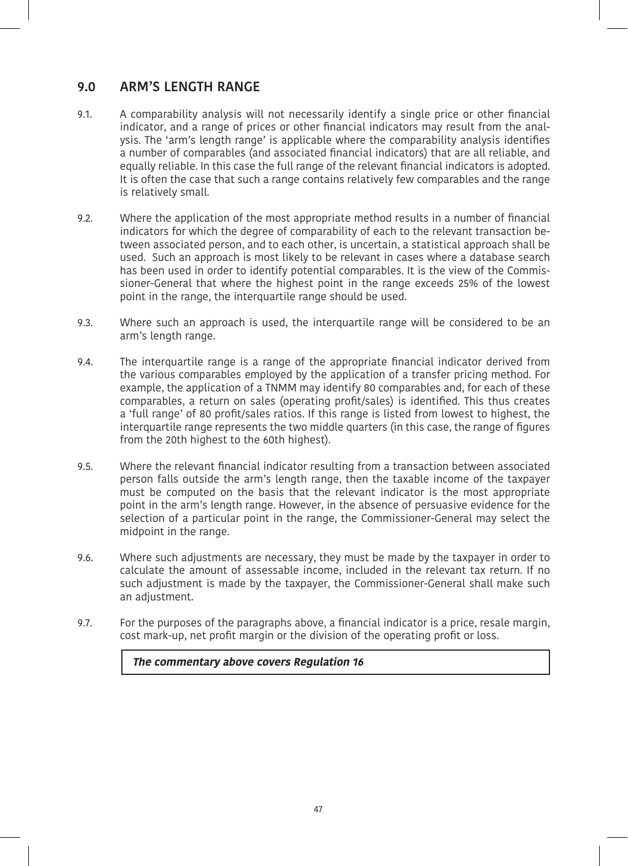## **9.0 ARM'S LENGTH RANGE**

- 9.1. A comparability analysis will not necessarily identify a single price or other financial indicator, and a range of prices or other financial indicators may result from the analysis. The 'arm's length range' is applicable where the comparability analysis identifies a number of comparables (and associated financial indicators) that are all reliable, and equally reliable. In this case the full range of the relevant financial indicators is adopted. It is often the case that such a range contains relatively few comparables and the range is relatively small.
- 9.2. Where the application of the most appropriate method results in a number of financial indicators for which the degree of comparability of each to the relevant transaction between associated person, and to each other, is uncertain, a statistical approach shall be used. Such an approach is most likely to be relevant in cases where a database search has been used in order to identify potential comparables. It is the view of the Commissioner-General that where the highest point in the range exceeds 25% of the lowest point in the range, the interquartile range should be used.
- 9.3. Where such an approach is used, the interquartile range will be considered to be an arm's length range.
- 9.4. The interquartile range is a range of the appropriate financial indicator derived from the various comparables employed by the application of a transfer pricing method. For example, the application of a TNMM may identify 80 comparables and, for each of these comparables, a return on sales (operating profit/sales) is identified. This thus creates a 'full range' of 80 profit/sales ratios. If this range is listed from lowest to highest, the interquartile range represents the two middle quarters (in this case, the range of figures from the 20th highest to the 60th highest).
- 9.5. Where the relevant financial indicator resulting from a transaction between associated person falls outside the arm's length range, then the taxable income of the taxpayer must be computed on the basis that the relevant indicator is the most appropriate point in the arm's length range. However, in the absence of persuasive evidence for the selection of a particular point in the range, the Commissioner-General may select the midpoint in the range.
- 9.6. Where such adjustments are necessary, they must be made by the taxpayer in order to calculate the amount of assessable income, included in the relevant tax return. If no such adjustment is made by the taxpayer, the Commissioner-General shall make such an adjustment.
- 9.7. For the purposes of the paragraphs above, a financial indicator is a price, resale margin, cost mark-up, net profit margin or the division of the operating profit or loss.

**The commentary above covers Regulation 16**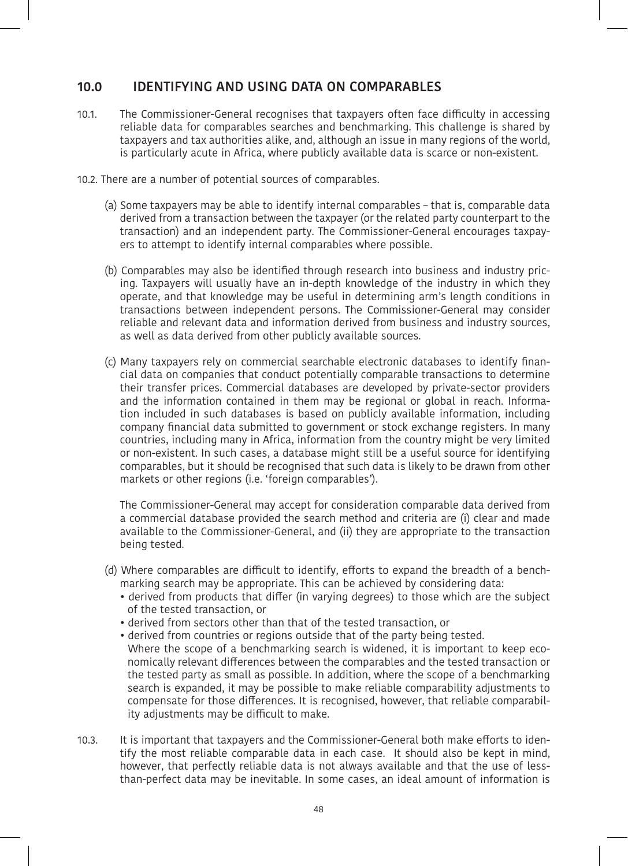## **10.0 IDENTIFYING AND USING DATA ON COMPARABLES**

- 10.1. The Commissioner-General recognises that taxpayers often face difficulty in accessing reliable data for comparables searches and benchmarking. This challenge is shared by taxpayers and tax authorities alike, and, although an issue in many regions of the world, is particularly acute in Africa, where publicly available data is scarce or non-existent.
- 10.2. There are a number of potential sources of comparables.
	- (a) Some taxpayers may be able to identify internal comparables that is, comparable data derived from a transaction between the taxpayer (or the related party counterpart to the transaction) and an independent party. The Commissioner-General encourages taxpayers to attempt to identify internal comparables where possible.
	- (b) Comparables may also be identified through research into business and industry pricing. Taxpayers will usually have an in-depth knowledge of the industry in which they operate, and that knowledge may be useful in determining arm's length conditions in transactions between independent persons. The Commissioner-General may consider reliable and relevant data and information derived from business and industry sources, as well as data derived from other publicly available sources.
	- (c) Many taxpayers rely on commercial searchable electronic databases to identify financial data on companies that conduct potentially comparable transactions to determine their transfer prices. Commercial databases are developed by private-sector providers and the information contained in them may be regional or global in reach. Information included in such databases is based on publicly available information, including company financial data submitted to government or stock exchange registers. In many countries, including many in Africa, information from the country might be very limited or non-existent. In such cases, a database might still be a useful source for identifying comparables, but it should be recognised that such data is likely to be drawn from other markets or other regions (i.e. 'foreign comparables').

The Commissioner-General may accept for consideration comparable data derived from a commercial database provided the search method and criteria are (i) clear and made available to the Commissioner-General, and (ii) they are appropriate to the transaction being tested.

- (d) Where comparables are difficult to identify, efforts to expand the breadth of a benchmarking search may be appropriate. This can be achieved by considering data:
	- derived from products that differ (in varying degrees) to those which are the subject of the tested transaction, or
	- derived from sectors other than that of the tested transaction, or
	- derived from countries or regions outside that of the party being tested. Where the scope of a benchmarking search is widened, it is important to keep economically relevant differences between the comparables and the tested transaction or the tested party as small as possible. In addition, where the scope of a benchmarking search is expanded, it may be possible to make reliable comparability adjustments to compensate for those differences. It is recognised, however, that reliable comparability adjustments may be difficult to make.
- 10.3. It is important that taxpayers and the Commissioner-General both make efforts to identify the most reliable comparable data in each case. It should also be kept in mind, however, that perfectly reliable data is not always available and that the use of lessthan-perfect data may be inevitable. In some cases, an ideal amount of information is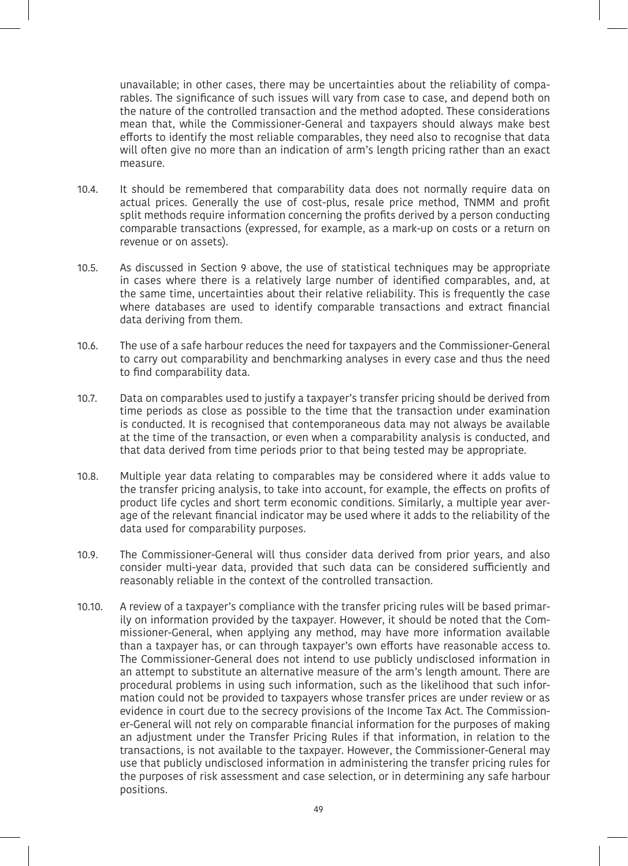unavailable; in other cases, there may be uncertainties about the reliability of comparables. The significance of such issues will vary from case to case, and depend both on the nature of the controlled transaction and the method adopted. These considerations mean that, while the Commissioner-General and taxpayers should always make best efforts to identify the most reliable comparables, they need also to recognise that data will often give no more than an indication of arm's length pricing rather than an exact measure.

- 10.4. It should be remembered that comparability data does not normally require data on actual prices. Generally the use of cost-plus, resale price method, TNMM and profit split methods require information concerning the profits derived by a person conducting comparable transactions (expressed, for example, as a mark-up on costs or a return on revenue or on assets).
- 10.5. As discussed in Section 9 above, the use of statistical techniques may be appropriate in cases where there is a relatively large number of identified comparables, and, at the same time, uncertainties about their relative reliability. This is frequently the case where databases are used to identify comparable transactions and extract financial data deriving from them.
- 10.6. The use of a safe harbour reduces the need for taxpayers and the Commissioner-General to carry out comparability and benchmarking analyses in every case and thus the need to find comparability data.
- 10.7. Data on comparables used to justify a taxpayer's transfer pricing should be derived from time periods as close as possible to the time that the transaction under examination is conducted. It is recognised that contemporaneous data may not always be available at the time of the transaction, or even when a comparability analysis is conducted, and that data derived from time periods prior to that being tested may be appropriate.
- 10.8. Multiple year data relating to comparables may be considered where it adds value to the transfer pricing analysis, to take into account, for example, the effects on profits of product life cycles and short term economic conditions. Similarly, a multiple year average of the relevant financial indicator may be used where it adds to the reliability of the data used for comparability purposes.
- 10.9. The Commissioner-General will thus consider data derived from prior years, and also consider multi-year data, provided that such data can be considered sufficiently and reasonably reliable in the context of the controlled transaction.
- 10.10. A review of a taxpayer's compliance with the transfer pricing rules will be based primarily on information provided by the taxpayer. However, it should be noted that the Commissioner-General, when applying any method, may have more information available than a taxpayer has, or can through taxpayer's own efforts have reasonable access to. The Commissioner-General does not intend to use publicly undisclosed information in an attempt to substitute an alternative measure of the arm's length amount. There are procedural problems in using such information, such as the likelihood that such information could not be provided to taxpayers whose transfer prices are under review or as evidence in court due to the secrecy provisions of the Income Tax Act. The Commissioner-General will not rely on comparable financial information for the purposes of making an adjustment under the Transfer Pricing Rules if that information, in relation to the transactions, is not available to the taxpayer. However, the Commissioner-General may use that publicly undisclosed information in administering the transfer pricing rules for the purposes of risk assessment and case selection, or in determining any safe harbour positions.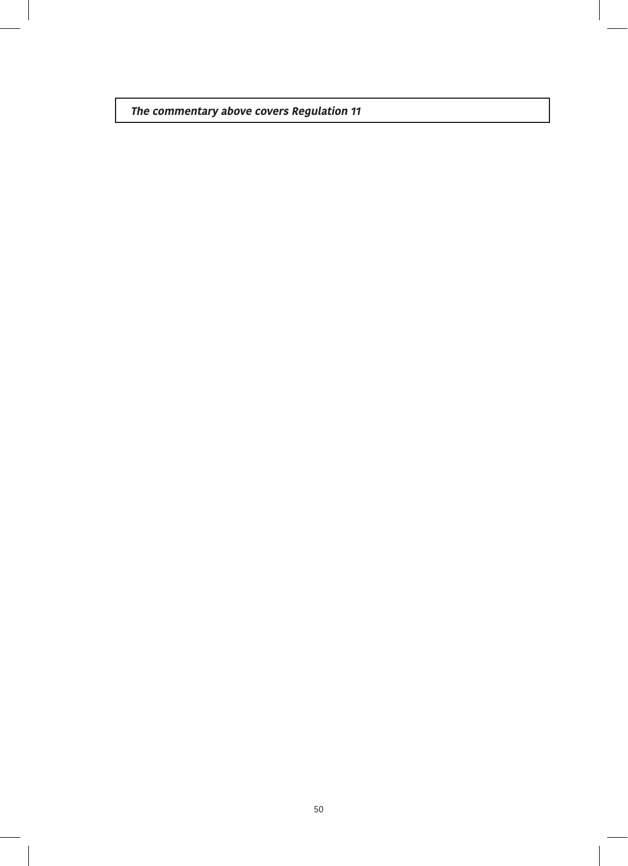**The commentary above covers Regulation 11**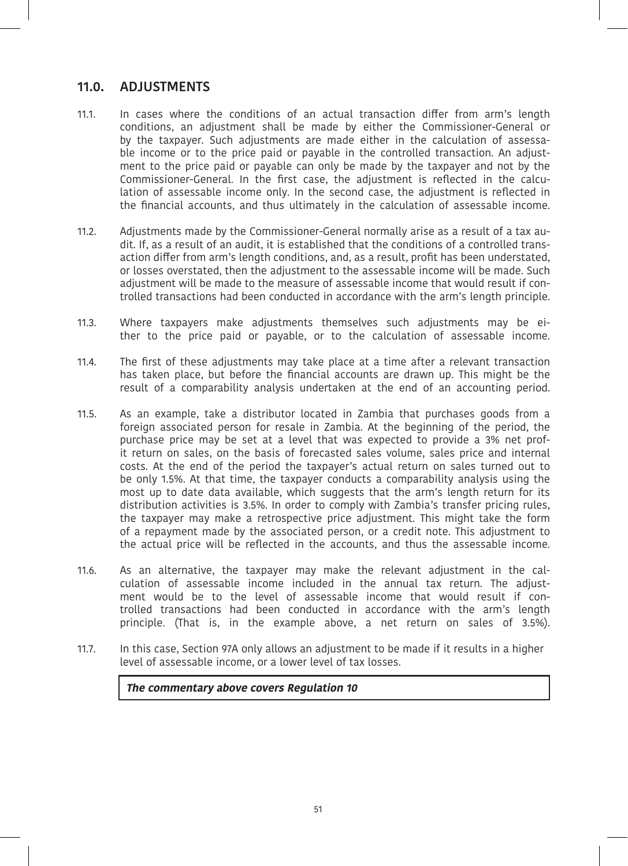## **11.0. ADJUSTMENTS**

- 11.1. In cases where the conditions of an actual transaction differ from arm's length conditions, an adjustment shall be made by either the Commissioner-General or by the taxpayer. Such adjustments are made either in the calculation of assessable income or to the price paid or payable in the controlled transaction. An adjustment to the price paid or payable can only be made by the taxpayer and not by the Commissioner-General. In the first case, the adjustment is reflected in the calculation of assessable income only. In the second case, the adjustment is reflected in the financial accounts, and thus ultimately in the calculation of assessable income.
- 11.2. Adjustments made by the Commissioner-General normally arise as a result of a tax audit. If, as a result of an audit, it is established that the conditions of a controlled transaction differ from arm's length conditions, and, as a result, profit has been understated, or losses overstated, then the adjustment to the assessable income will be made. Such adjustment will be made to the measure of assessable income that would result if controlled transactions had been conducted in accordance with the arm's length principle.
- 11.3. Where taxpayers make adjustments themselves such adjustments may be either to the price paid or payable, or to the calculation of assessable income.
- 11.4. The first of these adjustments may take place at a time after a relevant transaction has taken place, but before the financial accounts are drawn up. This might be the result of a comparability analysis undertaken at the end of an accounting period.
- 11.5. As an example, take a distributor located in Zambia that purchases goods from a foreign associated person for resale in Zambia. At the beginning of the period, the purchase price may be set at a level that was expected to provide a 3% net profit return on sales, on the basis of forecasted sales volume, sales price and internal costs. At the end of the period the taxpayer's actual return on sales turned out to be only 1.5%. At that time, the taxpayer conducts a comparability analysis using the most up to date data available, which suggests that the arm's length return for its distribution activities is 3.5%. In order to comply with Zambia's transfer pricing rules, the taxpayer may make a retrospective price adjustment. This might take the form of a repayment made by the associated person, or a credit note. This adjustment to the actual price will be reflected in the accounts, and thus the assessable income.
- 11.6. As an alternative, the taxpayer may make the relevant adjustment in the calculation of assessable income included in the annual tax return. The adjustment would be to the level of assessable income that would result if controlled transactions had been conducted in accordance with the arm's length principle. (That is, in the example above, a net return on sales of 3.5%).
- 11.7. In this case, Section 97A only allows an adjustment to be made if it results in a higher level of assessable income, or a lower level of tax losses.

 **The commentary above covers Regulation 10**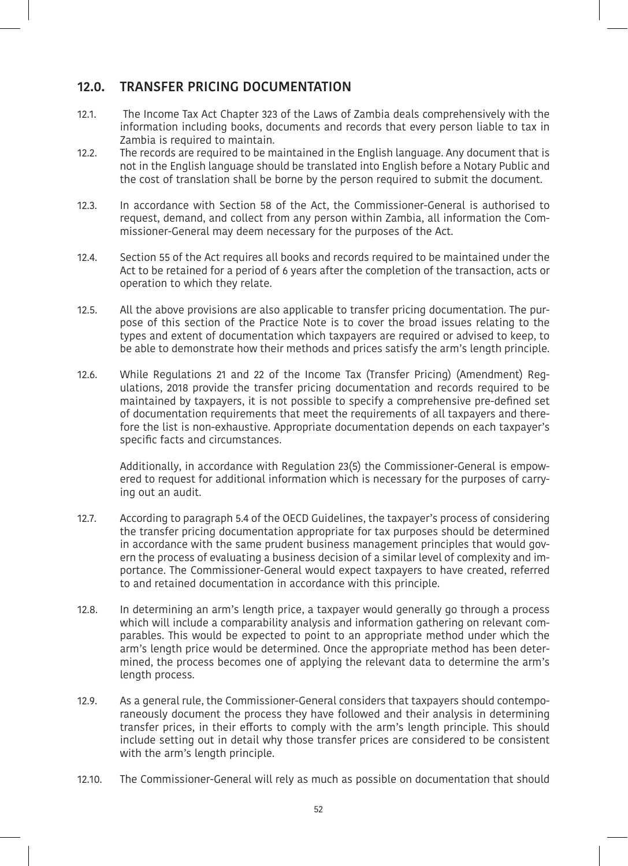## **12.0. TRANSFER PRICING DOCUMENTATION**

- 12.1. The Income Tax Act Chapter 323 of the Laws of Zambia deals comprehensively with the information including books, documents and records that every person liable to tax in Zambia is required to maintain.
- 12.2. The records are required to be maintained in the English language. Any document that is not in the English language should be translated into English before a Notary Public and the cost of translation shall be borne by the person required to submit the document.
- 12.3. In accordance with Section 58 of the Act, the Commissioner-General is authorised to request, demand, and collect from any person within Zambia, all information the Commissioner-General may deem necessary for the purposes of the Act.
- 12.4. Section 55 of the Act requires all books and records required to be maintained under the Act to be retained for a period of 6 years after the completion of the transaction, acts or operation to which they relate.
- 12.5. All the above provisions are also applicable to transfer pricing documentation. The purpose of this section of the Practice Note is to cover the broad issues relating to the types and extent of documentation which taxpayers are required or advised to keep, to be able to demonstrate how their methods and prices satisfy the arm's length principle.
- 12.6. While Regulations 21 and 22 of the Income Tax (Transfer Pricing) (Amendment) Regulations, 2018 provide the transfer pricing documentation and records required to be maintained by taxpayers, it is not possible to specify a comprehensive pre-defined set of documentation requirements that meet the requirements of all taxpayers and therefore the list is non-exhaustive. Appropriate documentation depends on each taxpayer's specific facts and circumstances.

Additionally, in accordance with Regulation 23(5) the Commissioner-General is empowered to request for additional information which is necessary for the purposes of carrying out an audit.

- 12.7. According to paragraph 5.4 of the OECD Guidelines, the taxpayer's process of considering the transfer pricing documentation appropriate for tax purposes should be determined in accordance with the same prudent business management principles that would govern the process of evaluating a business decision of a similar level of complexity and importance. The Commissioner-General would expect taxpayers to have created, referred to and retained documentation in accordance with this principle.
- 12.8. In determining an arm's length price, a taxpayer would generally go through a process which will include a comparability analysis and information gathering on relevant comparables. This would be expected to point to an appropriate method under which the arm's length price would be determined. Once the appropriate method has been determined, the process becomes one of applying the relevant data to determine the arm's length process.
- 12.9. As a general rule, the Commissioner-General considers that taxpayers should contemporaneously document the process they have followed and their analysis in determining transfer prices, in their efforts to comply with the arm's length principle. This should include setting out in detail why those transfer prices are considered to be consistent with the arm's length principle.
- 12.10. The Commissioner-General will rely as much as possible on documentation that should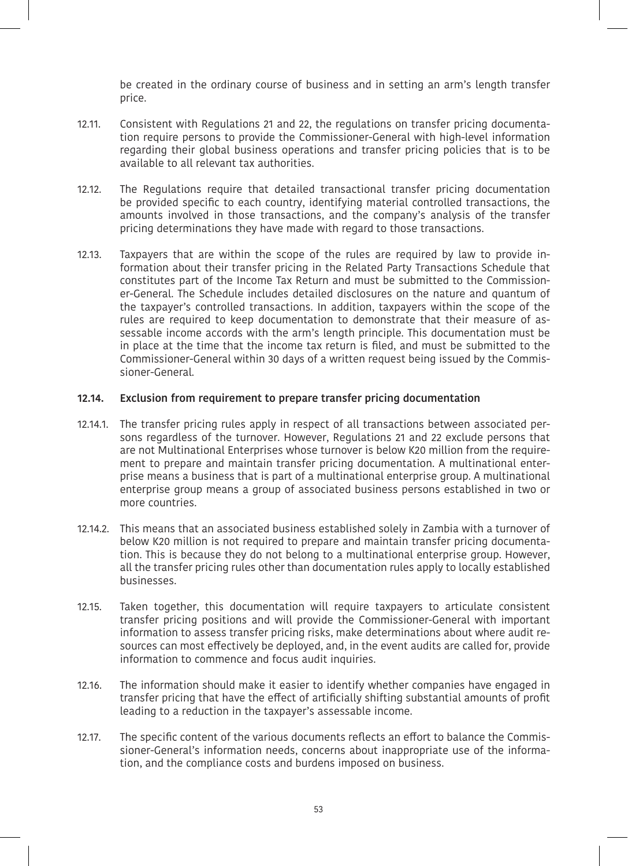be created in the ordinary course of business and in setting an arm's length transfer price.

- 12.11. Consistent with Regulations 21 and 22, the regulations on transfer pricing documentation require persons to provide the Commissioner-General with high-level information regarding their global business operations and transfer pricing policies that is to be available to all relevant tax authorities.
- 12.12. The Regulations require that detailed transactional transfer pricing documentation be provided specific to each country, identifying material controlled transactions, the amounts involved in those transactions, and the company's analysis of the transfer pricing determinations they have made with regard to those transactions.
- 12.13. Taxpayers that are within the scope of the rules are required by law to provide information about their transfer pricing in the Related Party Transactions Schedule that constitutes part of the Income Tax Return and must be submitted to the Commissioner-General. The Schedule includes detailed disclosures on the nature and quantum of the taxpayer's controlled transactions. In addition, taxpayers within the scope of the rules are required to keep documentation to demonstrate that their measure of assessable income accords with the arm's length principle. This documentation must be in place at the time that the income tax return is filed, and must be submitted to the Commissioner-General within 30 days of a written request being issued by the Commissioner-General.

#### **12.14. Exclusion from requirement to prepare transfer pricing documentation**

- 12.14.1. The transfer pricing rules apply in respect of all transactions between associated persons regardless of the turnover. However, Regulations 21 and 22 exclude persons that are not Multinational Enterprises whose turnover is below K20 million from the requirement to prepare and maintain transfer pricing documentation. A multinational enterprise means a business that is part of a multinational enterprise group. A multinational enterprise group means a group of associated business persons established in two or more countries.
- 12.14.2. This means that an associated business established solely in Zambia with a turnover of below K20 million is not required to prepare and maintain transfer pricing documentation. This is because they do not belong to a multinational enterprise group. However, all the transfer pricing rules other than documentation rules apply to locally established businesses.
- 12.15. Taken together, this documentation will require taxpayers to articulate consistent transfer pricing positions and will provide the Commissioner-General with important information to assess transfer pricing risks, make determinations about where audit resources can most effectively be deployed, and, in the event audits are called for, provide information to commence and focus audit inquiries.
- 12.16. The information should make it easier to identify whether companies have engaged in transfer pricing that have the effect of artificially shifting substantial amounts of profit leading to a reduction in the taxpayer's assessable income.
- 12.17. The specific content of the various documents reflects an effort to balance the Commissioner-General's information needs, concerns about inappropriate use of the information, and the compliance costs and burdens imposed on business.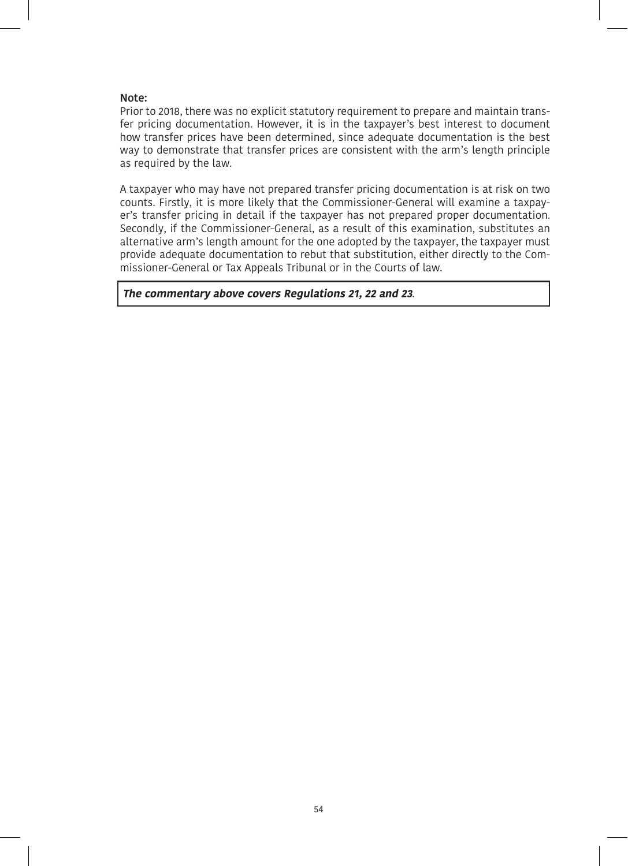#### **Note:**

Prior to 2018, there was no explicit statutory requirement to prepare and maintain transfer pricing documentation. However, it is in the taxpayer's best interest to document how transfer prices have been determined, since adequate documentation is the best way to demonstrate that transfer prices are consistent with the arm's length principle as required by the law.

A taxpayer who may have not prepared transfer pricing documentation is at risk on two counts. Firstly, it is more likely that the Commissioner-General will examine a taxpayer's transfer pricing in detail if the taxpayer has not prepared proper documentation. Secondly, if the Commissioner-General, as a result of this examination, substitutes an alternative arm's length amount for the one adopted by the taxpayer, the taxpayer must provide adequate documentation to rebut that substitution, either directly to the Commissioner-General or Tax Appeals Tribunal or in the Courts of law.

 **The commentary above covers Regulations 21, 22 and 23**.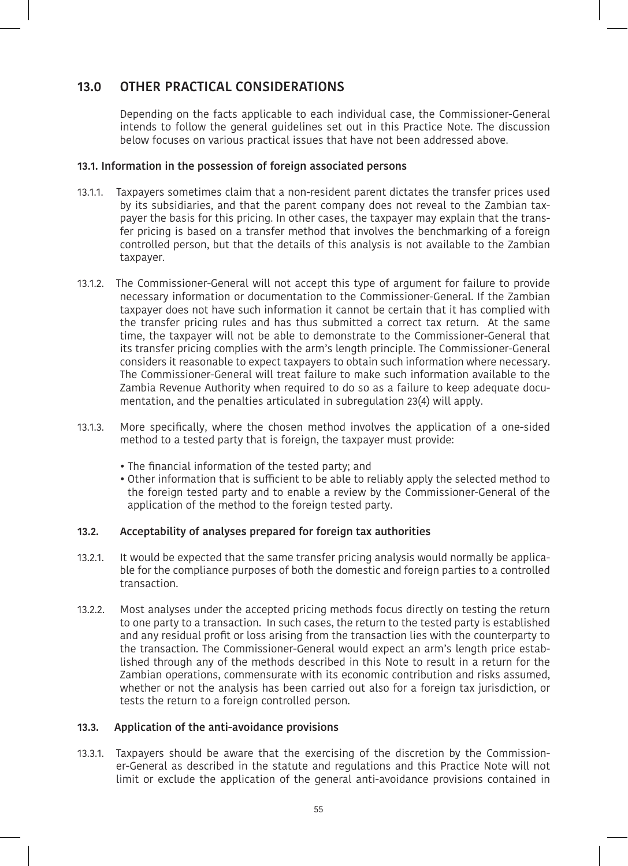# **13.0 OTHER PRACTICAL CONSIDERATIONS**

Depending on the facts applicable to each individual case, the Commissioner-General intends to follow the general guidelines set out in this Practice Note. The discussion below focuses on various practical issues that have not been addressed above.

## **13.1. Information in the possession of foreign associated persons**

- 13.1.1. Taxpayers sometimes claim that a non-resident parent dictates the transfer prices used by its subsidiaries, and that the parent company does not reveal to the Zambian taxpayer the basis for this pricing. In other cases, the taxpayer may explain that the transfer pricing is based on a transfer method that involves the benchmarking of a foreign controlled person, but that the details of this analysis is not available to the Zambian taxpayer.
- 13.1.2. The Commissioner-General will not accept this type of argument for failure to provide necessary information or documentation to the Commissioner-General. If the Zambian taxpayer does not have such information it cannot be certain that it has complied with the transfer pricing rules and has thus submitted a correct tax return. At the same time, the taxpayer will not be able to demonstrate to the Commissioner-General that its transfer pricing complies with the arm's length principle. The Commissioner-General considers it reasonable to expect taxpayers to obtain such information where necessary. The Commissioner-General will treat failure to make such information available to the Zambia Revenue Authority when required to do so as a failure to keep adequate documentation, and the penalties articulated in subregulation 23(4) will apply.
- 13.1.3. More specifically, where the chosen method involves the application of a one-sided method to a tested party that is foreign, the taxpayer must provide:
	- The financial information of the tested party; and
	- Other information that is sufficient to be able to reliably apply the selected method to the foreign tested party and to enable a review by the Commissioner-General of the application of the method to the foreign tested party.

#### **13.2. Acceptability of analyses prepared for foreign tax authorities**

- 13.2.1. It would be expected that the same transfer pricing analysis would normally be applicable for the compliance purposes of both the domestic and foreign parties to a controlled transaction.
- 13.2.2. Most analyses under the accepted pricing methods focus directly on testing the return to one party to a transaction. In such cases, the return to the tested party is established and any residual profit or loss arising from the transaction lies with the counterparty to the transaction. The Commissioner-General would expect an arm's length price established through any of the methods described in this Note to result in a return for the Zambian operations, commensurate with its economic contribution and risks assumed, whether or not the analysis has been carried out also for a foreign tax jurisdiction, or tests the return to a foreign controlled person.

#### **13.3. Application of the anti-avoidance provisions**

13.3.1. Taxpayers should be aware that the exercising of the discretion by the Commissioner-General as described in the statute and regulations and this Practice Note will not limit or exclude the application of the general anti-avoidance provisions contained in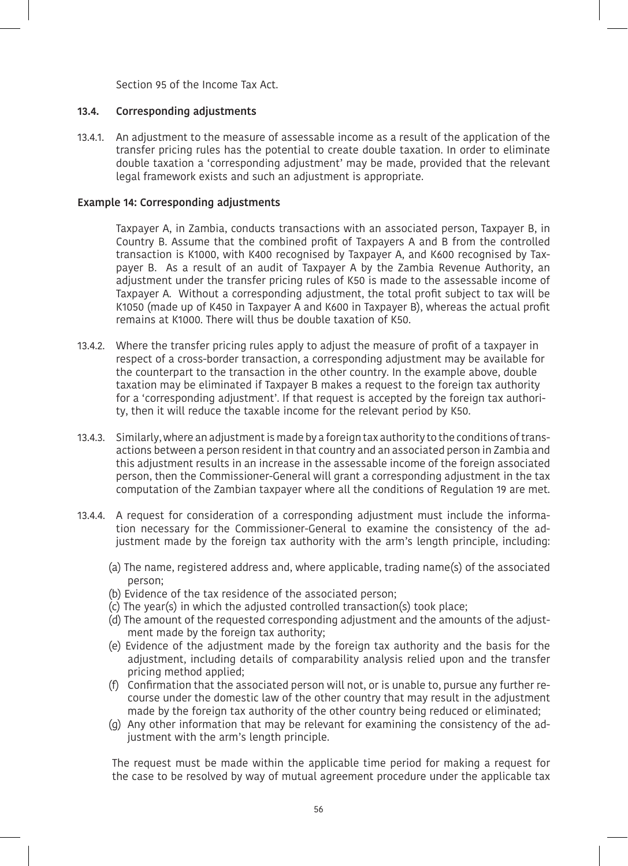Section 95 of the Income Tax Act.

#### **13.4. Corresponding adjustments**

13.4.1. An adjustment to the measure of assessable income as a result of the application of the transfer pricing rules has the potential to create double taxation. In order to eliminate double taxation a 'corresponding adjustment' may be made, provided that the relevant legal framework exists and such an adjustment is appropriate.

## **Example 14: Corresponding adjustments**

Taxpayer A, in Zambia, conducts transactions with an associated person, Taxpayer B, in Country B. Assume that the combined profit of Taxpayers A and B from the controlled transaction is K1000, with K400 recognised by Taxpayer A, and K600 recognised by Taxpayer B. As a result of an audit of Taxpayer A by the Zambia Revenue Authority, an adjustment under the transfer pricing rules of K50 is made to the assessable income of Taxpayer A. Without a corresponding adjustment, the total profit subject to tax will be K1050 (made up of K450 in Taxpayer A and K600 in Taxpayer B), whereas the actual profit remains at K1000. There will thus be double taxation of K50.

- 13.4.2. Where the transfer pricing rules apply to adjust the measure of profit of a taxpayer in respect of a cross-border transaction, a corresponding adjustment may be available for the counterpart to the transaction in the other country. In the example above, double taxation may be eliminated if Taxpayer B makes a request to the foreign tax authority for a 'corresponding adjustment'. If that request is accepted by the foreign tax authority, then it will reduce the taxable income for the relevant period by K50.
- 13.4.3. Similarly, where an adjustment is made by a foreign tax authority to the conditions of transactions between a person resident in that country and an associated person in Zambia and this adjustment results in an increase in the assessable income of the foreign associated person, then the Commissioner-General will grant a corresponding adjustment in the tax computation of the Zambian taxpayer where all the conditions of Regulation 19 are met.
- 13.4.4. A request for consideration of a corresponding adjustment must include the information necessary for the Commissioner-General to examine the consistency of the adjustment made by the foreign tax authority with the arm's length principle, including:
	- (a) The name, registered address and, where applicable, trading name(s) of the associated person;
	- (b) Evidence of the tax residence of the associated person;
	- (c) The year(s) in which the adjusted controlled transaction(s) took place;
	- (d) The amount of the requested corresponding adjustment and the amounts of the adjustment made by the foreign tax authority;
	- (e) Evidence of the adjustment made by the foreign tax authority and the basis for the adjustment, including details of comparability analysis relied upon and the transfer pricing method applied;
	- (f) Confirmation that the associated person will not, or is unable to, pursue any further recourse under the domestic law of the other country that may result in the adjustment made by the foreign tax authority of the other country being reduced or eliminated;
	- (g) Any other information that may be relevant for examining the consistency of the adjustment with the arm's length principle.

The request must be made within the applicable time period for making a request for the case to be resolved by way of mutual agreement procedure under the applicable tax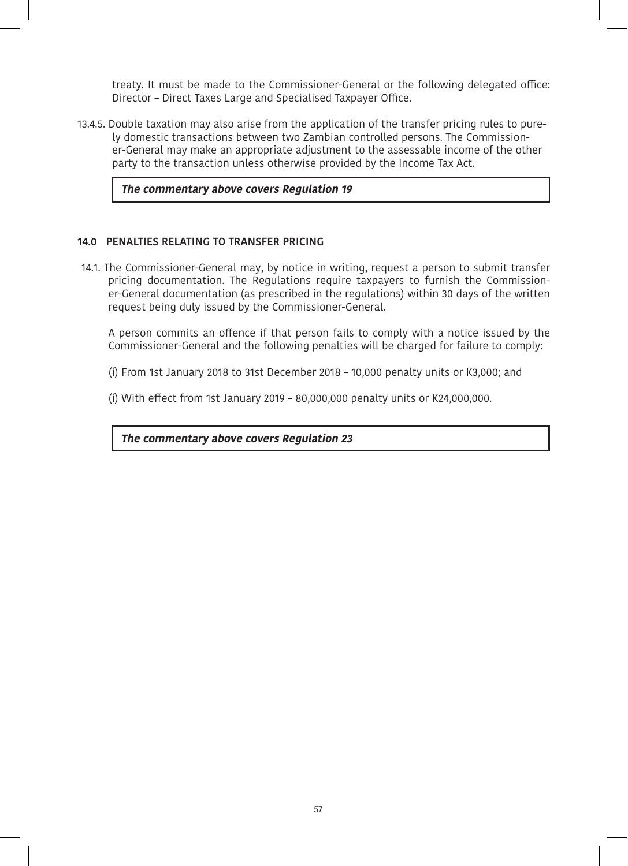treaty. It must be made to the Commissioner-General or the following delegated office: Director – Direct Taxes Large and Specialised Taxpayer Office.

13.4.5. Double taxation may also arise from the application of the transfer pricing rules to purely domestic transactions between two Zambian controlled persons. The Commissioner-General may make an appropriate adjustment to the assessable income of the other party to the transaction unless otherwise provided by the Income Tax Act.

#### **The commentary above covers Regulation 19**

## **14.0 PENALTIES RELATING TO TRANSFER PRICING**

14.1. The Commissioner-General may, by notice in writing, request a person to submit transfer pricing documentation. The Regulations require taxpayers to furnish the Commissioner-General documentation (as prescribed in the regulations) within 30 days of the written request being duly issued by the Commissioner-General.

A person commits an offence if that person fails to comply with a notice issued by the Commissioner-General and the following penalties will be charged for failure to comply:

- (i) From 1st January 2018 to 31st December 2018 10,000 penalty units or K3,000; and
- (i) With effect from 1st January 2019 80,000,000 penalty units or K24,000,000.

 **The commentary above covers Regulation 23**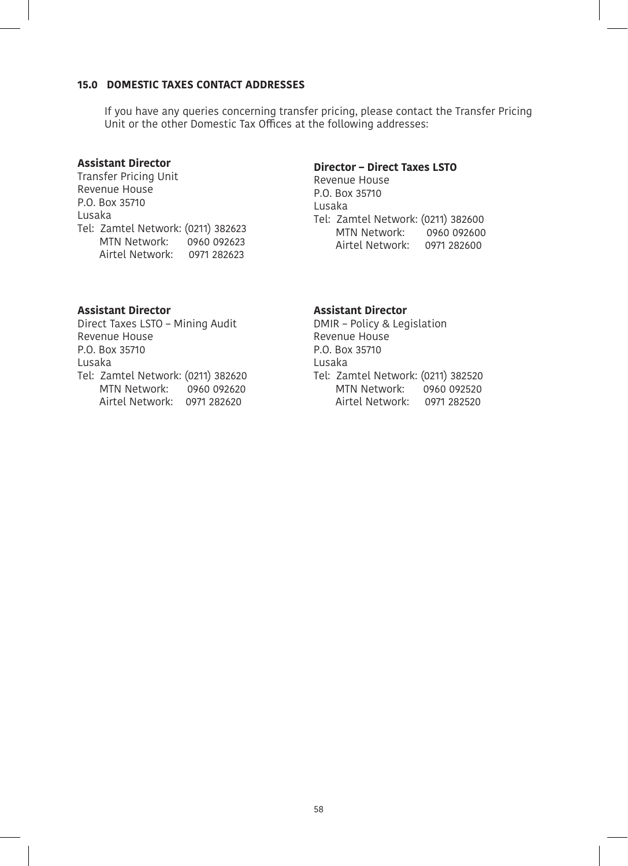## **15.0 DOMESTIC TAXES CONTACT ADDRESSES**

If you have any queries concerning transfer pricing, please contact the Transfer Pricing Unit or the other Domestic Tax Offices at the following addresses:

## **Assistant Director**

Transfer Pricing Unit Revenue House P.O. Box 35710 Lusaka Tel: Zamtel Network: (0211) 382623 MTN Network: 0960 092623 Airtel Network: 0971 282623

## **Director – Direct Taxes LSTO**

Revenue House P.O. Box 35710 Lusaka Tel: Zamtel Network: (0211) 382600 MTN Network: Airtel Network: 0971 282600

## **Assistant Director**

Direct Taxes LSTO – Mining Audit Revenue House P.O. Box 35710 Lusaka Tel: Zamtel Network: (0211) 382620 MTN Network: 0960 092620 Airtel Network: 0971 282620

## **Assistant Director**

DMIR – Policy & Legislation Revenue House P.O. Box 35710 Lusaka Tel: Zamtel Network: (0211) 382520 MTN Network: 0960 092520 Airtel Network: 0971 282520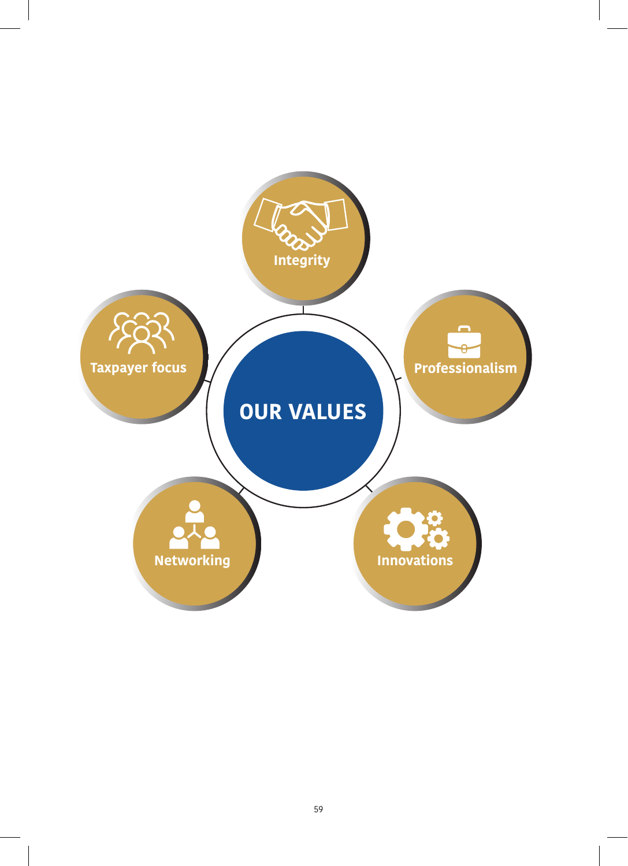